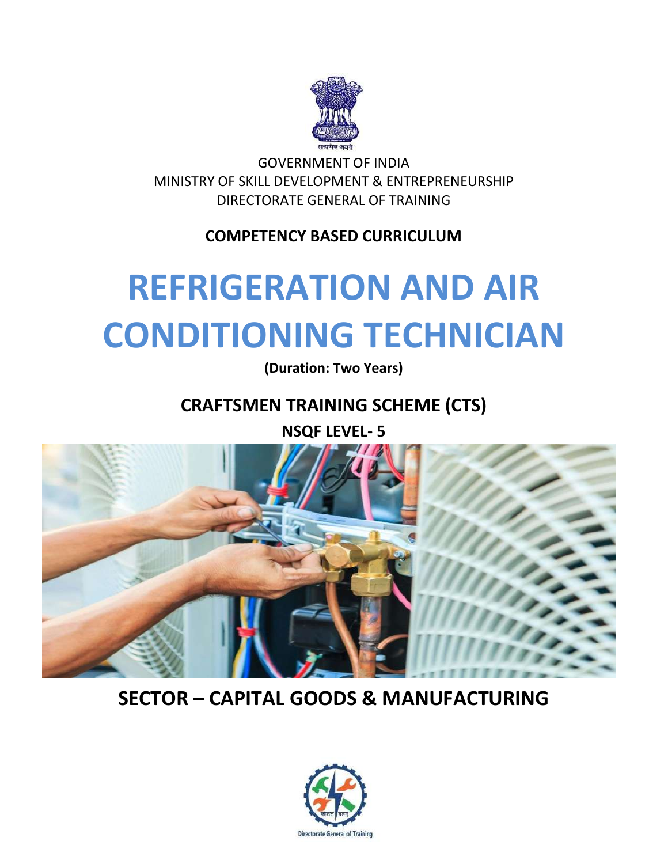

GOVERNMENT OF INDIA MINISTRY OF SKILL DEVELOPMENT & ENTREPRENEURSHIP DIRECTORATE GENERAL OF TRAINING

**COMPETENCY BASED CURRICULUM**

# **REFRIGERATION AND AIR CONDITIONING TECHNICIAN**

**(Duration: Two Years)**

**CRAFTSMEN TRAINING SCHEME (CTS)**

**NSQF LEVEL- 5**



# **SECTOR – CAPITAL GOODS & MANUFACTURING**

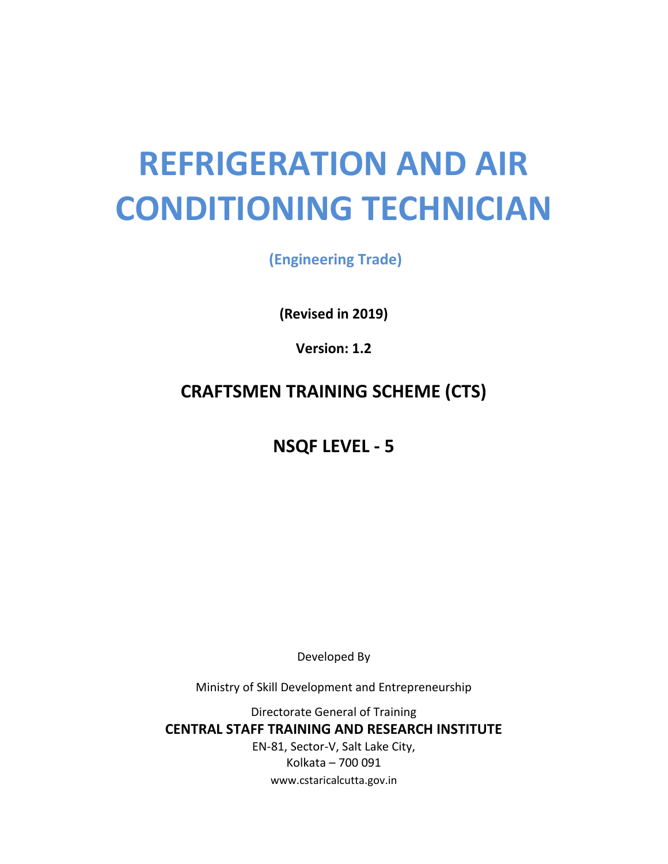# **REFRIGERATION AND AIR CONDITIONING TECHNICIAN**

**(Engineering Trade)**

**(Revised in 2019)**

**Version: 1.2**

## **CRAFTSMEN TRAINING SCHEME (CTS)**

**NSQF LEVEL - 5**

Developed By

Ministry of Skill Development and Entrepreneurship

Directorate General of Training

**CENTRAL STAFF TRAINING AND RESEARCH INSTITUTE**

EN-81, Sector-V, Salt Lake City, Kolkata – 700 091 www.cstaricalcutta.gov.in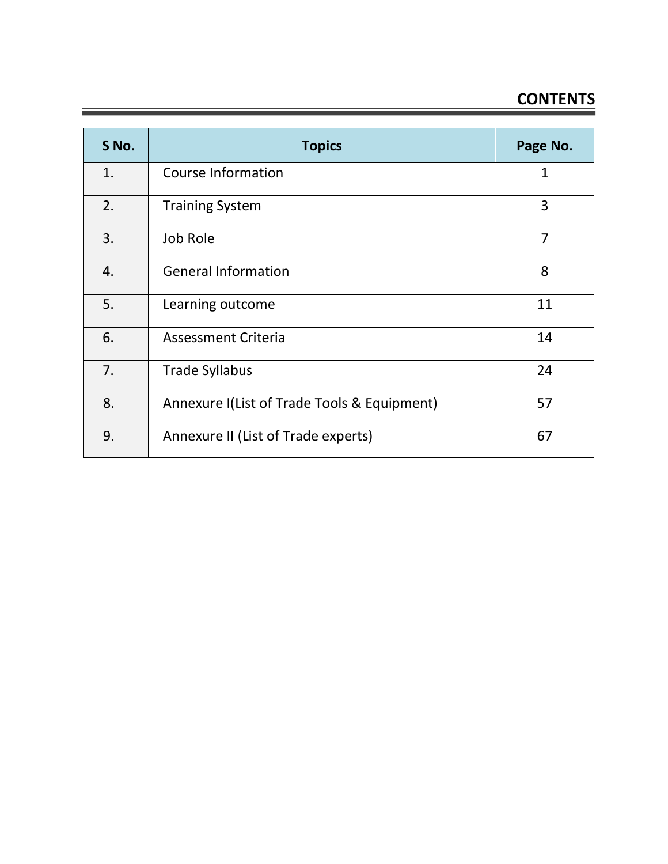# **CONTENTS**

| S No. | <b>Topics</b>                               | Page No. |
|-------|---------------------------------------------|----------|
| 1.    | Course Information                          | 1        |
| 2.    | <b>Training System</b>                      | 3        |
| 3.    | Job Role                                    | 7        |
| 4.    | <b>General Information</b>                  | 8        |
| 5.    | Learning outcome                            | 11       |
| 6.    | <b>Assessment Criteria</b>                  | 14       |
| 7.    | <b>Trade Syllabus</b>                       | 24       |
| 8.    | Annexure I(List of Trade Tools & Equipment) | 57       |
| 9.    | Annexure II (List of Trade experts)         | 67       |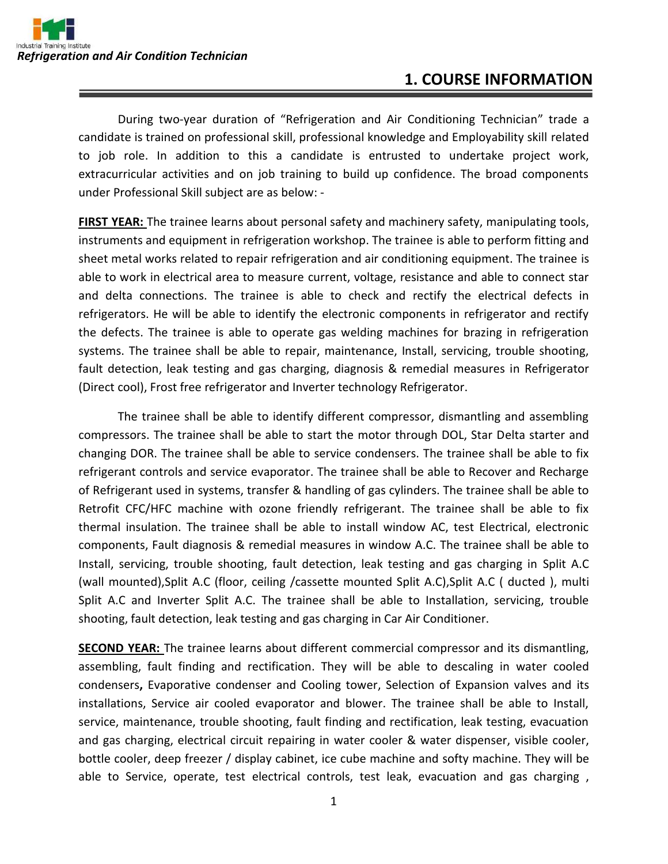### **1. COURSE INFORMATION**

During two-year duration of "Refrigeration and Air Conditioning Technician" trade a candidate is trained on professional skill, professional knowledge and Employability skill related to job role. In addition to this a candidate is entrusted to undertake project work, extracurricular activities and on job training to build up confidence. The broad components under Professional Skill subject are as below: -

**FIRST YEAR:** The trainee learns about personal safety and machinery safety, manipulating tools, instruments and equipment in refrigeration workshop. The trainee is able to perform fitting and sheet metal works related to repair refrigeration and air conditioning equipment. The trainee is able to work in electrical area to measure current, voltage, resistance and able to connect star and delta connections. The trainee is able to check and rectify the electrical defects in refrigerators. He will be able to identify the electronic components in refrigerator and rectify the defects. The trainee is able to operate gas welding machines for brazing in refrigeration systems. The trainee shall be able to repair, maintenance, Install, servicing, trouble shooting, fault detection, leak testing and gas charging, diagnosis & remedial measures in Refrigerator (Direct cool), Frost free refrigerator and Inverter technology Refrigerator.

The trainee shall be able to identify different compressor, dismantling and assembling compressors. The trainee shall be able to start the motor through DOL, Star Delta starter and changing DOR. The trainee shall be able to service condensers. The trainee shall be able to fix refrigerant controls and service evaporator. The trainee shall be able to Recover and Recharge of Refrigerant used in systems, transfer & handling of gas cylinders. The trainee shall be able to Retrofit CFC/HFC machine with ozone friendly refrigerant. The trainee shall be able to fix thermal insulation. The trainee shall be able to install window AC, test Electrical, electronic components, Fault diagnosis & remedial measures in window A.C. The trainee shall be able to Install, servicing, trouble shooting, fault detection, leak testing and gas charging in Split A.C (wall mounted),Split A.C (floor, ceiling /cassette mounted Split A.C),Split A.C ( ducted ), multi Split A.C and Inverter Split A.C. The trainee shall be able to Installation, servicing, trouble shooting, fault detection, leak testing and gas charging in Car Air Conditioner.

**SECOND YEAR:** The trainee learns about different commercial compressor and its dismantling, assembling, fault finding and rectification. They will be able to descaling in water cooled condensers**,** Evaporative condenser and Cooling tower, Selection of Expansion valves and its installations, Service air cooled evaporator and blower. The trainee shall be able to Install, service, maintenance, trouble shooting, fault finding and rectification, leak testing, evacuation and gas charging, electrical circuit repairing in water cooler & water dispenser, visible cooler, bottle cooler, deep freezer / display cabinet, ice cube machine and softy machine. They will be able to Service, operate, test electrical controls, test leak, evacuation and gas charging ,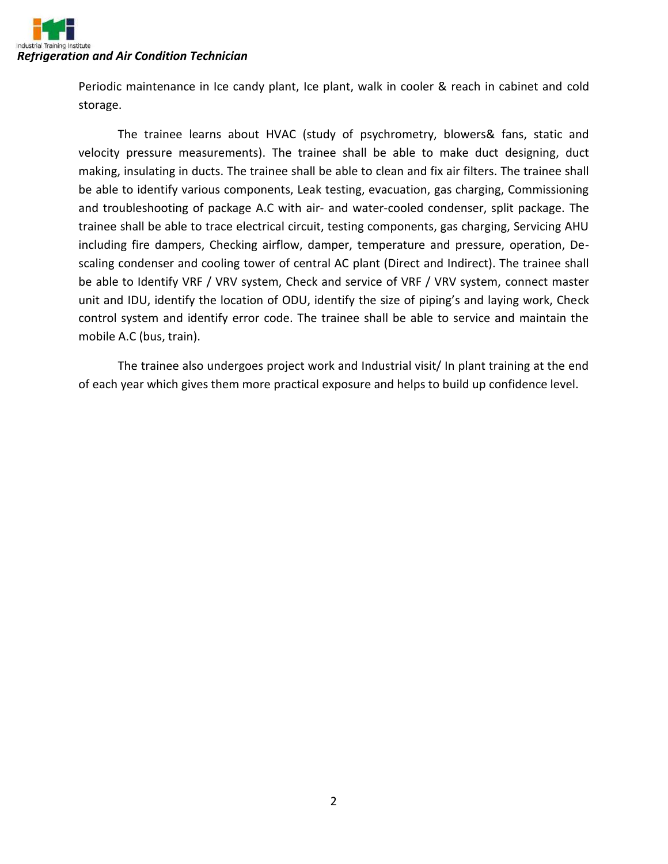

Periodic maintenance in Ice candy plant, Ice plant, walk in cooler & reach in cabinet and cold storage.

The trainee learns about HVAC (study of psychrometry, blowers& fans, static and velocity pressure measurements). The trainee shall be able to make duct designing, duct making, insulating in ducts. The trainee shall be able to clean and fix air filters. The trainee shall be able to identify various components, Leak testing, evacuation, gas charging, Commissioning and troubleshooting of package A.C with air- and water-cooled condenser, split package. The trainee shall be able to trace electrical circuit, testing components, gas charging, Servicing AHU including fire dampers, Checking airflow, damper, temperature and pressure, operation, Descaling condenser and cooling tower of central AC plant (Direct and Indirect). The trainee shall be able to Identify VRF / VRV system, Check and service of VRF / VRV system, connect master unit and IDU, identify the location of ODU, identify the size of piping's and laying work, Check control system and identify error code. The trainee shall be able to service and maintain the mobile A.C (bus, train).

The trainee also undergoes project work and Industrial visit/ In plant training at the end of each year which gives them more practical exposure and helps to build up confidence level.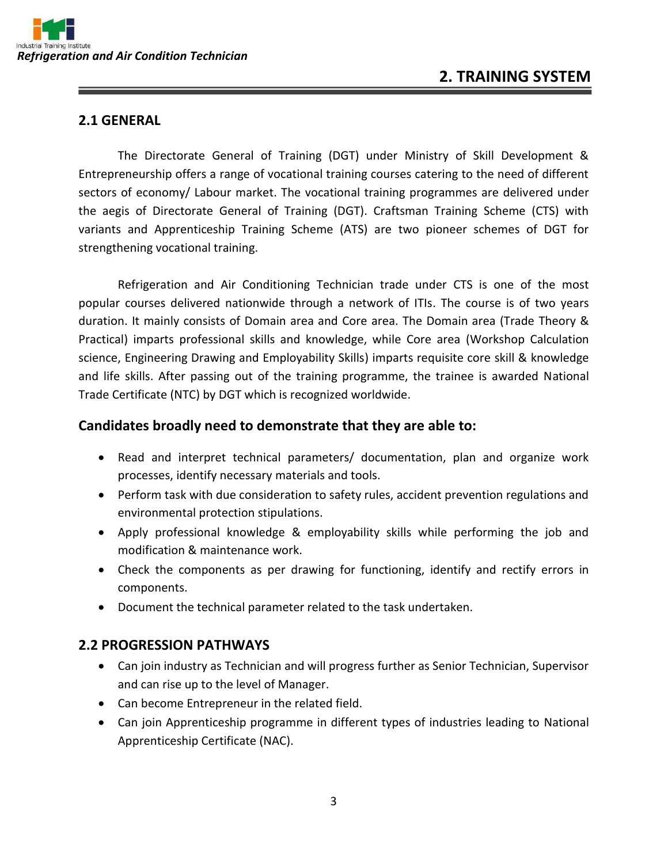

### **2. TRAINING SYSTEM**

#### **2.1 GENERAL**

The Directorate General of Training (DGT) under Ministry of Skill Development & Entrepreneurship offers a range of vocational training courses catering to the need of different sectors of economy/ Labour market. The vocational training programmes are delivered under the aegis of Directorate General of Training (DGT). Craftsman Training Scheme (CTS) with variants and Apprenticeship Training Scheme (ATS) are two pioneer schemes of DGT for strengthening vocational training.

Refrigeration and Air Conditioning Technician trade under CTS is one of the most popular courses delivered nationwide through a network of ITIs. The course is of two years duration. It mainly consists of Domain area and Core area. The Domain area (Trade Theory & Practical) imparts professional skills and knowledge, while Core area (Workshop Calculation science, Engineering Drawing and Employability Skills) imparts requisite core skill & knowledge and life skills. After passing out of the training programme, the trainee is awarded National Trade Certificate (NTC) by DGT which is recognized worldwide.

#### **Candidates broadly need to demonstrate that they are able to:**

- Read and interpret technical parameters/ documentation, plan and organize work processes, identify necessary materials and tools.
- Perform task with due consideration to safety rules, accident prevention regulations and environmental protection stipulations.
- Apply professional knowledge & employability skills while performing the job and modification & maintenance work.
- Check the components as per drawing for functioning, identify and rectify errors in components.
- Document the technical parameter related to the task undertaken.

#### **2.2 PROGRESSION PATHWAYS**

- Can join industry as Technician and will progress further as Senior Technician, Supervisor and can rise up to the level of Manager.
- Can become Entrepreneur in the related field.
- Can join Apprenticeship programme in different types of industries leading to National Apprenticeship Certificate (NAC).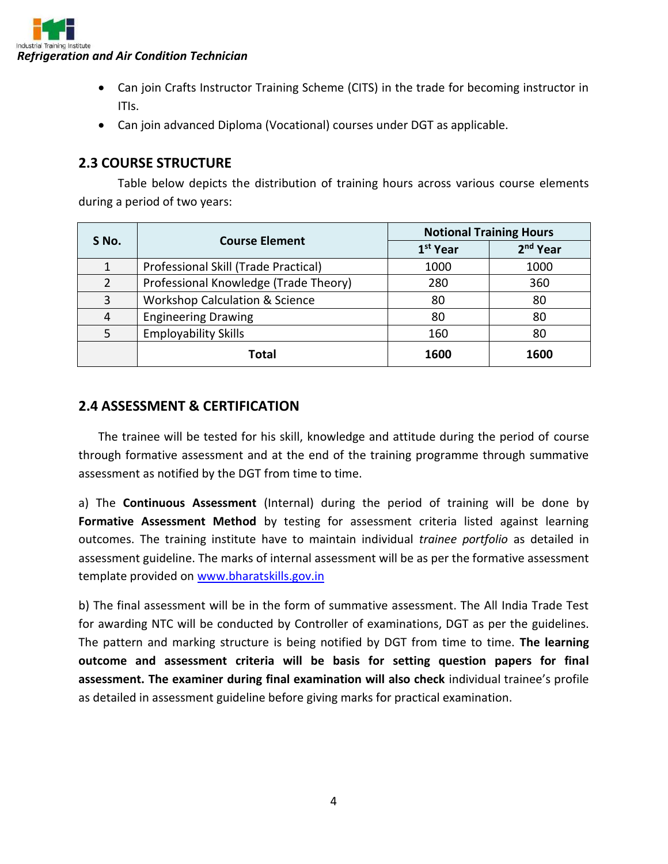

- Can join Crafts Instructor Training Scheme (CITS) in the trade for becoming instructor in ITIs.
- Can join advanced Diploma (Vocational) courses under DGT as applicable.

#### **2.3 COURSE STRUCTURE**

Table below depicts the distribution of training hours across various course elements during a period of two years:

| S No. | <b>Course Element</b>                     | <b>Notional Training Hours</b> |                      |
|-------|-------------------------------------------|--------------------------------|----------------------|
|       |                                           | 1 <sup>st</sup> Year           | 2 <sup>nd</sup> Year |
|       | Professional Skill (Trade Practical)      | 1000                           | 1000                 |
| 2     | Professional Knowledge (Trade Theory)     | 280                            | 360                  |
| 3     | <b>Workshop Calculation &amp; Science</b> | 80                             | 80                   |
| 4     | <b>Engineering Drawing</b>                | 80                             | 80                   |
| 5     | <b>Employability Skills</b>               | 160                            | 80                   |
|       | Total                                     | 1600                           | 1600                 |

#### **2.4 ASSESSMENT & CERTIFICATION**

The trainee will be tested for his skill, knowledge and attitude during the period of course through formative assessment and at the end of the training programme through summative assessment as notified by the DGT from time to time.

a) The **Continuous Assessment** (Internal) during the period of training will be done by Formative Assessment Method by testing for assessment criteria listed against learning outcomes. The training institute have to maintain individual *trainee portfolio* as detailed in assessment guideline. The marks of internal assessment will be as per the formative assessment template provided on [www.bharatskills.gov.in](http://www.bharatskills.gov.in/)

b) The final assessment will be in the form of summative assessment. The All India Trade Test for awarding NTC will be conducted by Controller of examinations, DGT as per the guidelines. The pattern and marking structure is being notified by DGT from time to time. **The learning outcome and assessment criteria will be basis for setting question papers for final assessment. The examiner during final examination will also check** individual trainee's profile as detailed in assessment guideline before giving marks for practical examination.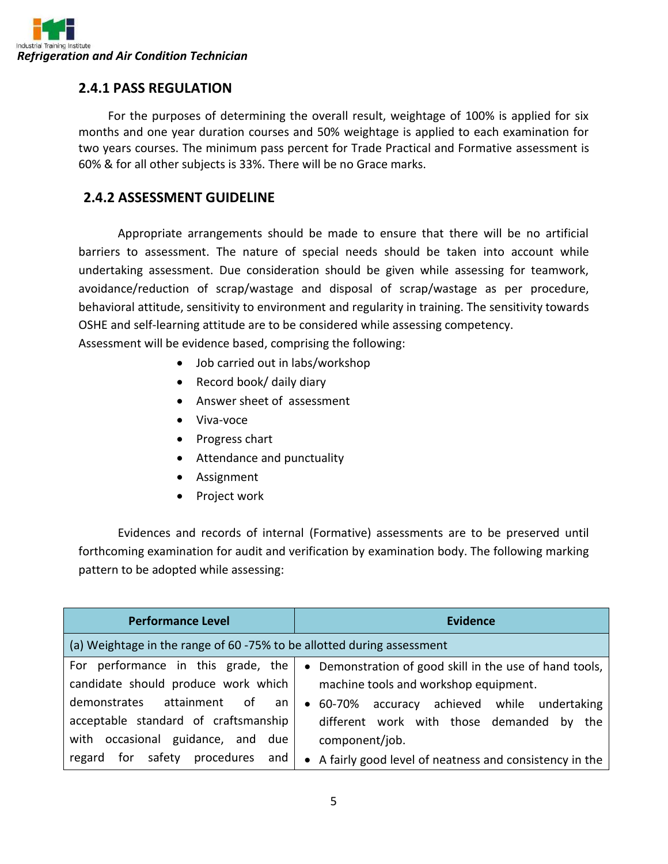

#### **2.4.1 PASS REGULATION**

For the purposes of determining the overall result, weightage of 100% is applied for six months and one year duration courses and 50% weightage is applied to each examination for two years courses. The minimum pass percent for Trade Practical and Formative assessment is 60% & for all other subjects is 33%. There will be no Grace marks.

#### **2.4.2 ASSESSMENT GUIDELINE**

Appropriate arrangements should be made to ensure that there will be no artificial barriers to assessment. The nature of special needs should be taken into account while undertaking assessment. Due consideration should be given while assessing for teamwork, avoidance/reduction of scrap/wastage and disposal of scrap/wastage as per procedure, behavioral attitude, sensitivity to environment and regularity in training. The sensitivity towards OSHE and self-learning attitude are to be considered while assessing competency. Assessment will be evidence based, comprising the following:

- Job carried out in labs/workshop
- Record book/ daily diary
- Answer sheet of assessment
- Viva-voce
- Progress chart
- Attendance and punctuality
- Assignment
- Project work

Evidences and records of internal (Formative) assessments are to be preserved until forthcoming examination for audit and verification by examination body. The following marking pattern to be adopted while assessing:

| <b>Performance Level</b>                                                                                            | <b>Evidence</b>                                                                                                           |  |
|---------------------------------------------------------------------------------------------------------------------|---------------------------------------------------------------------------------------------------------------------------|--|
| (a) Weightage in the range of 60 -75% to be allotted during assessment                                              |                                                                                                                           |  |
| For performance in this grade, the<br>candidate should produce work which                                           | • Demonstration of good skill in the use of hand tools,<br>machine tools and workshop equipment.                          |  |
| demonstrates<br>attainment of<br>an an<br>acceptable standard of craftsmanship<br>with occasional guidance, and due | accuracy achieved while undertaking<br>60-70%<br>$\bullet$<br>different work with those demanded by the<br>component/job. |  |
| safety procedures and<br>for<br>regard                                                                              | A fairly good level of neatness and consistency in the<br>$\bullet$                                                       |  |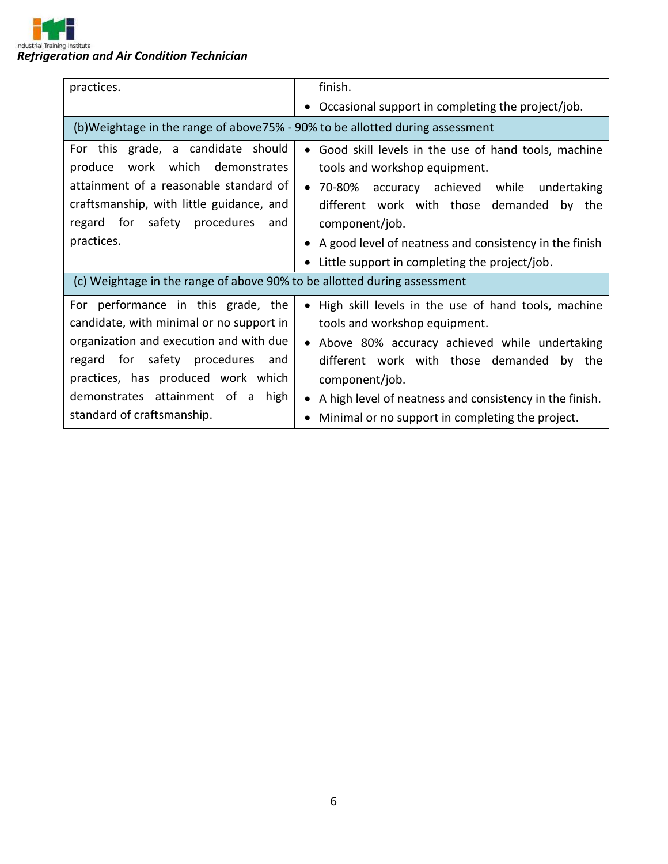

| practices.                                                                                                                                                                                                                                                                | finish.                                                                                                                                                                                                                                                                                                                             |
|---------------------------------------------------------------------------------------------------------------------------------------------------------------------------------------------------------------------------------------------------------------------------|-------------------------------------------------------------------------------------------------------------------------------------------------------------------------------------------------------------------------------------------------------------------------------------------------------------------------------------|
|                                                                                                                                                                                                                                                                           | Occasional support in completing the project/job.                                                                                                                                                                                                                                                                                   |
| (b) Weightage in the range of above 75% - 90% to be allotted during assessment                                                                                                                                                                                            |                                                                                                                                                                                                                                                                                                                                     |
| For this grade, a candidate should<br>work which demonstrates<br>produce<br>attainment of a reasonable standard of<br>craftsmanship, with little guidance, and<br>regard for safety procedures<br>and<br>practices.                                                       | Good skill levels in the use of hand tools, machine<br>$\bullet$<br>tools and workshop equipment.<br>• 70-80% accuracy achieved while undertaking<br>different work with those demanded by the<br>component/job.<br>A good level of neatness and consistency in the finish<br>Little support in completing the project/job.         |
| (c) Weightage in the range of above 90% to be allotted during assessment                                                                                                                                                                                                  |                                                                                                                                                                                                                                                                                                                                     |
| For performance in this grade, the<br>candidate, with minimal or no support in<br>organization and execution and with due<br>regard for safety procedures<br>and<br>practices, has produced work which<br>demonstrates attainment of a high<br>standard of craftsmanship. | High skill levels in the use of hand tools, machine<br>tools and workshop equipment.<br>Above 80% accuracy achieved while undertaking<br>$\bullet$<br>different work with those demanded<br>by the<br>component/job.<br>A high level of neatness and consistency in the finish.<br>Minimal or no support in completing the project. |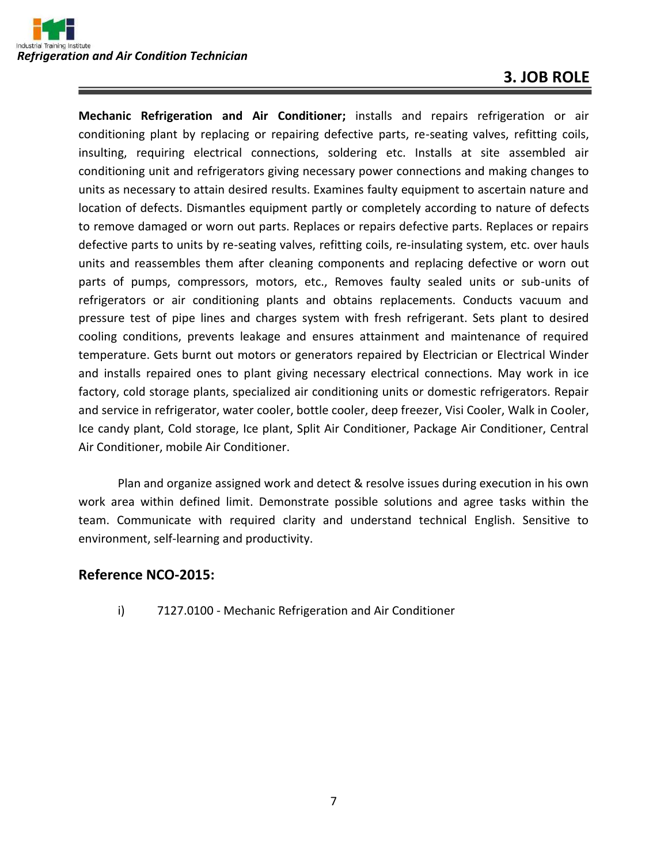### **3. JOB ROLE**

**Mechanic Refrigeration and Air Conditioner;** installs and repairs refrigeration or air conditioning plant by replacing or repairing defective parts, re-seating valves, refitting coils, insulting, requiring electrical connections, soldering etc. Installs at site assembled air conditioning unit and refrigerators giving necessary power connections and making changes to units as necessary to attain desired results. Examines faulty equipment to ascertain nature and location of defects. Dismantles equipment partly or completely according to nature of defects to remove damaged or worn out parts. Replaces or repairs defective parts. Replaces or repairs defective parts to units by re-seating valves, refitting coils, re-insulating system, etc. over hauls units and reassembles them after cleaning components and replacing defective or worn out parts of pumps, compressors, motors, etc., Removes faulty sealed units or sub-units of refrigerators or air conditioning plants and obtains replacements. Conducts vacuum and pressure test of pipe lines and charges system with fresh refrigerant. Sets plant to desired cooling conditions, prevents leakage and ensures attainment and maintenance of required temperature. Gets burnt out motors or generators repaired by Electrician or Electrical Winder and installs repaired ones to plant giving necessary electrical connections. May work in ice factory, cold storage plants, specialized air conditioning units or domestic refrigerators. Repair and service in refrigerator, water cooler, bottle cooler, deep freezer, Visi Cooler, Walk in Cooler, Ice candy plant, Cold storage, Ice plant, Split Air Conditioner, Package Air Conditioner, Central Air Conditioner, mobile Air Conditioner.

Plan and organize assigned work and detect & resolve issues during execution in his own work area within defined limit. Demonstrate possible solutions and agree tasks within the team. Communicate with required clarity and understand technical English. Sensitive to environment, self-learning and productivity.

#### **Reference NCO-2015:**

i) 7127.0100 - Mechanic Refrigeration and Air Conditioner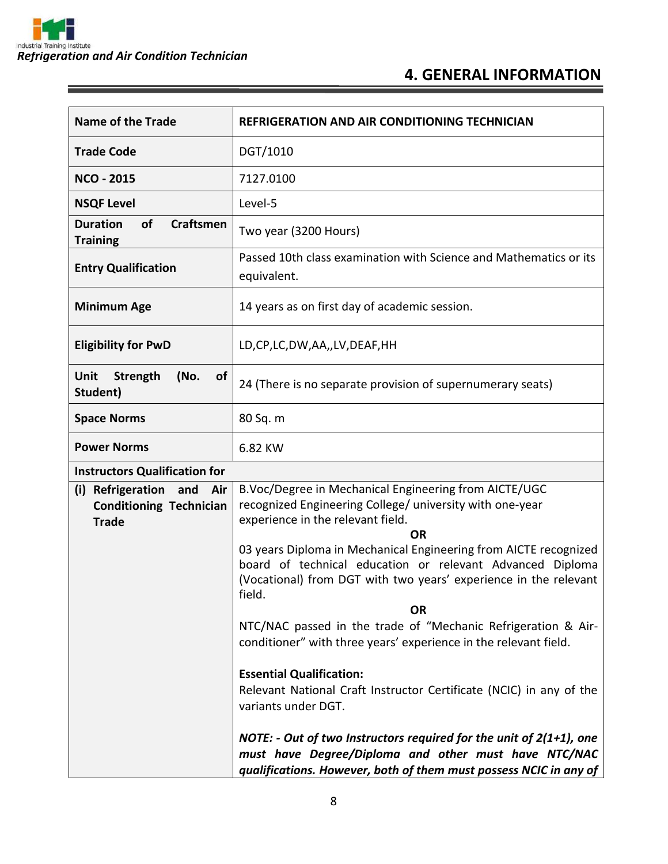$\equiv$ 

## **4. GENERAL INFORMATION**

| <b>Name of the Trade</b>                                                             | <b>REFRIGERATION AND AIR CONDITIONING TECHNICIAN</b>                                                                                                                                                                                                                                                                                                                     |
|--------------------------------------------------------------------------------------|--------------------------------------------------------------------------------------------------------------------------------------------------------------------------------------------------------------------------------------------------------------------------------------------------------------------------------------------------------------------------|
| <b>Trade Code</b>                                                                    | DGT/1010                                                                                                                                                                                                                                                                                                                                                                 |
| <b>NCO - 2015</b>                                                                    | 7127.0100                                                                                                                                                                                                                                                                                                                                                                |
| <b>NSQF Level</b>                                                                    | Level-5                                                                                                                                                                                                                                                                                                                                                                  |
| <b>Duration</b><br>of<br><b>Craftsmen</b><br><b>Training</b>                         | Two year (3200 Hours)                                                                                                                                                                                                                                                                                                                                                    |
| <b>Entry Qualification</b>                                                           | Passed 10th class examination with Science and Mathematics or its<br>equivalent.                                                                                                                                                                                                                                                                                         |
| <b>Minimum Age</b>                                                                   | 14 years as on first day of academic session.                                                                                                                                                                                                                                                                                                                            |
| <b>Eligibility for PwD</b>                                                           | LD,CP,LC,DW,AA,,LV,DEAF,HH                                                                                                                                                                                                                                                                                                                                               |
| <b>Unit</b><br>Strength<br>(No.<br><b>of</b><br>Student)                             | 24 (There is no separate provision of supernumerary seats)                                                                                                                                                                                                                                                                                                               |
| <b>Space Norms</b>                                                                   | 80 Sq. m                                                                                                                                                                                                                                                                                                                                                                 |
| <b>Power Norms</b>                                                                   | 6.82 KW                                                                                                                                                                                                                                                                                                                                                                  |
| <b>Instructors Qualification for</b>                                                 |                                                                                                                                                                                                                                                                                                                                                                          |
| Refrigeration<br>(i)<br>and<br>Air<br><b>Conditioning Technician</b><br><b>Trade</b> | B.Voc/Degree in Mechanical Engineering from AICTE/UGC<br>recognized Engineering College/ university with one-year<br>experience in the relevant field.<br><b>OR</b><br>03 years Diploma in Mechanical Engineering from AICTE recognized<br>board of technical education or relevant Advanced Diploma<br>(Vocational) from DGT with two years' experience in the relevant |
|                                                                                      | field.                                                                                                                                                                                                                                                                                                                                                                   |
|                                                                                      | <b>OR</b><br>NTC/NAC passed in the trade of "Mechanic Refrigeration & Air-<br>conditioner" with three years' experience in the relevant field.                                                                                                                                                                                                                           |
|                                                                                      | <b>Essential Qualification:</b><br>Relevant National Craft Instructor Certificate (NCIC) in any of the<br>variants under DGT.                                                                                                                                                                                                                                            |
|                                                                                      | NOTE: - Out of two Instructors required for the unit of $2(1+1)$ , one<br>must have Degree/Diploma and other must have NTC/NAC<br>qualifications. However, both of them must possess NCIC in any of                                                                                                                                                                      |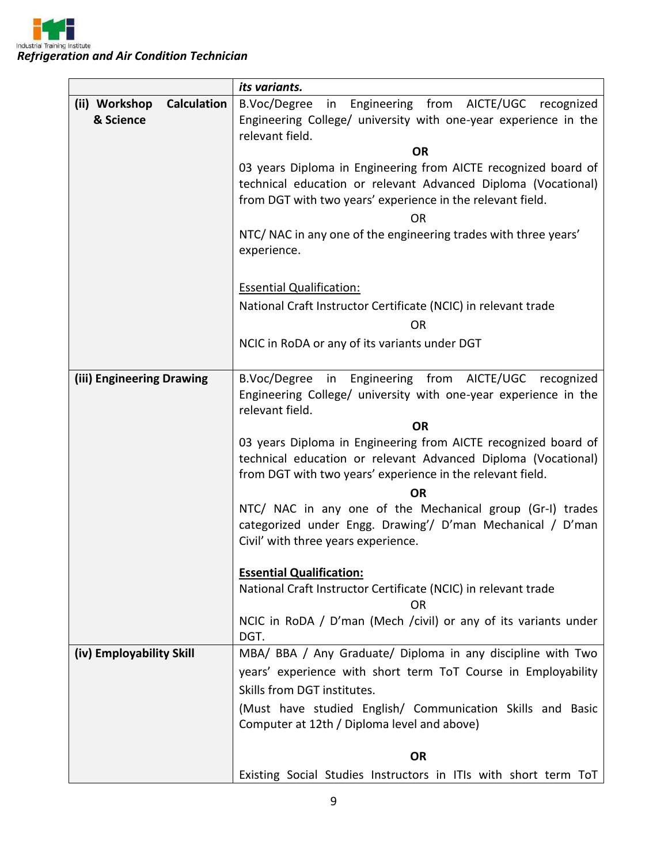|                                        | its variants.                                                                                             |
|----------------------------------------|-----------------------------------------------------------------------------------------------------------|
| (ii) Workshop Calculation<br>& Science | B.Voc/Degree<br>in Engineering from AICTE/UGC recognized                                                  |
|                                        | Engineering College/ university with one-year experience in the<br>relevant field.                        |
|                                        | <b>OR</b>                                                                                                 |
|                                        | 03 years Diploma in Engineering from AICTE recognized board of                                            |
|                                        | technical education or relevant Advanced Diploma (Vocational)                                             |
|                                        | from DGT with two years' experience in the relevant field.                                                |
|                                        | ΟR<br>NTC/ NAC in any one of the engineering trades with three years'                                     |
|                                        | experience.                                                                                               |
|                                        | <b>Essential Qualification:</b>                                                                           |
|                                        | National Craft Instructor Certificate (NCIC) in relevant trade                                            |
|                                        | <b>OR</b>                                                                                                 |
|                                        | NCIC in RoDA or any of its variants under DGT                                                             |
| (iii) Engineering Drawing              | B.Voc/Degree in Engineering from AICTE/UGC recognized                                                     |
|                                        | Engineering College/ university with one-year experience in the<br>relevant field.                        |
|                                        | <b>OR</b>                                                                                                 |
|                                        | 03 years Diploma in Engineering from AICTE recognized board of                                            |
|                                        | technical education or relevant Advanced Diploma (Vocational)                                             |
|                                        | from DGT with two years' experience in the relevant field.<br>ΟR                                          |
|                                        | NTC/ NAC in any one of the Mechanical group (Gr-I) trades                                                 |
|                                        | categorized under Engg. Drawing'/ D'man Mechanical / D'man                                                |
|                                        | Civil' with three years experience.                                                                       |
|                                        | <b>Essential Qualification:</b>                                                                           |
|                                        | National Craft Instructor Certificate (NCIC) in relevant trade                                            |
|                                        | ΟR                                                                                                        |
|                                        | NCIC in RoDA / D'man (Mech /civil) or any of its variants under<br>DGT.                                   |
| (iv) Employability Skill               | MBA/ BBA / Any Graduate/ Diploma in any discipline with Two                                               |
|                                        | years' experience with short term ToT Course in Employability                                             |
|                                        | Skills from DGT institutes.                                                                               |
|                                        | (Must have studied English/ Communication Skills and Basic<br>Computer at 12th / Diploma level and above) |
|                                        | <b>OR</b>                                                                                                 |
|                                        | Existing Social Studies Instructors in ITIs with short term ToT                                           |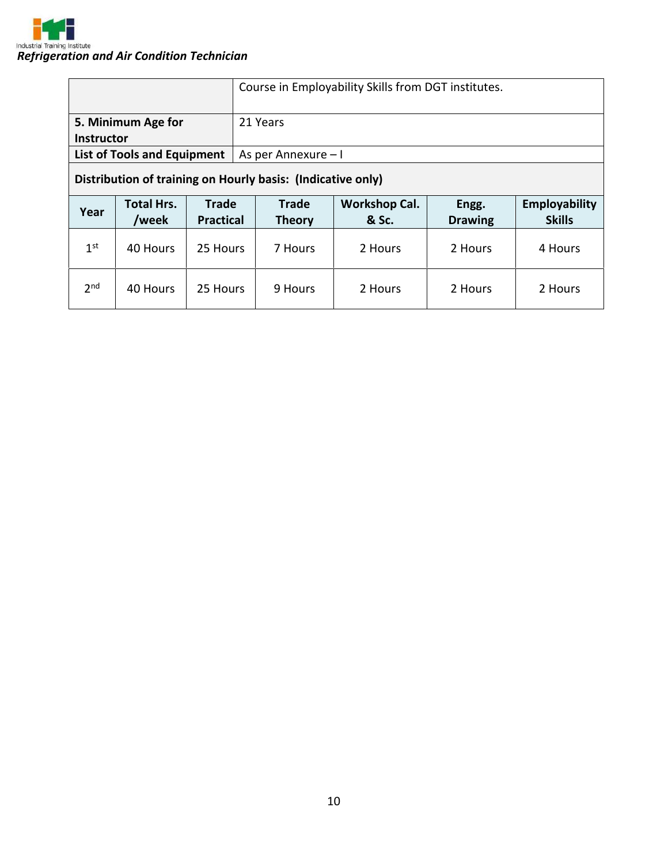

|                                                             |                                    |                                  | Course in Employability Skills from DGT institutes. |                               |                               |                         |                                |
|-------------------------------------------------------------|------------------------------------|----------------------------------|-----------------------------------------------------|-------------------------------|-------------------------------|-------------------------|--------------------------------|
| 5. Minimum Age for<br><b>Instructor</b>                     |                                    |                                  | 21 Years                                            |                               |                               |                         |                                |
|                                                             | <b>List of Tools and Equipment</b> |                                  | As per Annexure - I                                 |                               |                               |                         |                                |
| Distribution of training on Hourly basis: (Indicative only) |                                    |                                  |                                                     |                               |                               |                         |                                |
|                                                             |                                    |                                  |                                                     |                               |                               |                         |                                |
| Year                                                        | <b>Total Hrs.</b><br>/week         | <b>Trade</b><br><b>Practical</b> |                                                     | <b>Trade</b><br><b>Theory</b> | <b>Workshop Cal.</b><br>& Sc. | Engg.<br><b>Drawing</b> | Employability<br><b>Skills</b> |
| 1 <sup>st</sup>                                             | 40 Hours                           | 25 Hours                         |                                                     | 7 Hours                       | 2 Hours                       | 2 Hours                 | 4 Hours                        |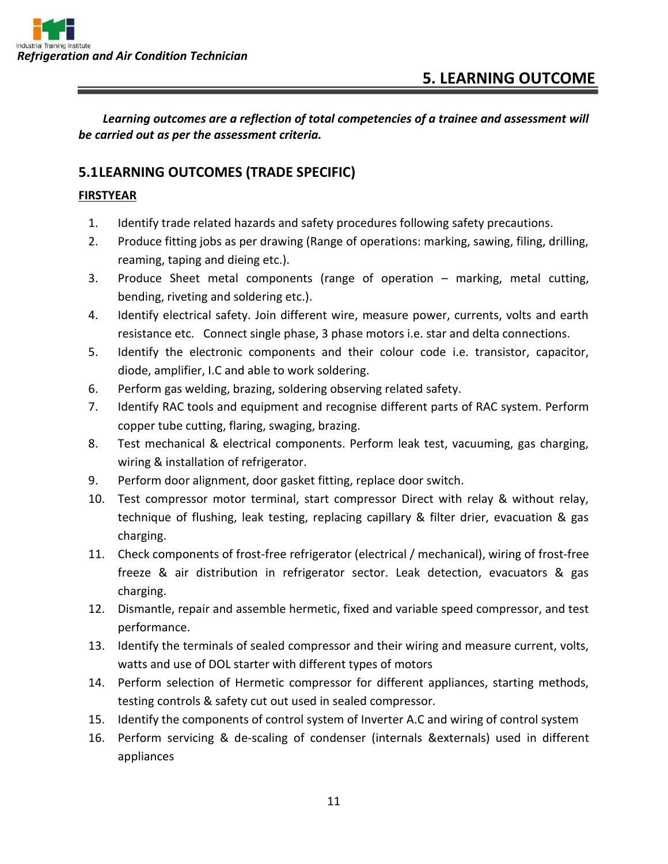*Learning outcomes are a reflection of total competencies of a trainee and assessment will be carried out as per the assessment criteria.*

#### **5.1LEARNING OUTCOMES (TRADE SPECIFIC)**

#### **FIRSTYEAR**

- 1. Identify trade related hazards and safety procedures following safety precautions.
- 2. Produce fitting jobs as per drawing (Range of operations: marking, sawing, filing, drilling, reaming, taping and dieing etc.).
- 3. Produce Sheet metal components (range of operation marking, metal cutting, bending, riveting and soldering etc.).
- 4. Identify electrical safety. Join different wire, measure power, currents, volts and earth resistance etc. Connect single phase, 3 phase motors i.e. star and delta connections.
- 5. Identify the electronic components and their colour code i.e. transistor, capacitor, diode, amplifier, I.C and able to work soldering.
- 6. Perform gas welding, brazing, soldering observing related safety.
- 7. Identify RAC tools and equipment and recognise different parts of RAC system. Perform copper tube cutting, flaring, swaging, brazing.
- 8. Test mechanical & electrical components. Perform leak test, vacuuming, gas charging, wiring & installation of refrigerator.
- 9. Perform door alignment, door gasket fitting, replace door switch.
- 10. Test compressor motor terminal, start compressor Direct with relay & without relay, technique of flushing, leak testing, replacing capillary & filter drier, evacuation & gas charging.
- 11. Check components of frost-free refrigerator (electrical / mechanical), wiring of frost-free freeze & air distribution in refrigerator sector. Leak detection, evacuators & gas charging.
- 12. Dismantle, repair and assemble hermetic, fixed and variable speed compressor, and test performance.
- 13. Identify the terminals of sealed compressor and their wiring and measure current, volts, watts and use of DOL starter with different types of motors
- 14. Perform selection of Hermetic compressor for different appliances, starting methods, testing controls & safety cut out used in sealed compressor.
- 15. Identify the components of control system of Inverter A.C and wiring of control system
- 16. Perform servicing & de-scaling of condenser (internals &externals) used in different appliances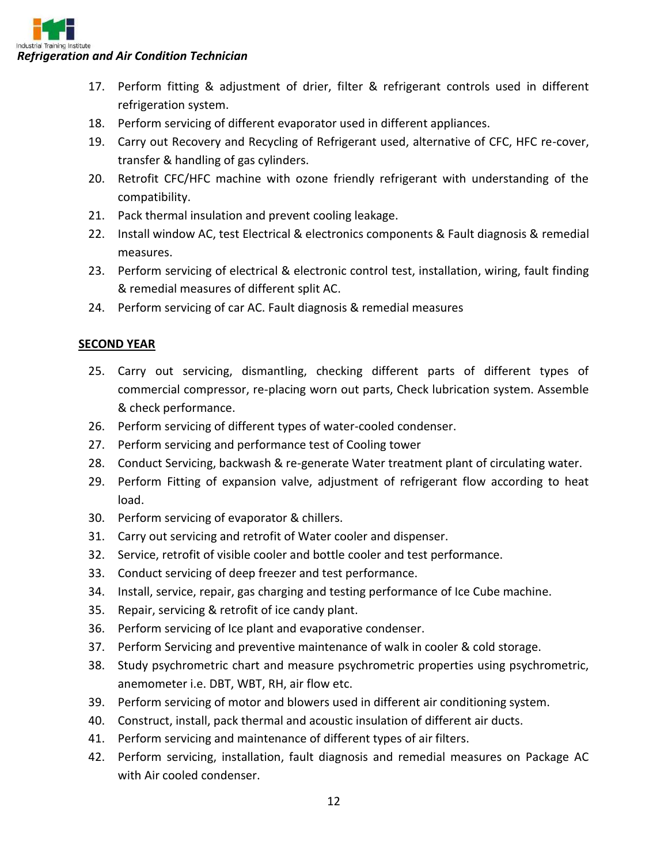

- 17. Perform fitting & adjustment of drier, filter & refrigerant controls used in different refrigeration system.
- 18. Perform servicing of different evaporator used in different appliances.
- 19. Carry out Recovery and Recycling of Refrigerant used, alternative of CFC, HFC re-cover, transfer & handling of gas cylinders.
- 20. Retrofit CFC/HFC machine with ozone friendly refrigerant with understanding of the compatibility.
- 21. Pack thermal insulation and prevent cooling leakage.
- 22. Install window AC, test Electrical & electronics components & Fault diagnosis & remedial measures.
- 23. Perform servicing of electrical & electronic control test, installation, wiring, fault finding & remedial measures of different split AC.
- 24. Perform servicing of car AC. Fault diagnosis & remedial measures

#### **SECOND YEAR**

- 25. Carry out servicing, dismantling, checking different parts of different types of commercial compressor, re-placing worn out parts, Check lubrication system. Assemble & check performance.
- 26. Perform servicing of different types of water-cooled condenser.
- 27. Perform servicing and performance test of Cooling tower
- 28. Conduct Servicing, backwash & re-generate Water treatment plant of circulating water.
- 29. Perform Fitting of expansion valve, adjustment of refrigerant flow according to heat load.
- 30. Perform servicing of evaporator & chillers.
- 31. Carry out servicing and retrofit of Water cooler and dispenser.
- 32. Service, retrofit of visible cooler and bottle cooler and test performance.
- 33. Conduct servicing of deep freezer and test performance.
- 34. Install, service, repair, gas charging and testing performance of Ice Cube machine.
- 35. Repair, servicing & retrofit of ice candy plant.
- 36. Perform servicing of Ice plant and evaporative condenser.
- 37. Perform Servicing and preventive maintenance of walk in cooler & cold storage.
- 38. Study psychrometric chart and measure psychrometric properties using psychrometric, anemometer i.e. DBT, WBT, RH, air flow etc.
- 39. Perform servicing of motor and blowers used in different air conditioning system.
- 40. Construct, install, pack thermal and acoustic insulation of different air ducts.
- 41. Perform servicing and maintenance of different types of air filters.
- 42. Perform servicing, installation, fault diagnosis and remedial measures on Package AC with Air cooled condenser.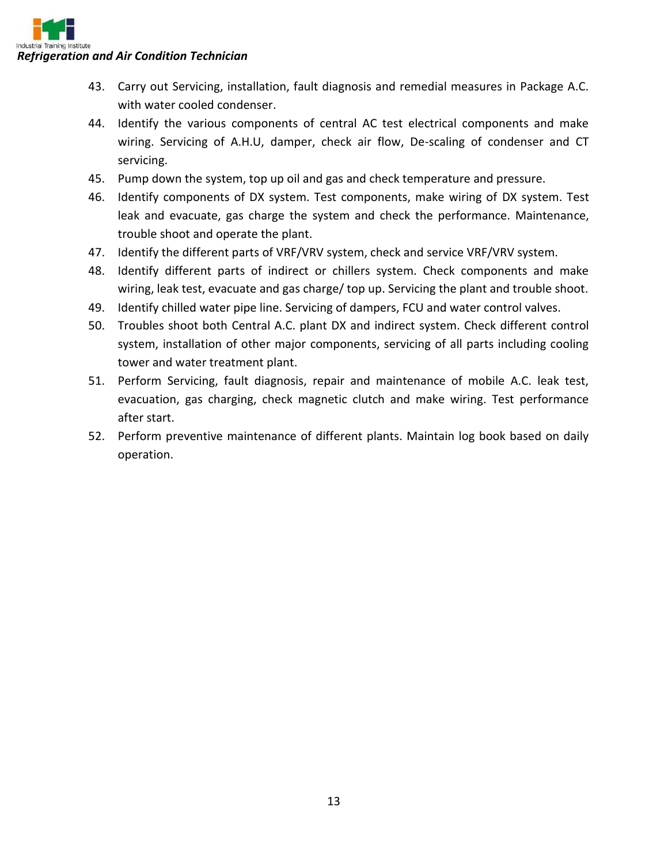# *Refrigeration and Air Condition Technician*

- 43. Carry out Servicing, installation, fault diagnosis and remedial measures in Package A.C. with water cooled condenser.
- 44. Identify the various components of central AC test electrical components and make wiring. Servicing of A.H.U, damper, check air flow, De-scaling of condenser and CT servicing.
- 45. Pump down the system, top up oil and gas and check temperature and pressure.
- 46. Identify components of DX system. Test components, make wiring of DX system. Test leak and evacuate, gas charge the system and check the performance. Maintenance, trouble shoot and operate the plant.
- 47. Identify the different parts of VRF/VRV system, check and service VRF/VRV system.
- 48. Identify different parts of indirect or chillers system. Check components and make wiring, leak test, evacuate and gas charge/ top up. Servicing the plant and trouble shoot.
- 49. Identify chilled water pipe line. Servicing of dampers, FCU and water control valves.
- 50. Troubles shoot both Central A.C. plant DX and indirect system. Check different control system, installation of other major components, servicing of all parts including cooling tower and water treatment plant.
- 51. Perform Servicing, fault diagnosis, repair and maintenance of mobile A.C. leak test, evacuation, gas charging, check magnetic clutch and make wiring. Test performance after start.
- 52. Perform preventive maintenance of different plants. Maintain log book based on daily operation.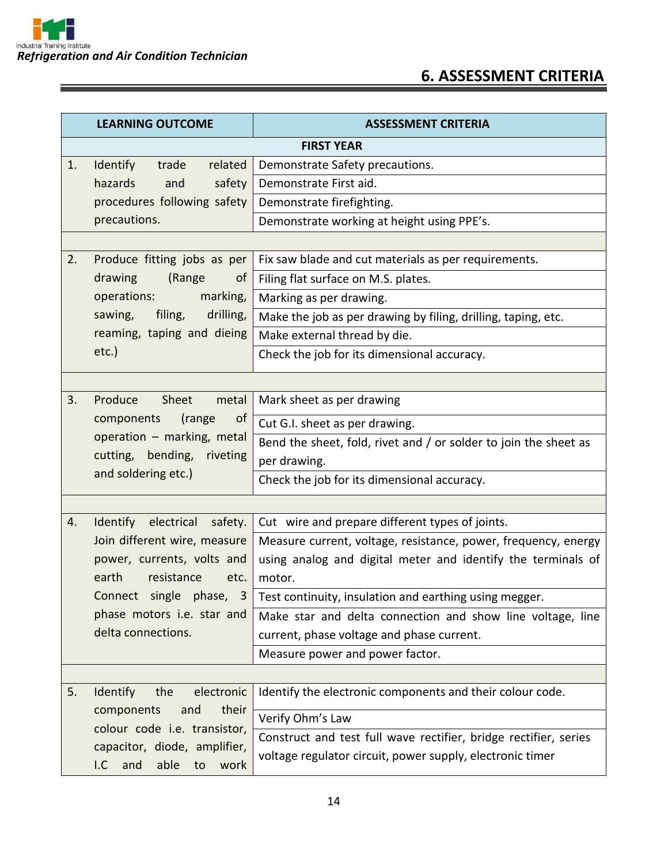# **6. ASSESSMENT CRITERIA**

|    | <b>LEARNING OUTCOME</b>                                          | <b>ASSESSMENT CRITERIA</b>                                       |  |
|----|------------------------------------------------------------------|------------------------------------------------------------------|--|
|    | <b>FIRST YEAR</b>                                                |                                                                  |  |
| 1. | related<br>Identify<br>trade                                     | Demonstrate Safety precautions.                                  |  |
|    | hazards<br>safety<br>and                                         | Demonstrate First aid.                                           |  |
|    | procedures following safety                                      | Demonstrate firefighting.                                        |  |
|    | precautions.                                                     | Demonstrate working at height using PPE's.                       |  |
|    |                                                                  |                                                                  |  |
| 2. | Produce fitting jobs as per                                      | Fix saw blade and cut materials as per requirements.             |  |
|    | drawing<br>(Range<br>of                                          | Filing flat surface on M.S. plates.                              |  |
|    | operations:<br>marking,                                          | Marking as per drawing.                                          |  |
|    | sawing,<br>filing,<br>drilling,                                  | Make the job as per drawing by filing, drilling, taping, etc.    |  |
|    | reaming, taping and dieing                                       | Make external thread by die.                                     |  |
|    | $etc.$ )                                                         | Check the job for its dimensional accuracy.                      |  |
|    |                                                                  |                                                                  |  |
| 3. | Produce<br>Sheet<br>metal                                        | Mark sheet as per drawing                                        |  |
|    | components<br>(range<br>of                                       | Cut G.I. sheet as per drawing.                                   |  |
|    | operation - marking, metal                                       | Bend the sheet, fold, rivet and / or solder to join the sheet as |  |
|    | cutting, bending,<br>riveting                                    | per drawing.                                                     |  |
|    | and soldering etc.)                                              | Check the job for its dimensional accuracy.                      |  |
|    |                                                                  |                                                                  |  |
| 4. | Identify electrical<br>safety.                                   | Cut wire and prepare different types of joints.                  |  |
|    | Join different wire, measure                                     | Measure current, voltage, resistance, power, frequency, energy   |  |
|    | power, currents, volts and                                       | using analog and digital meter and identify the terminals of     |  |
|    | earth<br>resistance<br>etc.                                      | motor.                                                           |  |
|    | Connect single phase,<br>$\overline{3}$                          | Test continuity, insulation and earthing using megger.           |  |
|    | phase motors i.e. star and                                       | Make star and delta connection and show line voltage, line       |  |
|    | delta connections.                                               | current, phase voltage and phase current.                        |  |
|    |                                                                  | Measure power and power factor.                                  |  |
|    |                                                                  |                                                                  |  |
| 5. | electronic<br>Identify<br>the                                    | Identify the electronic components and their colour code.        |  |
|    | their<br>components<br>and                                       | Verify Ohm's Law                                                 |  |
|    | colour code i.e. transistor,                                     | Construct and test full wave rectifier, bridge rectifier, series |  |
|    | capacitor, diode, amplifier,<br>able<br>I.C<br>and<br>to<br>work | voltage regulator circuit, power supply, electronic timer        |  |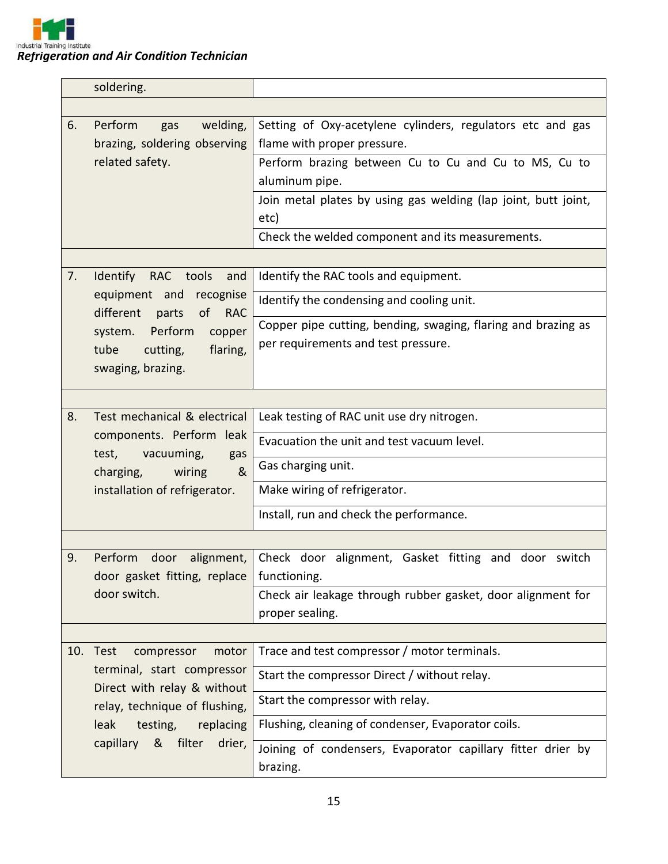

| soldering.                                                                          |                                                                                           |
|-------------------------------------------------------------------------------------|-------------------------------------------------------------------------------------------|
|                                                                                     |                                                                                           |
| Perform<br>6.<br>welding,<br>gas<br>brazing, soldering observing<br>related safety. | Setting of Oxy-acetylene cylinders, regulators etc and gas<br>flame with proper pressure. |
|                                                                                     | Perform brazing between Cu to Cu and Cu to MS, Cu to                                      |
|                                                                                     | aluminum pipe.                                                                            |
|                                                                                     | Join metal plates by using gas welding (lap joint, butt joint,<br>etc)                    |
|                                                                                     | Check the welded component and its measurements.                                          |
|                                                                                     |                                                                                           |
| 7.<br>Identify RAC<br>tools<br>and                                                  | Identify the RAC tools and equipment.                                                     |
| equipment and<br>recognise<br>different<br>of RAC<br>parts                          | Identify the condensing and cooling unit.                                                 |
| system. Perform<br>copper                                                           | Copper pipe cutting, bending, swaging, flaring and brazing as                             |
| tube<br>flaring,<br>cutting,                                                        | per requirements and test pressure.                                                       |
| swaging, brazing.                                                                   |                                                                                           |
|                                                                                     |                                                                                           |
|                                                                                     |                                                                                           |
| 8.<br>Test mechanical & electrical                                                  | Leak testing of RAC unit use dry nitrogen.                                                |
| components. Perform leak<br>test,<br>vacuuming,<br>gas                              | Evacuation the unit and test vacuum level.                                                |
| &<br>charging,<br>wiring                                                            | Gas charging unit.                                                                        |
| installation of refrigerator.                                                       | Make wiring of refrigerator.                                                              |
|                                                                                     | Install, run and check the performance.                                                   |
|                                                                                     |                                                                                           |
| 9.<br>Perform<br>door<br>alignment,                                                 | Check door alignment, Gasket fitting and door switch                                      |
| door gasket fitting, replace                                                        | functioning.                                                                              |
| door switch.                                                                        | Check air leakage through rubber gasket, door alignment for                               |
|                                                                                     | proper sealing.                                                                           |
|                                                                                     |                                                                                           |
| 10.<br>Test<br>motor<br>compressor                                                  | Trace and test compressor / motor terminals.                                              |
| terminal, start compressor<br>Direct with relay & without                           | Start the compressor Direct / without relay.                                              |
| relay, technique of flushing,                                                       | Start the compressor with relay.                                                          |
| leak<br>testing,<br>replacing                                                       | Flushing, cleaning of condenser, Evaporator coils.                                        |
| filter<br>capillary<br>&<br>drier,                                                  | Joining of condensers, Evaporator capillary fitter drier by                               |
|                                                                                     | brazing.                                                                                  |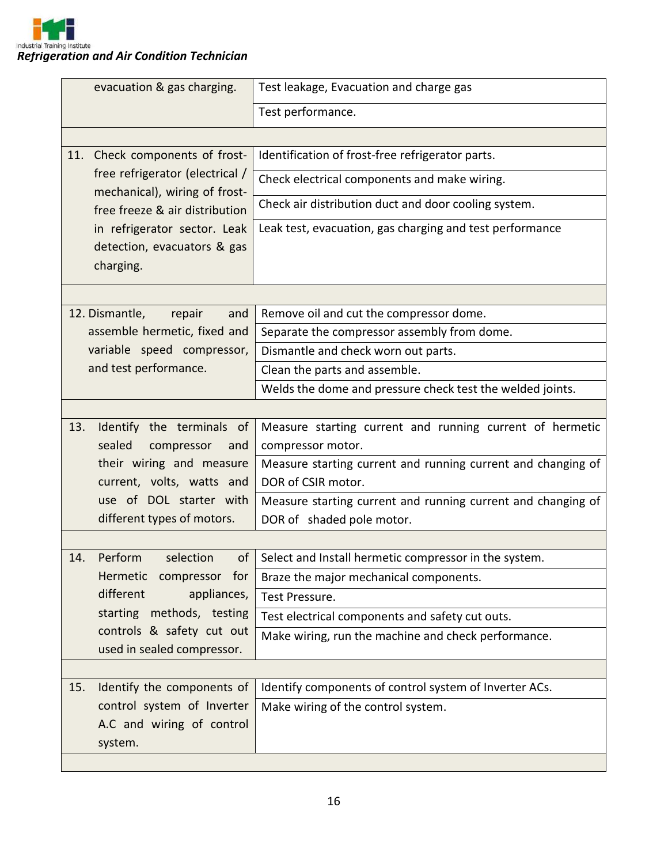| evacuation & gas charging.                                       | Test leakage, Evacuation and charge gas                      |
|------------------------------------------------------------------|--------------------------------------------------------------|
|                                                                  | Test performance.                                            |
|                                                                  |                                                              |
| Check components of frost-<br>11.                                | Identification of frost-free refrigerator parts.             |
| free refrigerator (electrical /<br>mechanical), wiring of frost- | Check electrical components and make wiring.                 |
| free freeze & air distribution                                   | Check air distribution duct and door cooling system.         |
| in refrigerator sector. Leak                                     | Leak test, evacuation, gas charging and test performance     |
| detection, evacuators & gas                                      |                                                              |
| charging.                                                        |                                                              |
|                                                                  |                                                              |
| 12. Dismantle,<br>repair<br>and                                  | Remove oil and cut the compressor dome.                      |
| assemble hermetic, fixed and                                     | Separate the compressor assembly from dome.                  |
| variable speed compressor,                                       | Dismantle and check worn out parts.                          |
| and test performance.                                            | Clean the parts and assemble.                                |
|                                                                  | Welds the dome and pressure check test the welded joints.    |
|                                                                  |                                                              |
| Identify the terminals of<br>13.                                 | Measure starting current and running current of hermetic     |
| sealed<br>compressor<br>and                                      | compressor motor.                                            |
| their wiring and measure                                         | Measure starting current and running current and changing of |
| current, volts, watts and                                        | DOR of CSIR motor.                                           |
| use of DOL starter with                                          | Measure starting current and running current and changing of |
| different types of motors.                                       | DOR of shaded pole motor.                                    |
|                                                                  |                                                              |
| Perform<br>selection<br>οf<br>14.                                | Select and Install hermetic compressor in the system.        |
| Hermetic compressor for                                          | Braze the major mechanical components.                       |
| different<br>appliances,                                         | Test Pressure.                                               |
| starting methods, testing                                        | Test electrical components and safety cut outs.              |
| controls & safety cut out<br>used in sealed compressor.          | Make wiring, run the machine and check performance.          |
|                                                                  |                                                              |
| Identify the components of<br>15.                                | Identify components of control system of Inverter ACs.       |
| control system of Inverter                                       | Make wiring of the control system.                           |
| A.C and wiring of control                                        |                                                              |
| system.                                                          |                                                              |
|                                                                  |                                                              |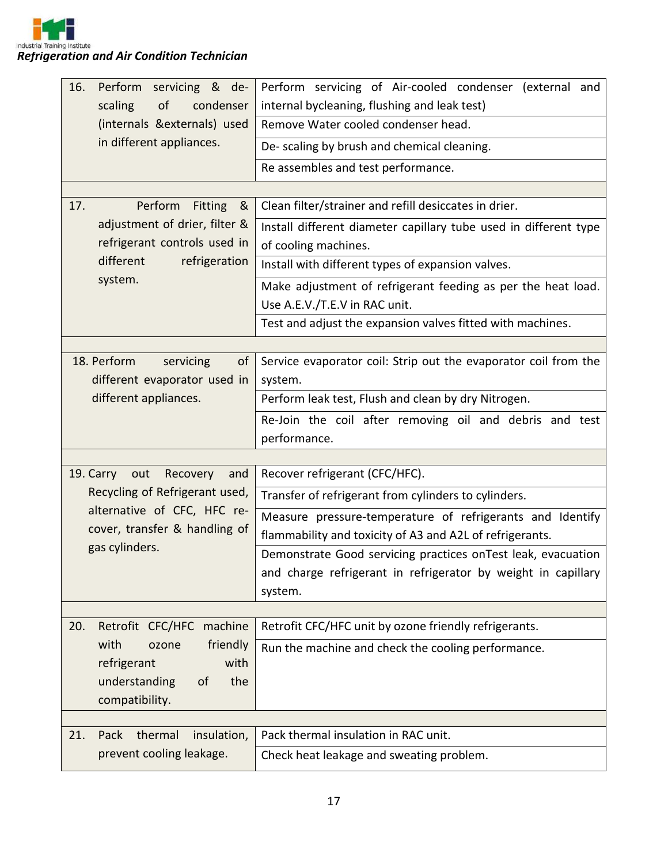*Refrigeration and Air Condition Technician*

| 16.<br>Perform<br>servicing & de-                             | Perform servicing of Air-cooled condenser (external and          |
|---------------------------------------------------------------|------------------------------------------------------------------|
| scaling<br>of<br>condenser                                    | internal bycleaning, flushing and leak test)                     |
| (internals &externals) used                                   | Remove Water cooled condenser head.                              |
| in different appliances.                                      | De- scaling by brush and chemical cleaning.                      |
|                                                               | Re assembles and test performance.                               |
|                                                               |                                                                  |
| Perform<br><b>Fitting</b><br>17.<br>୍ଷ                        | Clean filter/strainer and refill desiccates in drier.            |
| adjustment of drier, filter &                                 | Install different diameter capillary tube used in different type |
| refrigerant controls used in                                  | of cooling machines.                                             |
| different<br>refrigeration                                    | Install with different types of expansion valves.                |
| system.                                                       | Make adjustment of refrigerant feeding as per the heat load.     |
|                                                               | Use A.E.V./T.E.V in RAC unit.                                    |
|                                                               | Test and adjust the expansion valves fitted with machines.       |
|                                                               |                                                                  |
| 18. Perform<br>servicing<br>of                                | Service evaporator coil: Strip out the evaporator coil from the  |
| different evaporator used in                                  | system.                                                          |
| different appliances.                                         | Perform leak test, Flush and clean by dry Nitrogen.              |
|                                                               | Re-Join the coil after removing oil and debris and test          |
|                                                               | performance.                                                     |
|                                                               |                                                                  |
| 19. Carry<br>and<br>out<br>Recovery                           | Recover refrigerant (CFC/HFC).                                   |
| Recycling of Refrigerant used,<br>alternative of CFC, HFC re- | Transfer of refrigerant from cylinders to cylinders.             |
| cover, transfer & handling of                                 | Measure pressure-temperature of refrigerants and Identify        |
| gas cylinders.                                                | flammability and toxicity of A3 and A2L of refrigerants.         |
|                                                               | Demonstrate Good servicing practices on Test leak, evacuation    |
|                                                               | and charge refrigerant in refrigerator by weight in capillary    |
|                                                               | system.                                                          |
| 20.<br>Retrofit CFC/HFC machine                               | Retrofit CFC/HFC unit by ozone friendly refrigerants.            |
| with<br>friendly<br>ozone                                     |                                                                  |
| refrigerant<br>with                                           | Run the machine and check the cooling performance.               |
| understanding<br>the<br>of                                    |                                                                  |
| compatibility.                                                |                                                                  |
|                                                               |                                                                  |
| Pack<br>thermal<br>21.<br>insulation,                         | Pack thermal insulation in RAC unit.                             |
| prevent cooling leakage.                                      | Check heat leakage and sweating problem.                         |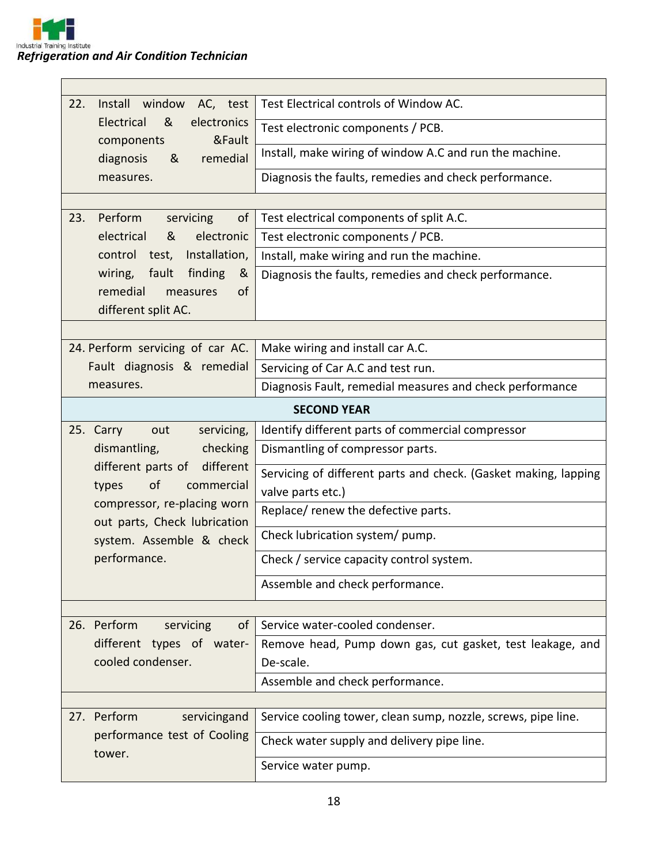| Install window<br>22.<br>AC, test                           | Test Electrical controls of Window AC.                          |  |  |
|-------------------------------------------------------------|-----------------------------------------------------------------|--|--|
| &<br>Electrical<br>electronics                              |                                                                 |  |  |
| &Fault<br>components                                        | Test electronic components / PCB.                               |  |  |
| remedial<br>diagnosis<br>&                                  | Install, make wiring of window A.C and run the machine.         |  |  |
| measures.                                                   | Diagnosis the faults, remedies and check performance.           |  |  |
|                                                             |                                                                 |  |  |
| Perform<br>23.<br>servicing<br>of                           | Test electrical components of split A.C.                        |  |  |
| electrical<br>electronic<br>&                               | Test electronic components / PCB.                               |  |  |
| control test, Installation,                                 | Install, make wiring and run the machine.                       |  |  |
| fault<br>wiring,<br>finding<br>&                            | Diagnosis the faults, remedies and check performance.           |  |  |
| remedial<br>measures<br><b>of</b>                           |                                                                 |  |  |
| different split AC.                                         |                                                                 |  |  |
|                                                             |                                                                 |  |  |
| 24. Perform servicing of car AC.                            | Make wiring and install car A.C.                                |  |  |
| Fault diagnosis & remedial                                  | Servicing of Car A.C and test run.                              |  |  |
| measures.                                                   | Diagnosis Fault, remedial measures and check performance        |  |  |
|                                                             | <b>SECOND YEAR</b>                                              |  |  |
| servicing,<br>25. Carry<br>out                              | Identify different parts of commercial compressor               |  |  |
| dismantling,<br>checking                                    | Dismantling of compressor parts.                                |  |  |
| different parts of<br>different                             | Servicing of different parts and check. (Gasket making, lapping |  |  |
| of<br>commercial<br>types                                   | valve parts etc.)                                               |  |  |
| compressor, re-placing worn<br>out parts, Check lubrication | Replace/ renew the defective parts.                             |  |  |
| system. Assemble & check<br>performance.                    | Check lubrication system/ pump.                                 |  |  |
|                                                             | Check / service capacity control system.                        |  |  |
|                                                             | Assemble and check performance.                                 |  |  |
|                                                             |                                                                 |  |  |
| 26. Perform<br>of<br>servicing                              | Service water-cooled condenser.                                 |  |  |
| different types of water-                                   | Remove head, Pump down gas, cut gasket, test leakage, and       |  |  |
| cooled condenser.                                           | De-scale.                                                       |  |  |
|                                                             | Assemble and check performance.                                 |  |  |
|                                                             |                                                                 |  |  |
| 27. Perform<br>servicingand                                 | Service cooling tower, clean sump, nozzle, screws, pipe line.   |  |  |
| performance test of Cooling<br>tower.                       | Check water supply and delivery pipe line.                      |  |  |
|                                                             | Service water pump.                                             |  |  |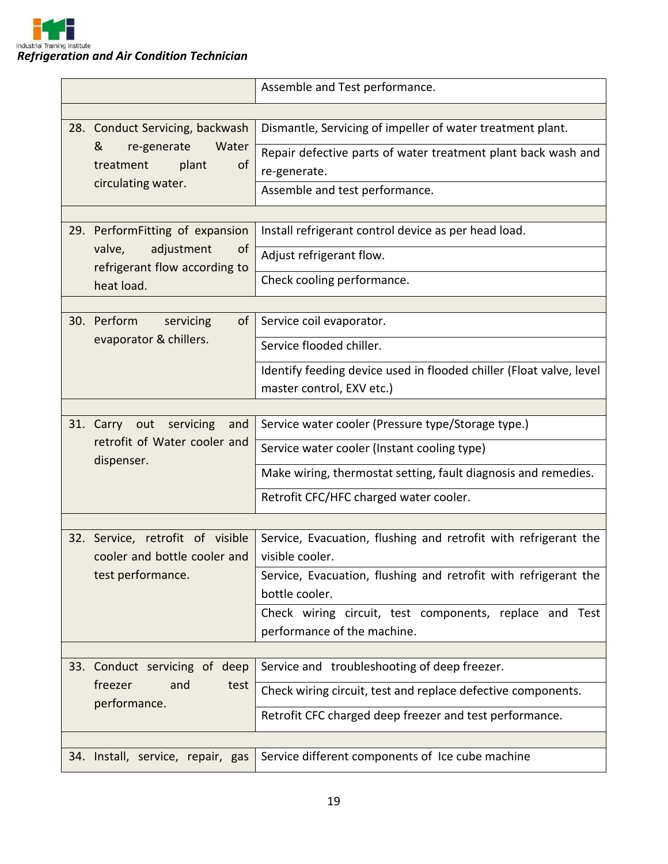

|  |                                                                              | Assemble and Test performance.                                                    |
|--|------------------------------------------------------------------------------|-----------------------------------------------------------------------------------|
|  |                                                                              |                                                                                   |
|  | 28. Conduct Servicing, backwash                                              | Dismantle, Servicing of impeller of water treatment plant.                        |
|  | &<br>re-generate<br>Water                                                    | Repair defective parts of water treatment plant back wash and                     |
|  | plant<br><sub>of</sub><br>treatment                                          | re-generate.                                                                      |
|  | circulating water.                                                           | Assemble and test performance.                                                    |
|  |                                                                              |                                                                                   |
|  | 29. PerformFitting of expansion                                              | Install refrigerant control device as per head load.                              |
|  | adjustment<br>valve,<br>of<br>refrigerant flow according to                  | Adjust refrigerant flow.                                                          |
|  | heat load.                                                                   | Check cooling performance.                                                        |
|  |                                                                              |                                                                                   |
|  | 30. Perform<br>servicing<br>of                                               | Service coil evaporator.                                                          |
|  | evaporator & chillers.                                                       | Service flooded chiller.                                                          |
|  |                                                                              | Identify feeding device used in flooded chiller (Float valve, level               |
|  |                                                                              | master control, EXV etc.)                                                         |
|  |                                                                              |                                                                                   |
|  | 31. Carry out servicing<br>and<br>retrofit of Water cooler and<br>dispenser. | Service water cooler (Pressure type/Storage type.)                                |
|  |                                                                              | Service water cooler (Instant cooling type)                                       |
|  |                                                                              | Make wiring, thermostat setting, fault diagnosis and remedies.                    |
|  |                                                                              | Retrofit CFC/HFC charged water cooler.                                            |
|  |                                                                              |                                                                                   |
|  | 32. Service, retrofit of visible                                             | Service, Evacuation, flushing and retrofit with refrigerant the                   |
|  | cooler and bottle cooler and                                                 | visible cooler.                                                                   |
|  | test performance.                                                            | Service, Evacuation, flushing and retrofit with refrigerant the<br>bottle cooler. |
|  |                                                                              | Check wiring circuit, test components, replace and Test                           |
|  |                                                                              | performance of the machine.                                                       |
|  |                                                                              |                                                                                   |
|  | 33. Conduct servicing of deep                                                | Service and troubleshooting of deep freezer.                                      |
|  | freezer<br>and<br>test<br>performance.                                       | Check wiring circuit, test and replace defective components.                      |
|  |                                                                              | Retrofit CFC charged deep freezer and test performance.                           |
|  |                                                                              |                                                                                   |
|  | 34. Install, service, repair, gas                                            | Service different components of Ice cube machine                                  |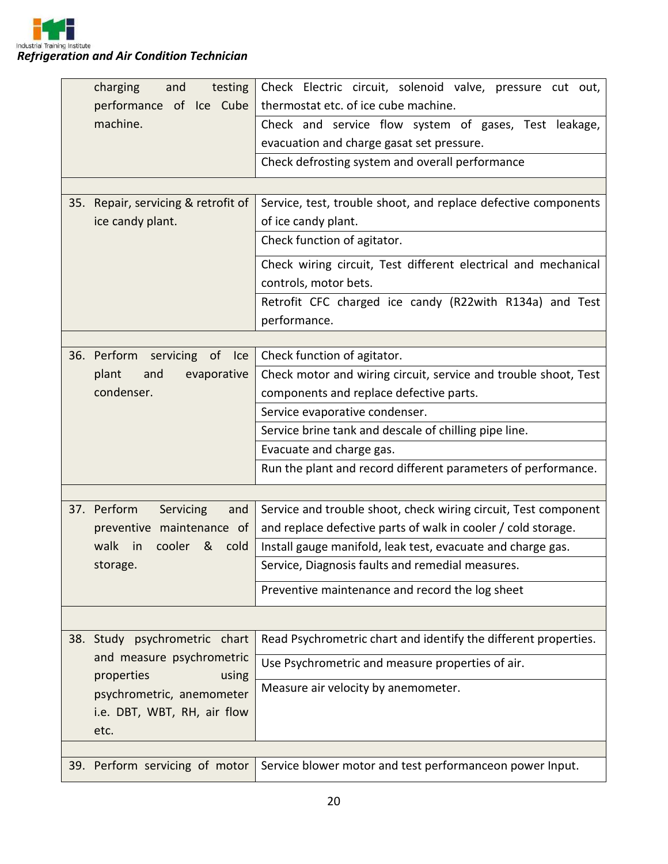

| charging<br>and<br>performance of Ice Cube<br>machine.<br>35. Repair, servicing & retrofit of<br>ice candy plant. | testing          | Check Electric circuit, solenoid valve, pressure cut out,<br>thermostat etc. of ice cube machine.<br>Check and service flow system of gases, Test leakage,<br>evacuation and charge gasat set pressure.<br>Check defrosting system and overall performance<br>Service, test, trouble shoot, and replace defective components<br>of ice candy plant.<br>Check function of agitator. |  |  |  |
|-------------------------------------------------------------------------------------------------------------------|------------------|------------------------------------------------------------------------------------------------------------------------------------------------------------------------------------------------------------------------------------------------------------------------------------------------------------------------------------------------------------------------------------|--|--|--|
|                                                                                                                   |                  | Check wiring circuit, Test different electrical and mechanical<br>controls, motor bets.                                                                                                                                                                                                                                                                                            |  |  |  |
|                                                                                                                   |                  | Retrofit CFC charged ice candy (R22with R134a) and Test<br>performance.                                                                                                                                                                                                                                                                                                            |  |  |  |
|                                                                                                                   |                  |                                                                                                                                                                                                                                                                                                                                                                                    |  |  |  |
| 36. Perform                                                                                                       | servicing of Ice | Check function of agitator.                                                                                                                                                                                                                                                                                                                                                        |  |  |  |
| plant<br>and<br>condenser.                                                                                        | evaporative      | Check motor and wiring circuit, service and trouble shoot, Test                                                                                                                                                                                                                                                                                                                    |  |  |  |
|                                                                                                                   |                  | components and replace defective parts.<br>Service evaporative condenser.                                                                                                                                                                                                                                                                                                          |  |  |  |
|                                                                                                                   |                  | Service brine tank and descale of chilling pipe line.                                                                                                                                                                                                                                                                                                                              |  |  |  |
|                                                                                                                   |                  | Evacuate and charge gas.                                                                                                                                                                                                                                                                                                                                                           |  |  |  |
|                                                                                                                   |                  | Run the plant and record different parameters of performance.                                                                                                                                                                                                                                                                                                                      |  |  |  |
|                                                                                                                   |                  |                                                                                                                                                                                                                                                                                                                                                                                    |  |  |  |
| 37. Perform                                                                                                       | Servicing<br>and | Service and trouble shoot, check wiring circuit, Test component                                                                                                                                                                                                                                                                                                                    |  |  |  |
| preventive maintenance of                                                                                         |                  | and replace defective parts of walk in cooler / cold storage.                                                                                                                                                                                                                                                                                                                      |  |  |  |
| cooler<br>walk<br>in                                                                                              | & cold           | Install gauge manifold, leak test, evacuate and charge gas.                                                                                                                                                                                                                                                                                                                        |  |  |  |
| storage.                                                                                                          |                  | Service, Diagnosis faults and remedial measures.                                                                                                                                                                                                                                                                                                                                   |  |  |  |
|                                                                                                                   |                  | Preventive maintenance and record the log sheet                                                                                                                                                                                                                                                                                                                                    |  |  |  |
|                                                                                                                   |                  |                                                                                                                                                                                                                                                                                                                                                                                    |  |  |  |
| 38. Study psychrometric chart                                                                                     |                  | Read Psychrometric chart and identify the different properties.                                                                                                                                                                                                                                                                                                                    |  |  |  |
| and measure psychrometric<br>properties                                                                           | using            | Use Psychrometric and measure properties of air.                                                                                                                                                                                                                                                                                                                                   |  |  |  |
| psychrometric, anemometer<br>i.e. DBT, WBT, RH, air flow<br>etc.                                                  |                  | Measure air velocity by anemometer.                                                                                                                                                                                                                                                                                                                                                |  |  |  |
|                                                                                                                   |                  |                                                                                                                                                                                                                                                                                                                                                                                    |  |  |  |
| 39. Perform servicing of motor                                                                                    |                  | Service blower motor and test performanceon power Input.                                                                                                                                                                                                                                                                                                                           |  |  |  |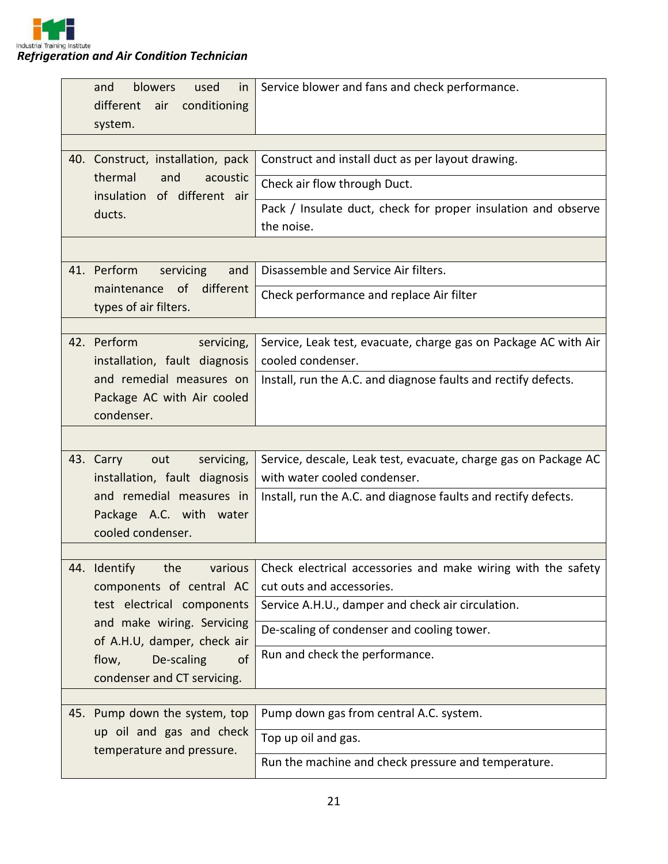

| blowers<br>and<br>used<br>in<br>different<br>conditioning<br>air<br>system. | Service blower and fans and check performance.                                                  |
|-----------------------------------------------------------------------------|-------------------------------------------------------------------------------------------------|
| 40. Construct, installation, pack                                           | Construct and install duct as per layout drawing.                                               |
| thermal<br>and<br>acoustic<br>insulation of different air                   | Check air flow through Duct.                                                                    |
| ducts.                                                                      | Pack / Insulate duct, check for proper insulation and observe<br>the noise.                     |
|                                                                             |                                                                                                 |
| 41. Perform<br>servicing<br>and                                             | Disassemble and Service Air filters.                                                            |
| different<br>of<br>maintenance<br>types of air filters.                     | Check performance and replace Air filter                                                        |
|                                                                             |                                                                                                 |
| 42. Perform<br>servicing,<br>installation, fault diagnosis                  | Service, Leak test, evacuate, charge gas on Package AC with Air<br>cooled condenser.            |
| and remedial measures on                                                    | Install, run the A.C. and diagnose faults and rectify defects.                                  |
| Package AC with Air cooled                                                  |                                                                                                 |
| condenser.                                                                  |                                                                                                 |
|                                                                             |                                                                                                 |
| 43. Carry<br>servicing,<br>out<br>installation, fault diagnosis             | Service, descale, Leak test, evacuate, charge gas on Package AC<br>with water cooled condenser. |
| and remedial measures in                                                    | Install, run the A.C. and diagnose faults and rectify defects.                                  |
| Package A.C. with water                                                     |                                                                                                 |
| cooled condenser.                                                           |                                                                                                 |
| 44. Identify the various                                                    | Check electrical accessories and make wiring with the safety                                    |
| components of central AC                                                    | cut outs and accessories.                                                                       |
| test electrical components                                                  | Service A.H.U., damper and check air circulation.                                               |
| and make wiring. Servicing<br>of A.H.U, damper, check air                   | De-scaling of condenser and cooling tower.                                                      |
| flow,<br>De-scaling<br><sub>of</sub>                                        | Run and check the performance.                                                                  |
| condenser and CT servicing.                                                 |                                                                                                 |
|                                                                             |                                                                                                 |
| 45. Pump down the system, top                                               | Pump down gas from central A.C. system.                                                         |
| up oil and gas and check                                                    | Top up oil and gas.                                                                             |
| temperature and pressure.                                                   | Run the machine and check pressure and temperature.                                             |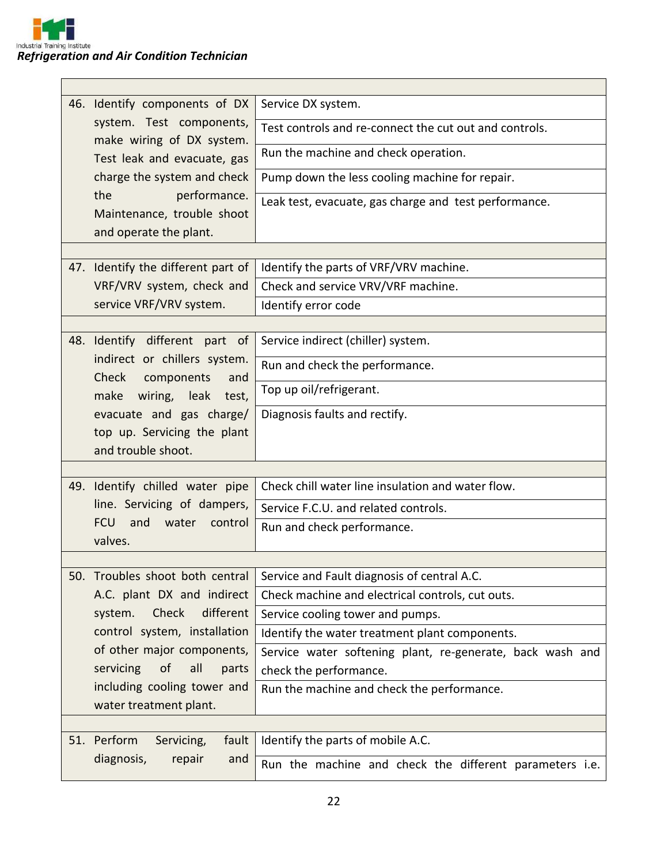|                             | 46. Identify components of DX                                                        | Service DX system.                                        |  |  |
|-----------------------------|--------------------------------------------------------------------------------------|-----------------------------------------------------------|--|--|
|                             | system. Test components,<br>make wiring of DX system.<br>Test leak and evacuate, gas | Test controls and re-connect the cut out and controls.    |  |  |
|                             |                                                                                      | Run the machine and check operation.                      |  |  |
|                             | charge the system and check                                                          | Pump down the less cooling machine for repair.            |  |  |
|                             | performance.<br>the<br>Maintenance, trouble shoot<br>and operate the plant.          | Leak test, evacuate, gas charge and test performance.     |  |  |
|                             |                                                                                      |                                                           |  |  |
|                             | 47. Identify the different part of                                                   | Identify the parts of VRF/VRV machine.                    |  |  |
|                             | VRF/VRV system, check and                                                            | Check and service VRV/VRF machine.                        |  |  |
|                             | service VRF/VRV system.                                                              | Identify error code                                       |  |  |
|                             |                                                                                      |                                                           |  |  |
|                             | 48. Identify different part of                                                       | Service indirect (chiller) system.                        |  |  |
|                             | indirect or chillers system.<br>Check<br>components<br>and                           | Run and check the performance.                            |  |  |
|                             | make wiring, leak test,                                                              | Top up oil/refrigerant.                                   |  |  |
|                             | evacuate and gas charge/                                                             | Diagnosis faults and rectify.                             |  |  |
| top up. Servicing the plant |                                                                                      |                                                           |  |  |
|                             | and trouble shoot.                                                                   |                                                           |  |  |
|                             |                                                                                      |                                                           |  |  |
|                             | 49. Identify chilled water pipe                                                      | Check chill water line insulation and water flow.         |  |  |
|                             | line. Servicing of dampers,                                                          | Service F.C.U. and related controls.                      |  |  |
|                             | and<br>water<br><b>FCU</b><br>control                                                | Run and check performance.                                |  |  |
|                             | valves.                                                                              |                                                           |  |  |
|                             |                                                                                      |                                                           |  |  |
| 50.                         | Troubles shoot both central                                                          | Service and Fault diagnosis of central A.C.               |  |  |
|                             | A.C. plant DX and indirect                                                           | Check machine and electrical controls, cut outs.          |  |  |
|                             | Check<br>different<br>system.                                                        | Service cooling tower and pumps.                          |  |  |
|                             | control system, installation                                                         | Identify the water treatment plant components.            |  |  |
|                             | of other major components,<br><sub>of</sub><br>all                                   | Service water softening plant, re-generate, back wash and |  |  |
|                             | servicing<br>parts<br>including cooling tower and                                    | check the performance.                                    |  |  |
|                             | water treatment plant.                                                               | Run the machine and check the performance.                |  |  |
|                             |                                                                                      |                                                           |  |  |
| 51.                         | Perform<br>fault<br>Servicing,                                                       | Identify the parts of mobile A.C.                         |  |  |
|                             | diagnosis,<br>repair<br>and                                                          | Run the machine and check the different parameters i.e.   |  |  |
|                             |                                                                                      |                                                           |  |  |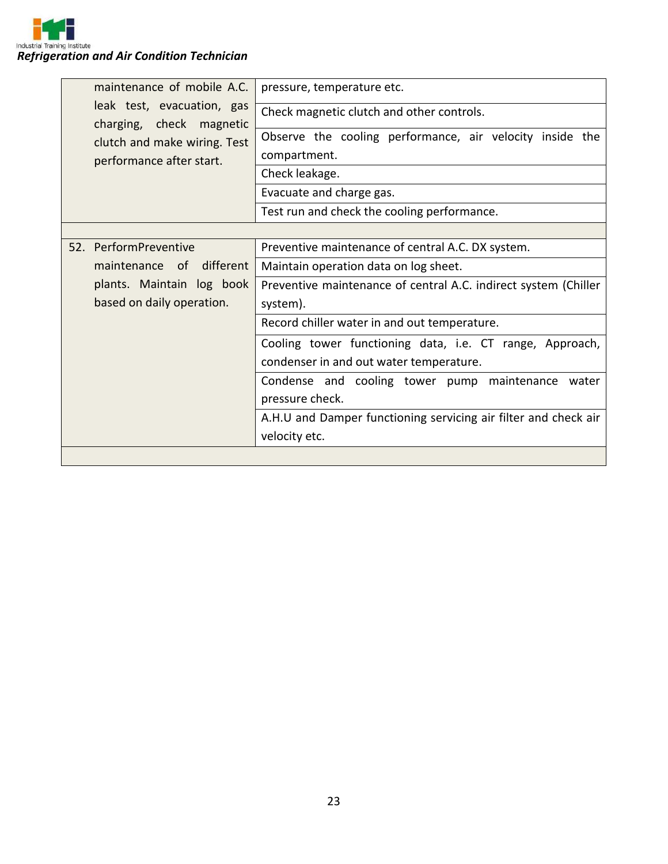| maintenance of mobile A.C.                             | pressure, temperature etc.                                      |  |  |
|--------------------------------------------------------|-----------------------------------------------------------------|--|--|
| leak test, evacuation, gas<br>charging, check magnetic | Check magnetic clutch and other controls.                       |  |  |
| clutch and make wiring. Test                           | Observe the cooling performance, air velocity inside the        |  |  |
| performance after start.                               | compartment.                                                    |  |  |
|                                                        | Check leakage.                                                  |  |  |
|                                                        | Evacuate and charge gas.                                        |  |  |
|                                                        | Test run and check the cooling performance.                     |  |  |
|                                                        |                                                                 |  |  |
| 52. PerformPreventive                                  | Preventive maintenance of central A.C. DX system.               |  |  |
| maintenance of different                               | Maintain operation data on log sheet.                           |  |  |
| plants. Maintain log book                              | Preventive maintenance of central A.C. indirect system (Chiller |  |  |
| based on daily operation.                              | system).                                                        |  |  |
|                                                        | Record chiller water in and out temperature.                    |  |  |
|                                                        | Cooling tower functioning data, i.e. CT range, Approach,        |  |  |
|                                                        | condenser in and out water temperature.                         |  |  |
|                                                        | Condense and cooling tower pump maintenance water               |  |  |
|                                                        | pressure check.                                                 |  |  |
|                                                        | A.H.U and Damper functioning servicing air filter and check air |  |  |
|                                                        | velocity etc.                                                   |  |  |
|                                                        |                                                                 |  |  |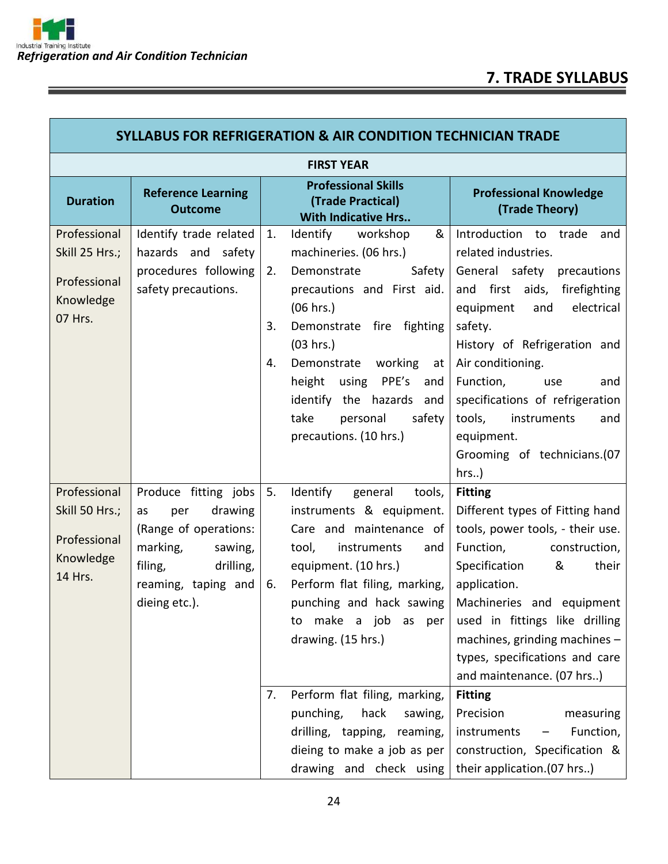<u> 1989 - Johann Steffenson, markin sanat masjid asl a shekara ta 1989 - An tsarat masjid asl a shekara ta 198</u>

 $=$ 

Г

 $\overline{\phantom{a}}$ 

| <b>SYLLABUS FOR REFRIGERATION &amp; AIR CONDITION TECHNICIAN TRADE</b> |                                                                                                                                                              |                      |                                                                                                                                                                                                                                                                                                                                                                                                                              |                                                                                                                                                                                                                                                                                                                                                                                                                                                                            |  |  |  |
|------------------------------------------------------------------------|--------------------------------------------------------------------------------------------------------------------------------------------------------------|----------------------|------------------------------------------------------------------------------------------------------------------------------------------------------------------------------------------------------------------------------------------------------------------------------------------------------------------------------------------------------------------------------------------------------------------------------|----------------------------------------------------------------------------------------------------------------------------------------------------------------------------------------------------------------------------------------------------------------------------------------------------------------------------------------------------------------------------------------------------------------------------------------------------------------------------|--|--|--|
|                                                                        | <b>FIRST YEAR</b>                                                                                                                                            |                      |                                                                                                                                                                                                                                                                                                                                                                                                                              |                                                                                                                                                                                                                                                                                                                                                                                                                                                                            |  |  |  |
| <b>Duration</b>                                                        | <b>Reference Learning</b><br><b>Outcome</b>                                                                                                                  |                      | <b>Professional Skills</b><br>(Trade Practical)<br><b>With Indicative Hrs</b>                                                                                                                                                                                                                                                                                                                                                | <b>Professional Knowledge</b><br>(Trade Theory)                                                                                                                                                                                                                                                                                                                                                                                                                            |  |  |  |
| Professional<br>Skill 25 Hrs.;<br>Professional<br>Knowledge<br>07 Hrs. | Identify trade related<br>hazards and safety<br>procedures following<br>safety precautions.                                                                  | 1.<br>2.<br>3.<br>4. | Identify<br>&<br>workshop<br>machineries. (06 hrs.)<br>Safety<br>Demonstrate<br>precautions and First aid.<br>(06 hrs.)<br>fire<br>fighting<br>Demonstrate<br>(03 hrs.)<br>Demonstrate<br>working<br>at<br>PPE's<br>height<br>using<br>and<br>identify the hazards and<br>take<br>safety<br>personal<br>precautions. (10 hrs.)                                                                                               | Introduction to trade<br>and<br>related industries.<br>General safety<br>precautions<br>and first aids, firefighting<br>electrical<br>equipment<br>and<br>safety.<br>History of Refrigeration and<br>Air conditioning.<br>Function,<br>and<br>use<br>specifications of refrigeration<br>tools,<br>instruments<br>and<br>equipment.<br>Grooming of technicians.(07<br>$hrs.$ )                                                                                              |  |  |  |
| Professional<br>Skill 50 Hrs.;<br>Professional<br>Knowledge<br>14 Hrs. | Produce fitting jobs<br>drawing<br>as<br>per<br>(Range of operations:<br>marking,<br>sawing,<br>filing,<br>drilling,<br>reaming, taping and<br>dieing etc.). | 5.<br>6.<br>7.       | Identify<br>general<br>tools,<br>instruments & equipment.<br>Care and maintenance of<br>tool,<br>instruments<br>and<br>equipment. (10 hrs.)<br>Perform flat filing, marking,<br>punching and hack sawing<br>make a job<br>as<br>per<br>to<br>drawing. (15 hrs.)<br>Perform flat filing, marking,<br>punching,<br>hack<br>sawing,<br>drilling, tapping,<br>reaming,<br>dieing to make a job as per<br>drawing and check using | <b>Fitting</b><br>Different types of Fitting hand<br>tools, power tools, - their use.<br>Function,<br>construction,<br>Specification<br>&<br>their<br>application.<br>Machineries and equipment<br>used in fittings like drilling<br>machines, grinding machines $-$<br>types, specifications and care<br>and maintenance. (07 hrs)<br><b>Fitting</b><br>Precision<br>measuring<br>Function,<br>instruments<br>construction, Specification &<br>their application.(07 hrs) |  |  |  |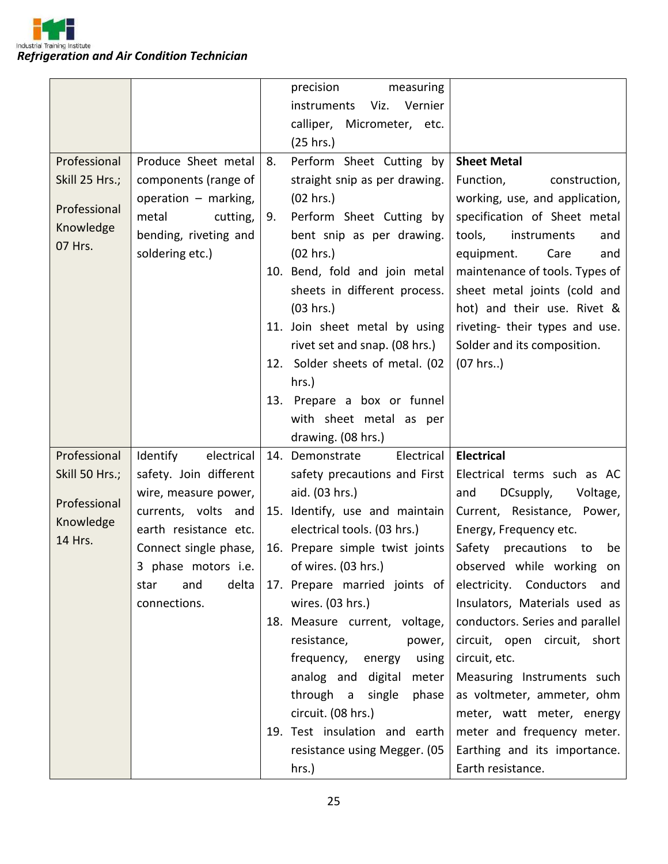

|                      |                        |    | precision<br>measuring          |                                 |
|----------------------|------------------------|----|---------------------------------|---------------------------------|
|                      |                        |    | Viz. Vernier<br>instruments     |                                 |
|                      |                        |    | calliper, Micrometer, etc.      |                                 |
|                      |                        |    | (25 hrs.)                       |                                 |
| Professional         | Produce Sheet metal    | 8. | Perform Sheet Cutting by        | <b>Sheet Metal</b>              |
| Skill 25 Hrs.;       | components (range of   |    | straight snip as per drawing.   | Function,<br>construction,      |
|                      | operation - marking,   |    | (02 hrs.)                       | working, use, and application,  |
| Professional         | metal<br>cutting,      | 9. | Perform Sheet Cutting by        | specification of Sheet metal    |
| Knowledge            | bending, riveting and  |    | bent snip as per drawing.       | tools,<br>instruments<br>and    |
| 07 Hrs.              | soldering etc.)        |    | (02 hrs.)                       | equipment.<br>Care<br>and       |
|                      |                        |    | 10. Bend, fold and join metal   | maintenance of tools. Types of  |
|                      |                        |    | sheets in different process.    | sheet metal joints (cold and    |
|                      |                        |    | (03 hrs.)                       | hot) and their use. Rivet &     |
|                      |                        |    | 11. Join sheet metal by using   | riveting- their types and use.  |
|                      |                        |    | rivet set and snap. (08 hrs.)   | Solder and its composition.     |
|                      |                        |    | 12. Solder sheets of metal. (02 | (07 hrs.)                       |
|                      |                        |    | hrs.)                           |                                 |
|                      |                        |    | 13. Prepare a box or funnel     |                                 |
|                      |                        |    | with sheet metal as per         |                                 |
|                      |                        |    | drawing. (08 hrs.)              |                                 |
| Professional         | electrical<br>Identify |    | Electrical<br>14. Demonstrate   | <b>Electrical</b>               |
| Skill 50 Hrs.;       | safety. Join different |    | safety precautions and First    | Electrical terms such as AC     |
| Professional         | wire, measure power,   |    | aid. (03 hrs.)                  | DCsupply,<br>Voltage,<br>and    |
|                      | currents, volts and    |    | 15. Identify, use and maintain  | Current, Resistance, Power,     |
| Knowledge<br>14 Hrs. | earth resistance etc.  |    | electrical tools. (03 hrs.)     | Energy, Frequency etc.          |
|                      | Connect single phase,  |    | 16. Prepare simple twist joints | precautions to<br>Safety<br>be  |
|                      | 3 phase motors i.e.    |    | of wires. (03 hrs.)             | observed while working on       |
|                      | delta<br>and<br>star   |    | 17. Prepare married joints of   | electricity. Conductors<br>and  |
|                      | connections.           |    | wires. (03 hrs.)                | Insulators, Materials used as   |
|                      |                        |    | 18. Measure current, voltage,   | conductors. Series and parallel |
|                      |                        |    | resistance,<br>power,           | circuit, open circuit, short    |
|                      |                        |    | frequency,<br>energy<br>using   | circuit, etc.                   |
|                      |                        |    | analog and digital<br>meter     | Measuring Instruments such      |
|                      |                        |    | through a single<br>phase       | as voltmeter, ammeter, ohm      |
|                      |                        |    | circuit. (08 hrs.)              | meter, watt meter, energy       |
|                      |                        |    | 19. Test insulation and earth   | meter and frequency meter.      |
|                      |                        |    | resistance using Megger. (05    | Earthing and its importance.    |
|                      |                        |    | hrs.)                           | Earth resistance.               |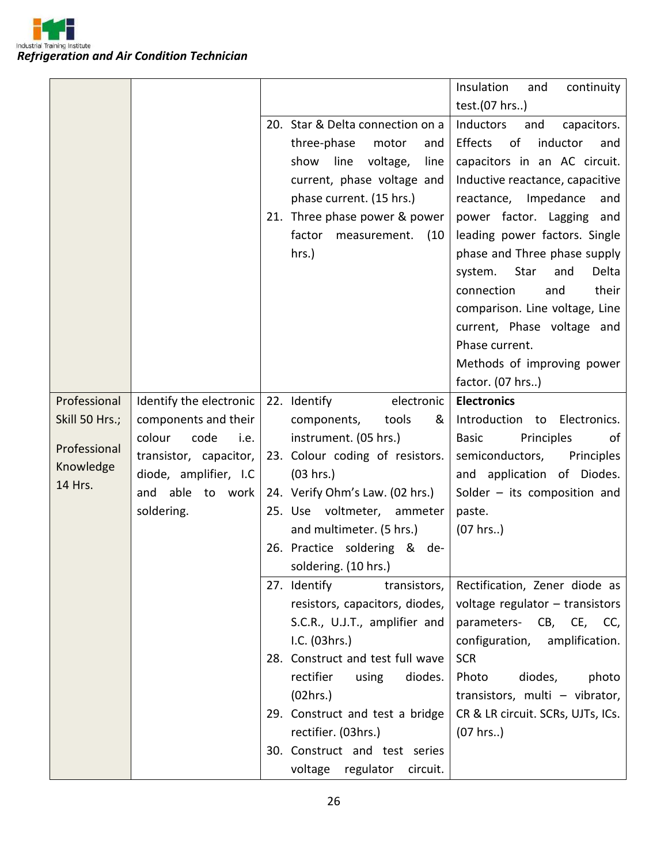|                      |                         |                                  | Insulation<br>continuity<br>and   |
|----------------------|-------------------------|----------------------------------|-----------------------------------|
|                      |                         |                                  | test.(07 hrs)                     |
|                      |                         | 20. Star & Delta connection on a | Inductors<br>and<br>capacitors.   |
|                      |                         | three-phase<br>motor<br>and      | Effects of<br>inductor<br>and     |
|                      |                         | line voltage,<br>show<br>line    | capacitors in an AC circuit.      |
|                      |                         | current, phase voltage and       | Inductive reactance, capacitive   |
|                      |                         | phase current. (15 hrs.)         | reactance,<br>Impedance<br>and    |
|                      |                         | 21. Three phase power & power    | power factor. Lagging and         |
|                      |                         | factor<br>measurement.<br>(10)   | leading power factors. Single     |
|                      |                         | hrs.)                            | phase and Three phase supply      |
|                      |                         |                                  | Star<br>system.<br>and<br>Delta   |
|                      |                         |                                  | their<br>connection<br>and        |
|                      |                         |                                  | comparison. Line voltage, Line    |
|                      |                         |                                  | current, Phase voltage and        |
|                      |                         |                                  | Phase current.                    |
|                      |                         |                                  | Methods of improving power        |
|                      |                         |                                  | factor. (07 hrs)                  |
| Professional         | Identify the electronic | 22. Identify<br>electronic       | <b>Electronics</b>                |
| Skill 50 Hrs.;       | components and their    | &<br>components,<br>tools        | Introduction to<br>Electronics.   |
| Professional         | colour<br>code<br>i.e.  | instrument. (05 hrs.)            | Principles<br><b>Basic</b><br>οf  |
|                      | transistor, capacitor,  | 23. Colour coding of resistors.  | semiconductors,<br>Principles     |
| Knowledge<br>14 Hrs. | diode, amplifier, I.C   | (03 hrs.)                        | and application of Diodes.        |
|                      | and able to work        | 24. Verify Ohm's Law. (02 hrs.)  | Solder $-$ its composition and    |
|                      | soldering.              | 25. Use voltmeter,<br>ammeter    | paste.                            |
|                      |                         | and multimeter. (5 hrs.)         | (07 hrs.)                         |
|                      |                         | 26. Practice soldering & de-     |                                   |
|                      |                         | soldering. (10 hrs.)             |                                   |
|                      |                         | 27. Identify<br>transistors,     | Rectification, Zener diode as     |
|                      |                         | resistors, capacitors, diodes,   | voltage regulator - transistors   |
|                      |                         | S.C.R., U.J.T., amplifier and    | parameters- CB, CE, CC,           |
|                      |                         | I.C. (03hrs.)                    | configuration, amplification.     |
|                      |                         | 28. Construct and test full wave | <b>SCR</b>                        |
|                      |                         | rectifier<br>using<br>diodes.    | Photo<br>diodes,<br>photo         |
|                      |                         | (02hrs.)                         | transistors, multi - vibrator,    |
|                      |                         | 29. Construct and test a bridge  | CR & LR circuit. SCRs, UJTs, ICs. |
|                      |                         | rectifier. (03hrs.)              | (07 hrs.)                         |
|                      |                         | 30. Construct and test series    |                                   |
|                      |                         | voltage regulator circuit.       |                                   |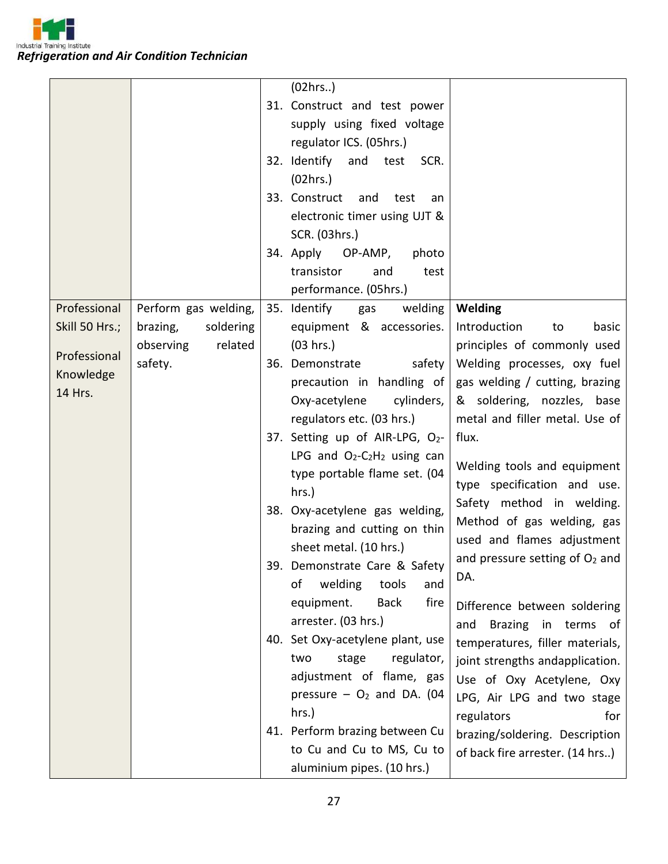*Refrigeration and Air Condition Technician*

|                |                       | (02hrs.)                                |                                  |
|----------------|-----------------------|-----------------------------------------|----------------------------------|
|                |                       | 31. Construct and test power            |                                  |
|                |                       | supply using fixed voltage              |                                  |
|                |                       | regulator ICS. (05hrs.)                 |                                  |
|                |                       | 32. Identify and test<br>SCR.           |                                  |
|                |                       | (02hrs.)                                |                                  |
|                |                       | 33. Construct<br>and<br>test<br>an      |                                  |
|                |                       | electronic timer using UJT &            |                                  |
|                |                       | SCR. (03hrs.)                           |                                  |
|                |                       | 34. Apply OP-AMP,<br>photo              |                                  |
|                |                       | transistor<br>and<br>test               |                                  |
|                |                       | performance. (05hrs.)                   |                                  |
| Professional   | Perform gas welding,  | 35. Identify<br>welding<br>gas          | Welding                          |
| Skill 50 Hrs.; | soldering<br>brazing, | equipment & accessories.                | basic<br>Introduction<br>to      |
|                | related<br>observing  | (03 hrs.)                               | principles of commonly used      |
| Professional   | safety.               | safety<br>36. Demonstrate               | Welding processes, oxy fuel      |
| Knowledge      |                       | precaution in handling of               | gas welding / cutting, brazing   |
| 14 Hrs.        |                       | Oxy-acetylene<br>cylinders,             | & soldering, nozzles, base       |
|                |                       | regulators etc. (03 hrs.)               | metal and filler metal. Use of   |
|                |                       | 37. Setting up of AIR-LPG, O2-          | flux.                            |
|                |                       | LPG and $O_2-C_2H_2$ using can          |                                  |
|                |                       | type portable flame set. (04            | Welding tools and equipment      |
|                |                       | hrs.)                                   | type specification and use.      |
|                |                       | 38. Oxy-acetylene gas welding,          | Safety method in welding.        |
|                |                       | brazing and cutting on thin             | Method of gas welding, gas       |
|                |                       | sheet metal. (10 hrs.)                  | used and flames adjustment       |
|                |                       | 39. Demonstrate Care & Safety           | and pressure setting of $O2$ and |
|                |                       | welding<br>tools<br>οf<br>and           | DA.                              |
|                |                       | fire<br>equipment.<br><b>Back</b>       | Difference between soldering     |
|                |                       | arrester. (03 hrs.)                     | Brazing in terms of<br>and       |
|                |                       | 40. Set Oxy-acetylene plant, use        | temperatures, filler materials,  |
|                |                       | regulator,<br>two<br>stage              | joint strengths andapplication.  |
|                |                       | adjustment of flame, gas                | Use of Oxy Acetylene, Oxy        |
|                |                       | pressure $-$ O <sub>2</sub> and DA. (04 | LPG, Air LPG and two stage       |
|                |                       | hrs.)                                   | regulators<br>for                |
|                |                       | 41. Perform brazing between Cu          | brazing/soldering. Description   |
|                |                       | to Cu and Cu to MS, Cu to               | of back fire arrester. (14 hrs)  |
|                |                       | aluminium pipes. (10 hrs.)              |                                  |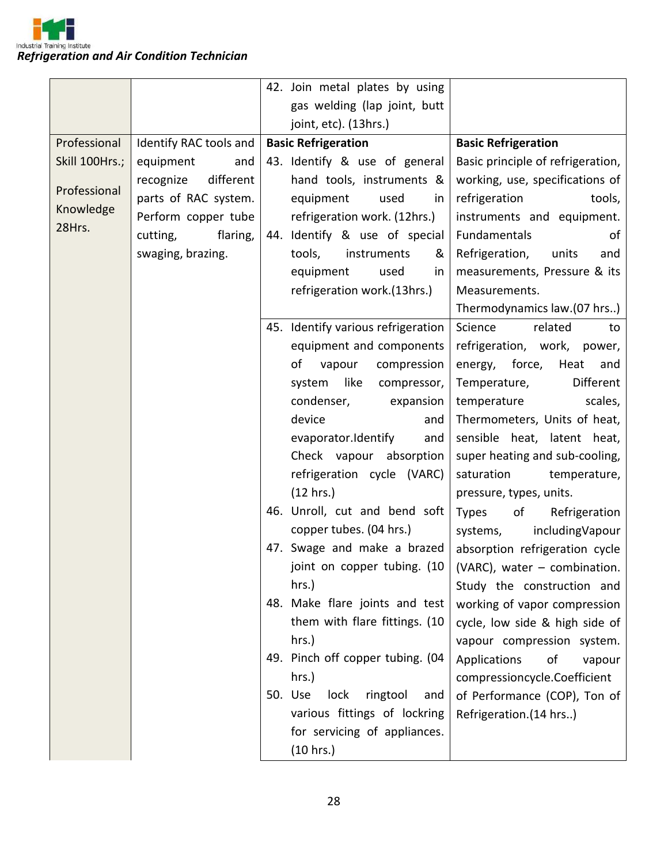

|                |                        | 42. Join metal plates by using     |                                                                  |
|----------------|------------------------|------------------------------------|------------------------------------------------------------------|
|                |                        | gas welding (lap joint, butt       |                                                                  |
|                |                        | joint, etc). (13hrs.)              |                                                                  |
| Professional   | Identify RAC tools and | <b>Basic Refrigeration</b>         | <b>Basic Refrigeration</b>                                       |
| Skill 100Hrs.; | equipment<br>and       | 43. Identify & use of general      | Basic principle of refrigeration,                                |
|                | different<br>recognize | hand tools, instruments &          | working, use, specifications of                                  |
| Professional   | parts of RAC system.   | equipment<br>used<br>in            | refrigeration<br>tools,                                          |
| Knowledge      | Perform copper tube    | refrigeration work. (12hrs.)       | instruments and equipment.                                       |
| 28Hrs.         | flaring,<br>cutting,   | 44. Identify & use of special      | Fundamentals<br>of                                               |
|                | swaging, brazing.      | tools,<br>instruments<br>&         | Refrigeration,<br>units<br>and                                   |
|                |                        | equipment<br>used<br>in            | measurements, Pressure & its                                     |
|                |                        | refrigeration work.(13hrs.)        | Measurements.                                                    |
|                |                        |                                    | Thermodynamics law.(07 hrs)                                      |
|                |                        | 45. Identify various refrigeration | Science<br>related<br>to                                         |
|                |                        | equipment and components           | refrigeration, work, power,                                      |
|                |                        | οf<br>compression<br>vapour        | energy, force,<br>Heat<br>and                                    |
|                |                        | like<br>system<br>compressor,      | Different<br>Temperature,                                        |
|                |                        | condenser,<br>expansion            | scales,<br>temperature                                           |
|                |                        | device<br>and                      | Thermometers, Units of heat,                                     |
|                |                        | evaporator.Identify<br>and         | sensible heat, latent heat,                                      |
|                |                        | Check vapour absorption            | super heating and sub-cooling,                                   |
|                |                        | refrigeration cycle (VARC)         | saturation<br>temperature,                                       |
|                |                        | (12 hrs.)                          | pressure, types, units.                                          |
|                |                        | 46. Unroll, cut and bend soft      | of<br><b>Types</b><br>Refrigeration                              |
|                |                        | copper tubes. (04 hrs.)            | includingVapour<br>systems,                                      |
|                |                        | 47. Swage and make a brazed        | absorption refrigeration cycle                                   |
|                |                        |                                    | joint on copper tubing. $(10 \mid (VARC)$ , water – combination. |
|                |                        | $hrs.$ )                           | Study the construction and                                       |
|                |                        | 48. Make flare joints and test     | working of vapor compression                                     |
|                |                        | them with flare fittings. (10      | cycle, low side & high side of                                   |
|                |                        | hrs.)                              | vapour compression system.                                       |
|                |                        | 49. Pinch off copper tubing. (04   | Applications<br>of<br>vapour                                     |
|                |                        | hrs.)                              | compressioncycle.Coefficient                                     |
|                |                        | 50. Use<br>lock<br>ringtool<br>and | of Performance (COP), Ton of                                     |
|                |                        | various fittings of lockring       | Refrigeration.(14 hrs)                                           |
|                |                        | for servicing of appliances.       |                                                                  |
|                |                        | (10 hrs.)                          |                                                                  |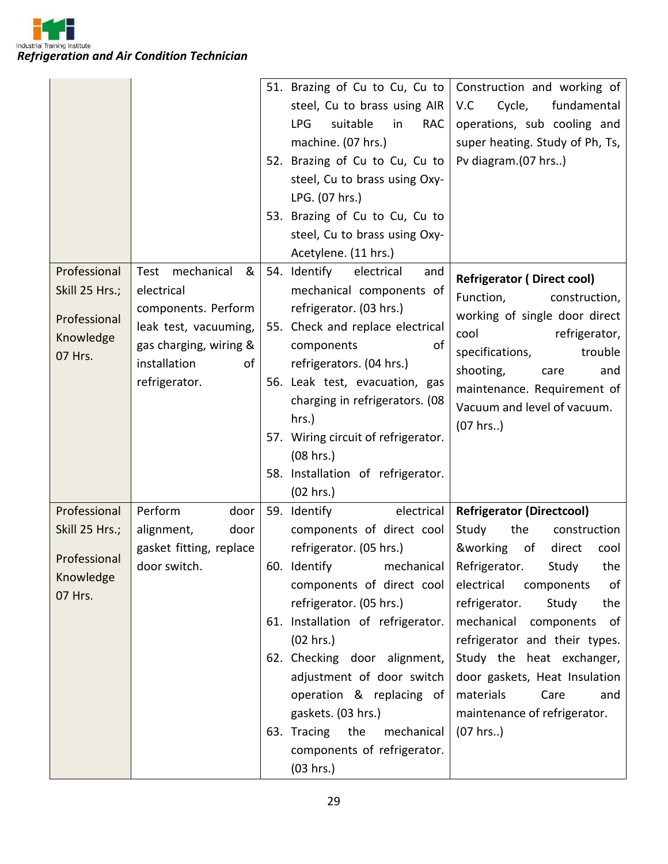

|                      |                         | 51. Brazing of Cu to Cu, Cu to        | Construction and working of                            |
|----------------------|-------------------------|---------------------------------------|--------------------------------------------------------|
|                      |                         | steel, Cu to brass using AIR          | Cycle,<br>fundamental<br>V.C                           |
|                      |                         | <b>LPG</b><br>suitable<br>in<br>RAC   | operations, sub cooling and                            |
|                      |                         | machine. (07 hrs.)                    | super heating. Study of Ph, Ts,                        |
|                      |                         | 52. Brazing of Cu to Cu, Cu to        | Pv diagram.(07 hrs)                                    |
|                      |                         | steel, Cu to brass using Oxy-         |                                                        |
|                      |                         | LPG. (07 hrs.)                        |                                                        |
|                      |                         | 53. Brazing of Cu to Cu, Cu to        |                                                        |
|                      |                         | steel, Cu to brass using Oxy-         |                                                        |
|                      |                         | Acetylene. (11 hrs.)                  |                                                        |
| Professional         | &<br>Test mechanical    | 54. Identify<br>electrical<br>and     |                                                        |
| Skill 25 Hrs.;       | electrical              | mechanical components of              | <b>Refrigerator (Direct cool)</b>                      |
|                      | components. Perform     | refrigerator. (03 hrs.)               | Function,<br>construction,                             |
| Professional         | leak test, vacuuming,   | 55. Check and replace electrical      | working of single door direct<br>cool<br>refrigerator, |
| Knowledge            | gas charging, wiring &  | of<br>components                      | specifications,<br>trouble                             |
| 07 Hrs.              | installation<br>of      | refrigerators. (04 hrs.)              | shooting,<br>care<br>and                               |
|                      | refrigerator.           | 56. Leak test, evacuation, gas        | maintenance. Requirement of                            |
|                      |                         | charging in refrigerators. (08        | Vacuum and level of vacuum.                            |
|                      |                         | hrs.)                                 | (07 hrs.)                                              |
|                      |                         | 57. Wiring circuit of refrigerator.   |                                                        |
|                      |                         | (08 hrs.)                             |                                                        |
|                      |                         | 58. Installation of refrigerator.     |                                                        |
|                      |                         | (02 hrs.)                             |                                                        |
| Professional         | Perform<br>door         | 59. Identify<br>electrical            | <b>Refrigerator (Directcool)</b>                       |
| Skill 25 Hrs.;       | alignment,<br>door      | components of direct cool             | Study<br>the<br>construction                           |
| Professional         | gasket fitting, replace | refrigerator. (05 hrs.)               | &working<br>direct<br>of<br>cool                       |
|                      | door switch.            | 60. Identify mechanical Refrigerator. | Study<br>the                                           |
| Knowledge<br>07 Hrs. |                         | components of direct cool             | electrical<br>components<br>of                         |
|                      |                         | refrigerator. (05 hrs.)               | refrigerator.<br>Study<br>the                          |
|                      |                         | 61. Installation of refrigerator.     | mechanical components of                               |
|                      |                         | (02 hrs.)                             | refrigerator and their types.                          |
|                      |                         | 62. Checking door alignment,          | Study the heat exchanger,                              |
|                      |                         | adjustment of door switch             | door gaskets, Heat Insulation                          |
|                      |                         | operation & replacing of              | materials<br>Care<br>and                               |
|                      |                         | gaskets. (03 hrs.)                    | maintenance of refrigerator.                           |
|                      |                         | 63. Tracing<br>the<br>mechanical      | (07 hrs.)                                              |
|                      |                         | components of refrigerator.           |                                                        |
|                      |                         | (03 hrs.)                             |                                                        |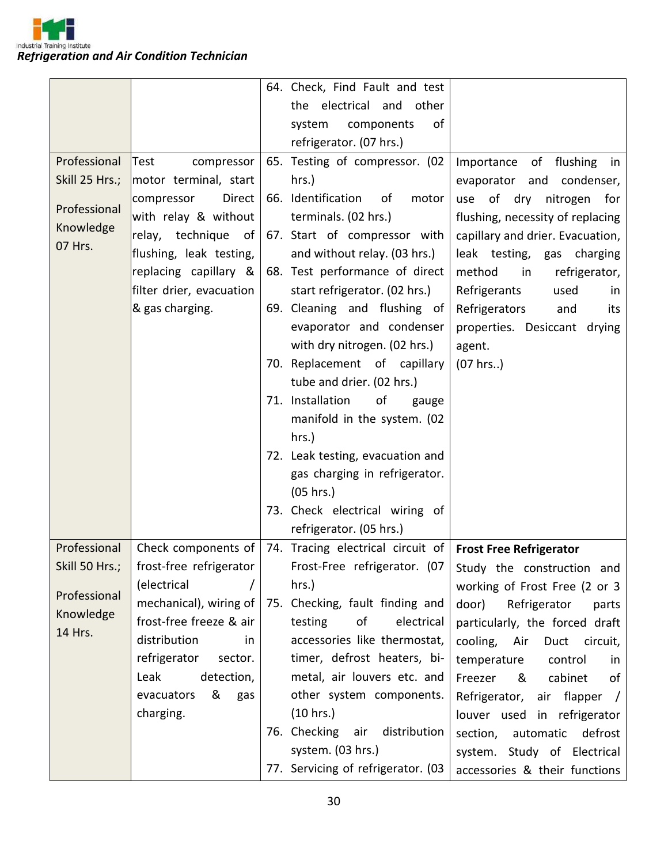

|                                      |                                                                                                                                                                        | 64. Check, Find Fault and test                                                                                                                                                                                                                                                                                                                                                                                                                                                                        |                                                                                                                                                                                                                                                                                                 |
|--------------------------------------|------------------------------------------------------------------------------------------------------------------------------------------------------------------------|-------------------------------------------------------------------------------------------------------------------------------------------------------------------------------------------------------------------------------------------------------------------------------------------------------------------------------------------------------------------------------------------------------------------------------------------------------------------------------------------------------|-------------------------------------------------------------------------------------------------------------------------------------------------------------------------------------------------------------------------------------------------------------------------------------------------|
|                                      |                                                                                                                                                                        | the electrical and<br>other                                                                                                                                                                                                                                                                                                                                                                                                                                                                           |                                                                                                                                                                                                                                                                                                 |
|                                      |                                                                                                                                                                        | components<br>of<br>system                                                                                                                                                                                                                                                                                                                                                                                                                                                                            |                                                                                                                                                                                                                                                                                                 |
|                                      |                                                                                                                                                                        | refrigerator. (07 hrs.)                                                                                                                                                                                                                                                                                                                                                                                                                                                                               |                                                                                                                                                                                                                                                                                                 |
| Professional                         | compressor<br>Test                                                                                                                                                     | 65. Testing of compressor. (02                                                                                                                                                                                                                                                                                                                                                                                                                                                                        | Importance of flushing in                                                                                                                                                                                                                                                                       |
| Skill 25 Hrs.;                       | motor terminal, start                                                                                                                                                  | hrs.)                                                                                                                                                                                                                                                                                                                                                                                                                                                                                                 | evaporator<br>and condenser,                                                                                                                                                                                                                                                                    |
| Professional<br>Knowledge<br>07 Hrs. | Direct<br>compressor<br>with relay & without<br>relay, technique of<br>flushing, leak testing,<br>replacing capillary &<br>filter drier, evacuation<br>& gas charging. | 66. Identification<br>of<br>motor<br>terminals. (02 hrs.)<br>67. Start of compressor with<br>and without relay. (03 hrs.)<br>68. Test performance of direct<br>start refrigerator. (02 hrs.)<br>69. Cleaning and flushing of<br>evaporator and condenser<br>with dry nitrogen. (02 hrs.)<br>70. Replacement of capillary<br>tube and drier. (02 hrs.)<br>71. Installation<br>of<br>gauge<br>manifold in the system. (02<br>hrs.)<br>72. Leak testing, evacuation and<br>gas charging in refrigerator. | of dry nitrogen<br>use<br>for<br>flushing, necessity of replacing<br>capillary and drier. Evacuation,<br>leak testing, gas charging<br>method<br>in<br>refrigerator,<br>Refrigerants<br>used<br><i>in</i><br>Refrigerators<br>and<br>its<br>properties. Desiccant drying<br>agent.<br>(07 hrs.) |
|                                      |                                                                                                                                                                        | (05 hrs.)<br>73. Check electrical wiring of                                                                                                                                                                                                                                                                                                                                                                                                                                                           |                                                                                                                                                                                                                                                                                                 |
|                                      |                                                                                                                                                                        | refrigerator. (05 hrs.)                                                                                                                                                                                                                                                                                                                                                                                                                                                                               |                                                                                                                                                                                                                                                                                                 |
| Professional                         | Check components of                                                                                                                                                    | 74. Tracing electrical circuit of   Frost Free Refrigerator                                                                                                                                                                                                                                                                                                                                                                                                                                           |                                                                                                                                                                                                                                                                                                 |
|                                      | Skill 50 Hrs.;   frost-free refrigerator                                                                                                                               |                                                                                                                                                                                                                                                                                                                                                                                                                                                                                                       | Frost-Free refrigerator. (07   Study the construction and                                                                                                                                                                                                                                       |
| Professional                         | (electrical                                                                                                                                                            | hrs.)                                                                                                                                                                                                                                                                                                                                                                                                                                                                                                 | working of Frost Free (2 or 3                                                                                                                                                                                                                                                                   |
| Knowledge                            | mechanical), wiring of                                                                                                                                                 | 75. Checking, fault finding and                                                                                                                                                                                                                                                                                                                                                                                                                                                                       | door)<br>Refrigerator<br>parts                                                                                                                                                                                                                                                                  |
| 14 Hrs.                              | frost-free freeze & air                                                                                                                                                | of<br>testing<br>electrical                                                                                                                                                                                                                                                                                                                                                                                                                                                                           | particularly, the forced draft                                                                                                                                                                                                                                                                  |
|                                      | distribution<br>in.                                                                                                                                                    | accessories like thermostat,                                                                                                                                                                                                                                                                                                                                                                                                                                                                          | cooling, Air<br>Duct circuit,                                                                                                                                                                                                                                                                   |
|                                      | refrigerator<br>sector.                                                                                                                                                | timer, defrost heaters, bi-                                                                                                                                                                                                                                                                                                                                                                                                                                                                           | temperature<br>control<br><i>in</i>                                                                                                                                                                                                                                                             |
|                                      | Leak<br>detection,                                                                                                                                                     | metal, air louvers etc. and                                                                                                                                                                                                                                                                                                                                                                                                                                                                           | cabinet<br>Freezer<br>&<br>0f                                                                                                                                                                                                                                                                   |
|                                      | &<br>evacuators<br>gas<br>charging.                                                                                                                                    | other system components.<br>(10 hrs.)                                                                                                                                                                                                                                                                                                                                                                                                                                                                 | Refrigerator, air flapper /                                                                                                                                                                                                                                                                     |
|                                      |                                                                                                                                                                        | 76. Checking air distribution                                                                                                                                                                                                                                                                                                                                                                                                                                                                         | louver used in refrigerator<br>automatic<br>defrost<br>section,                                                                                                                                                                                                                                 |
|                                      |                                                                                                                                                                        | system. (03 hrs.)                                                                                                                                                                                                                                                                                                                                                                                                                                                                                     | system. Study of Electrical                                                                                                                                                                                                                                                                     |
|                                      |                                                                                                                                                                        | 77. Servicing of refrigerator. (03                                                                                                                                                                                                                                                                                                                                                                                                                                                                    | accessories & their functions                                                                                                                                                                                                                                                                   |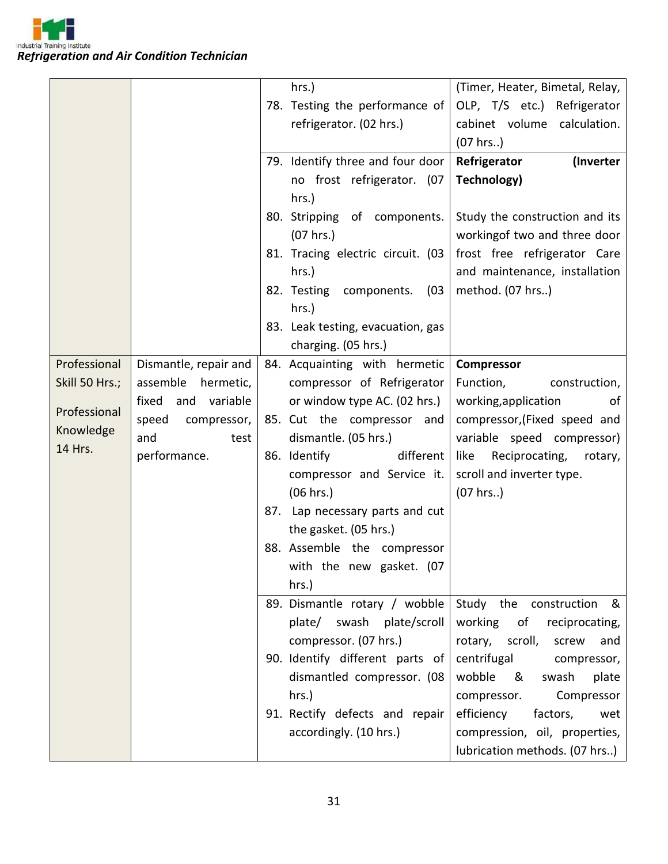|                |                       | hrs.)                              | (Timer, Heater, Bimetal, Relay,   |
|----------------|-----------------------|------------------------------------|-----------------------------------|
|                |                       | 78. Testing the performance of     | OLP, T/S etc.) Refrigerator       |
|                |                       | refrigerator. (02 hrs.)            | cabinet volume calculation.       |
|                |                       |                                    | (07 hrs.)                         |
|                |                       | 79. Identify three and four door   | Refrigerator<br>(Inverter         |
|                |                       | no frost refrigerator. (07         | Technology)                       |
|                |                       | hrs.)                              |                                   |
|                |                       | 80. Stripping of components.       | Study the construction and its    |
|                |                       | $(07$ hrs.)                        | workingof two and three door      |
|                |                       | 81. Tracing electric circuit. (03  | frost free refrigerator Care      |
|                |                       | hrs.)                              | and maintenance, installation     |
|                |                       | 82. Testing<br>components.<br>(03) | method. (07 hrs)                  |
|                |                       | hrs.)                              |                                   |
|                |                       | 83. Leak testing, evacuation, gas  |                                   |
|                |                       | charging. (05 hrs.)                |                                   |
| Professional   | Dismantle, repair and | 84. Acquainting with hermetic      | Compressor                        |
| Skill 50 Hrs.; | assemble hermetic,    | compressor of Refrigerator         | Function,<br>construction,        |
|                | fixed<br>and variable | or window type AC. (02 hrs.)       | working, application<br>of        |
| Professional   | speed<br>compressor,  | 85. Cut the compressor and         | compressor, (Fixed speed and      |
| Knowledge      | and<br>test           | dismantle. (05 hrs.)               | variable speed compressor)        |
| 14 Hrs.        | performance.          | 86. Identify<br>different          | like<br>Reciprocating,<br>rotary, |
|                |                       | compressor and Service it.         | scroll and inverter type.         |
|                |                       | (06 hrs.)                          | (07 hrs.)                         |
|                |                       | 87. Lap necessary parts and cut    |                                   |
|                |                       | the gasket. (05 hrs.)              |                                   |
|                |                       | 88. Assemble the compressor        |                                   |
|                |                       | with the new gasket. (07           |                                   |
|                |                       | hrs.)                              |                                   |
|                |                       | 89. Dismantle rotary / wobble      | Study the construction &          |
|                |                       | plate/ swash plate/scroll          | working of<br>reciprocating,      |
|                |                       | compressor. (07 hrs.)              | rotary, scroll,<br>and<br>screw   |
|                |                       | 90. Identify different parts of    | centrifugal<br>compressor,        |
|                |                       | dismantled compressor. (08         | wobble &<br>swash<br>plate        |
|                |                       | hrs.)                              | Compressor<br>compressor.         |
|                |                       | 91. Rectify defects and repair     | efficiency<br>factors,<br>wet     |
|                |                       | accordingly. (10 hrs.)             | compression, oil, properties,     |
|                |                       |                                    | lubrication methods. (07 hrs)     |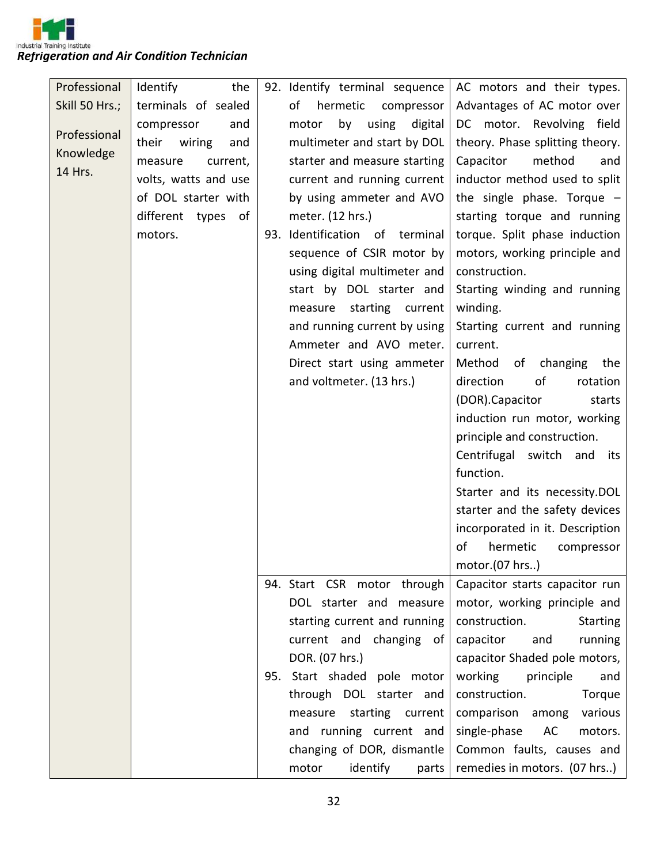| Professional   | Identify<br>the        | 92. Identify terminal sequence  | AC motors and their types.       |
|----------------|------------------------|---------------------------------|----------------------------------|
| Skill 50 Hrs.; | terminals of sealed    | of<br>hermetic<br>compressor    | Advantages of AC motor over      |
|                | compressor<br>and      | using<br>motor<br>by<br>digital | DC motor. Revolving field        |
| Professional   | their<br>wiring<br>and | multimeter and start by DOL     | theory. Phase splitting theory.  |
| Knowledge      | measure<br>current,    | starter and measure starting    | Capacitor<br>method<br>and       |
| 14 Hrs.        | volts, watts and use   | current and running current     | inductor method used to split    |
|                | of DOL starter with    | by using ammeter and AVO        | the single phase. Torque $-$     |
|                | different types of     | meter. (12 hrs.)                | starting torque and running      |
|                | motors.                | 93. Identification of terminal  | torque. Split phase induction    |
|                |                        | sequence of CSIR motor by       | motors, working principle and    |
|                |                        | using digital multimeter and    | construction.                    |
|                |                        | start by DOL starter and        | Starting winding and running     |
|                |                        | starting current<br>measure     | winding.                         |
|                |                        | and running current by using    | Starting current and running     |
|                |                        | Ammeter and AVO meter.          | current.                         |
|                |                        | Direct start using ammeter      | Method of changing the           |
|                |                        | and voltmeter. (13 hrs.)        | direction<br>of<br>rotation      |
|                |                        |                                 | (DOR).Capacitor<br>starts        |
|                |                        |                                 | induction run motor, working     |
|                |                        |                                 | principle and construction.      |
|                |                        |                                 | Centrifugal switch and its       |
|                |                        |                                 | function.                        |
|                |                        |                                 | Starter and its necessity.DOL    |
|                |                        |                                 | starter and the safety devices   |
|                |                        |                                 | incorporated in it. Description  |
|                |                        |                                 | of<br>hermetic<br>compressor     |
|                |                        |                                 | motor.(07 hrs)                   |
|                |                        | 94. Start CSR motor through     | Capacitor starts capacitor run   |
|                |                        | DOL starter and measure         | motor, working principle and     |
|                |                        | starting current and running    | construction.<br><b>Starting</b> |
|                |                        | current and changing of         | capacitor<br>and<br>running      |
|                |                        | DOR. (07 hrs.)                  | capacitor Shaded pole motors,    |
|                |                        | 95. Start shaded pole motor     | working<br>principle<br>and      |
|                |                        | through DOL starter and         | construction.<br>Torque          |
|                |                        | starting current<br>measure     | comparison among<br>various      |
|                |                        | and running current and         | single-phase<br>AC<br>motors.    |
|                |                        | changing of DOR, dismantle      | Common faults, causes and        |
|                |                        | motor<br>identify<br>parts      | remedies in motors. (07 hrs)     |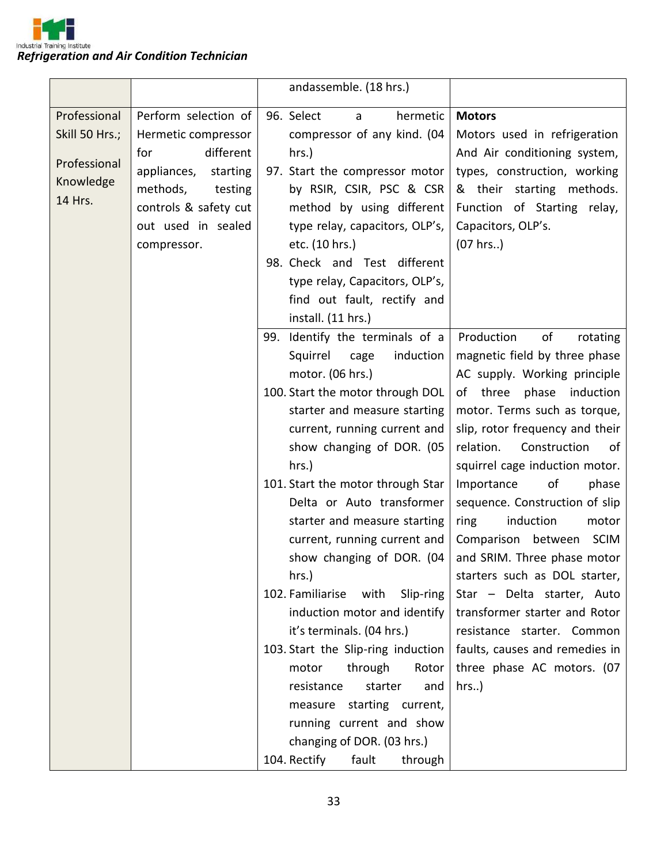

|                                                                        |                                                                                                                                                                                 | andassemble. (18 hrs.)                                                                                                                                                                                                                                                                                                                                                                                                                                                                                                                                                                                                                                                                                                                     |                                                                                                                                                                                                                                                                                                                                                                                                                                                                                                                                                                                                                                              |
|------------------------------------------------------------------------|---------------------------------------------------------------------------------------------------------------------------------------------------------------------------------|--------------------------------------------------------------------------------------------------------------------------------------------------------------------------------------------------------------------------------------------------------------------------------------------------------------------------------------------------------------------------------------------------------------------------------------------------------------------------------------------------------------------------------------------------------------------------------------------------------------------------------------------------------------------------------------------------------------------------------------------|----------------------------------------------------------------------------------------------------------------------------------------------------------------------------------------------------------------------------------------------------------------------------------------------------------------------------------------------------------------------------------------------------------------------------------------------------------------------------------------------------------------------------------------------------------------------------------------------------------------------------------------------|
| Professional<br>Skill 50 Hrs.;<br>Professional<br>Knowledge<br>14 Hrs. | Perform selection of<br>Hermetic compressor<br>different<br>for<br>appliances,<br>starting<br>methods,<br>testing<br>controls & safety cut<br>out used in sealed<br>compressor. | 96. Select<br>hermetic<br>a<br>compressor of any kind. (04<br>hrs.)<br>97. Start the compressor motor<br>by RSIR, CSIR, PSC & CSR<br>method by using different<br>type relay, capacitors, OLP's,<br>etc. (10 hrs.)<br>98. Check and Test different<br>type relay, Capacitors, OLP's,<br>find out fault, rectify and<br>install. (11 hrs.)                                                                                                                                                                                                                                                                                                                                                                                                  | <b>Motors</b><br>Motors used in refrigeration<br>And Air conditioning system,<br>types, construction, working<br>& their starting methods.<br>Function of Starting relay,<br>Capacitors, OLP's.<br>(07 hrs.)                                                                                                                                                                                                                                                                                                                                                                                                                                 |
|                                                                        |                                                                                                                                                                                 | 99. Identify the terminals of a<br>Squirrel<br>induction<br>cage<br>motor. (06 hrs.)<br>100. Start the motor through DOL<br>starter and measure starting<br>current, running current and<br>show changing of DOR. (05<br>hrs.)<br>101. Start the motor through Star<br>Delta or Auto transformer<br>starter and measure starting<br>current, running current and<br>show changing of DOR. (04<br>hrs.)<br>102. Familiarise<br>with<br>Slip-ring<br>induction motor and identify<br>it's terminals. (04 hrs.)<br>103. Start the Slip-ring induction<br>through<br>Rotor<br>motor<br>resistance<br>starter<br>and<br>measure starting current,<br>running current and show<br>changing of DOR. (03 hrs.)<br>104. Rectify<br>fault<br>through | of<br>Production<br>rotating<br>magnetic field by three phase<br>AC supply. Working principle<br>of three phase induction<br>motor. Terms such as torque,<br>slip, rotor frequency and their<br>relation.<br>Construction<br>of<br>squirrel cage induction motor.<br>of<br>Importance<br>phase<br>sequence. Construction of slip<br>induction<br>motor<br>ring<br>Comparison between<br><b>SCIM</b><br>and SRIM. Three phase motor<br>starters such as DOL starter,<br>Star - Delta starter, Auto<br>transformer starter and Rotor<br>resistance starter. Common<br>faults, causes and remedies in<br>three phase AC motors. (07<br>$hrs.$ ) |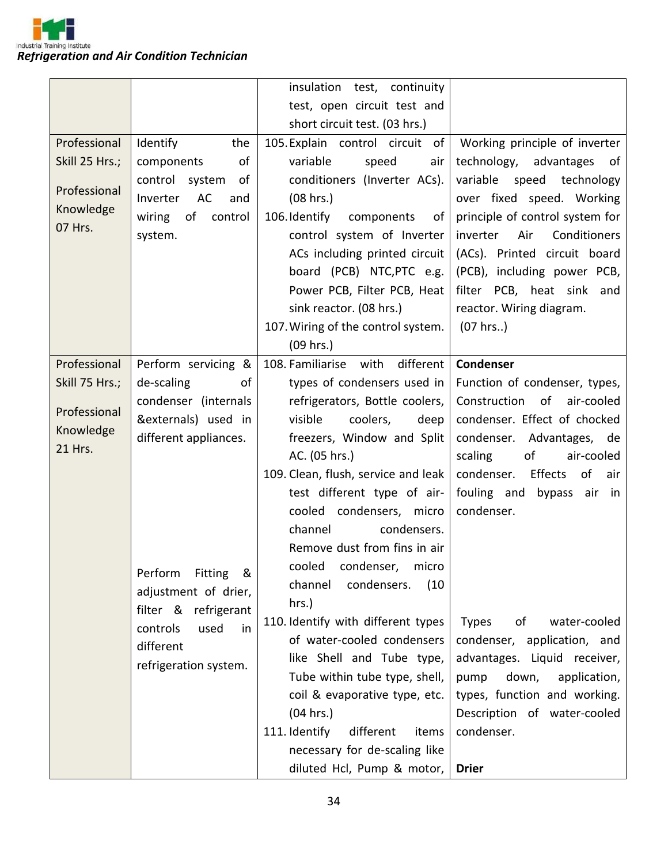

|                                                                        |                                                                                                                                         | insulation<br>test, continuity                                                                                                                                                                                                                                                                                                                                                                                                                                                                                       |                                                                                                                                                                                                                                                                                                                                       |
|------------------------------------------------------------------------|-----------------------------------------------------------------------------------------------------------------------------------------|----------------------------------------------------------------------------------------------------------------------------------------------------------------------------------------------------------------------------------------------------------------------------------------------------------------------------------------------------------------------------------------------------------------------------------------------------------------------------------------------------------------------|---------------------------------------------------------------------------------------------------------------------------------------------------------------------------------------------------------------------------------------------------------------------------------------------------------------------------------------|
|                                                                        |                                                                                                                                         | test, open circuit test and                                                                                                                                                                                                                                                                                                                                                                                                                                                                                          |                                                                                                                                                                                                                                                                                                                                       |
|                                                                        |                                                                                                                                         | short circuit test. (03 hrs.)                                                                                                                                                                                                                                                                                                                                                                                                                                                                                        |                                                                                                                                                                                                                                                                                                                                       |
| Professional<br>Skill 25 Hrs.;<br>Professional<br>Knowledge<br>07 Hrs. | Identify<br>the<br>components<br>of<br>control system<br>of<br>AC<br>Inverter<br>and<br>of<br>wiring<br>control<br>system.              | 105. Explain control circuit of<br>variable<br>speed<br>air<br>conditioners (Inverter ACs).<br>(08 hrs.)<br>106. Identify<br>components<br>of<br>control system of Inverter<br>ACs including printed circuit<br>board (PCB) NTC, PTC e.g.<br>Power PCB, Filter PCB, Heat<br>sink reactor. (08 hrs.)<br>107. Wiring of the control system.                                                                                                                                                                            | Working principle of inverter<br>technology, advantages<br>of<br>variable speed technology<br>over fixed speed. Working<br>principle of control system for<br>Air<br>Conditioners<br>inverter<br>(ACs). Printed circuit board<br>(PCB), including power PCB,<br>filter PCB, heat sink<br>and<br>reactor. Wiring diagram.<br>(07 hrs.) |
|                                                                        |                                                                                                                                         | $(09$ hrs.)                                                                                                                                                                                                                                                                                                                                                                                                                                                                                                          |                                                                                                                                                                                                                                                                                                                                       |
| Professional                                                           | Perform servicing &                                                                                                                     | different<br>108. Familiarise with                                                                                                                                                                                                                                                                                                                                                                                                                                                                                   | <b>Condenser</b>                                                                                                                                                                                                                                                                                                                      |
| Skill 75 Hrs.;                                                         | de-scaling<br>of                                                                                                                        | types of condensers used in                                                                                                                                                                                                                                                                                                                                                                                                                                                                                          | Function of condenser, types,                                                                                                                                                                                                                                                                                                         |
| Professional<br>Knowledge<br>21 Hrs.                                   | condenser (internals<br>&externals) used in<br>different appliances.                                                                    | refrigerators, Bottle coolers,<br>visible<br>coolers,<br>deep<br>freezers, Window and Split<br>AC. (05 hrs.)                                                                                                                                                                                                                                                                                                                                                                                                         | Construction of air-cooled<br>condenser. Effect of chocked<br>condenser. Advantages, de<br>scaling<br>of<br>air-cooled                                                                                                                                                                                                                |
|                                                                        | Perform<br>Fitting &<br>adjustment of drier,<br>filter &<br>refrigerant<br>controls<br>used<br>in<br>different<br>refrigeration system. | 109. Clean, flush, service and leak<br>test different type of air-<br>cooled condensers, micro<br>condensers.<br>channel<br>Remove dust from fins in air<br>cooled condenser, micro<br>condensers.<br>channel<br>(10)<br>hrs.)<br>110. Identify with different types<br>of water-cooled condensers<br>like Shell and Tube type,<br>Tube within tube type, shell,<br>coil & evaporative type, etc.<br>(04 hrs.)<br>111. Identify<br>different<br>items<br>necessary for de-scaling like<br>diluted Hcl, Pump & motor, | Effects<br>condenser.<br>of<br>air<br>fouling and bypass air in<br>condenser.<br><b>Types</b><br>of<br>water-cooled<br>condenser, application, and<br>advantages. Liquid receiver,<br>down,<br>application,<br>pump<br>types, function and working.<br>Description of water-cooled<br>condenser.<br><b>Drier</b>                      |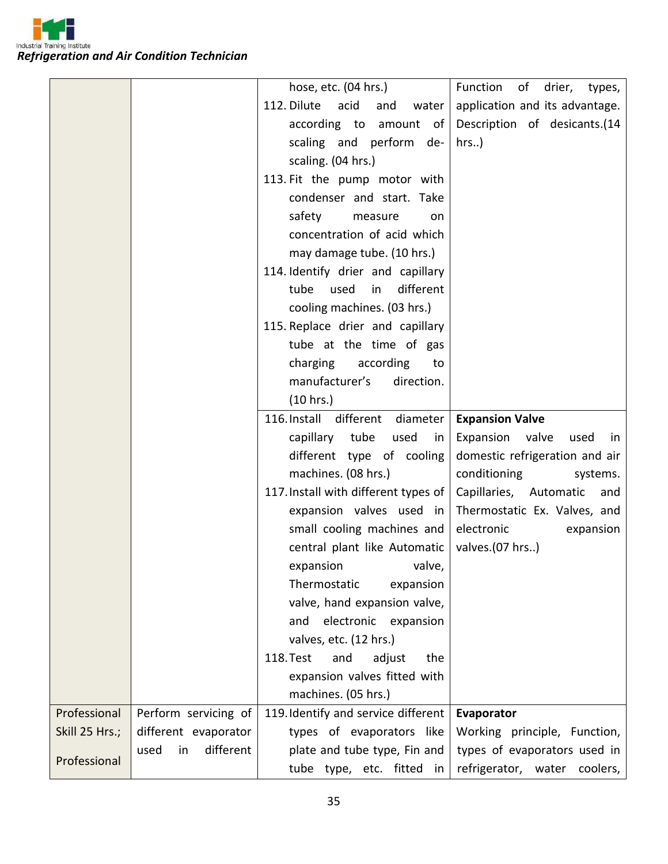

|                |                         | hose, etc. (04 hrs.)                 | Function of drier, types,      |
|----------------|-------------------------|--------------------------------------|--------------------------------|
|                |                         | 112. Dilute acid<br>and<br>water     | application and its advantage. |
|                |                         | according to amount of               | Description of desicants.(14   |
|                |                         | scaling and perform de-              | $hrs.$ )                       |
|                |                         | scaling. (04 hrs.)                   |                                |
|                |                         | 113. Fit the pump motor with         |                                |
|                |                         | condenser and start. Take            |                                |
|                |                         | safety<br>measure<br>on              |                                |
|                |                         | concentration of acid which          |                                |
|                |                         | may damage tube. (10 hrs.)           |                                |
|                |                         | 114. Identify drier and capillary    |                                |
|                |                         | tube used<br>different<br>in         |                                |
|                |                         | cooling machines. (03 hrs.)          |                                |
|                |                         | 115. Replace drier and capillary     |                                |
|                |                         | tube at the time of gas              |                                |
|                |                         | charging<br>according<br>to          |                                |
|                |                         | manufacturer's<br>direction.         |                                |
|                |                         | (10 hrs.)                            |                                |
|                |                         | 116. Install different diameter      | <b>Expansion Valve</b>         |
|                |                         | capillary tube<br>used<br>in         | Expansion valve<br>used<br>in  |
|                |                         | different type of cooling            | domestic refrigeration and air |
|                |                         | machines. (08 hrs.)                  |                                |
|                |                         |                                      | conditioning<br>systems.       |
|                |                         | 117. Install with different types of | Capillaries, Automatic and     |
|                |                         | expansion valves used in             | Thermostatic Ex. Valves, and   |
|                |                         | small cooling machines and           | electronic<br>expansion        |
|                |                         | central plant like Automatic         | valves.(07 hrs)                |
|                |                         | expansion valve,                     |                                |
|                |                         | Thermostatic<br>expansion            |                                |
|                |                         | valve, hand expansion valve,         |                                |
|                |                         | electronic expansion<br>and          |                                |
|                |                         | valves, etc. (12 hrs.)               |                                |
|                |                         | 118. Test<br>and<br>adjust<br>the    |                                |
|                |                         | expansion valves fitted with         |                                |
|                |                         | machines. (05 hrs.)                  |                                |
| Professional   | Perform servicing of    | 119. Identify and service different  | Evaporator                     |
| Skill 25 Hrs.; | different evaporator    | types of evaporators like            | Working principle, Function,   |
|                |                         |                                      |                                |
| Professional   | different<br>used<br>in | plate and tube type, Fin and         | types of evaporators used in   |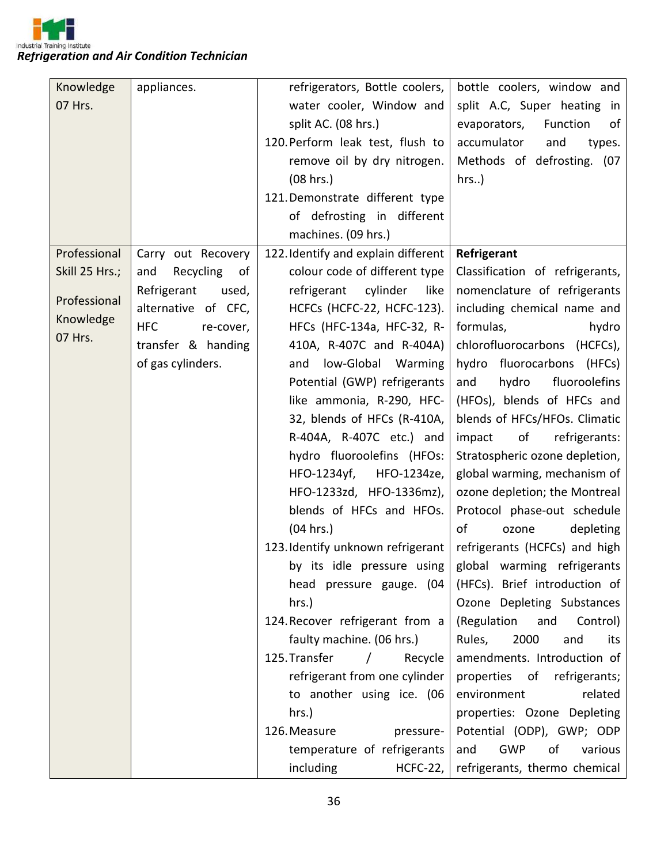

| Knowledge      | appliances.             | refrigerators, Bottle coolers,                                    | bottle coolers, window and                               |
|----------------|-------------------------|-------------------------------------------------------------------|----------------------------------------------------------|
| 07 Hrs.        |                         | water cooler, Window and                                          | split A.C, Super heating in                              |
|                |                         | split AC. (08 hrs.)                                               | evaporators,<br>Function<br>οf                           |
|                |                         | 120. Perform leak test, flush to                                  | accumulator<br>and<br>types.                             |
|                |                         | remove oil by dry nitrogen.                                       | Methods of defrosting. (07                               |
|                |                         | (08 hrs.)                                                         | $hrs.$ )                                                 |
|                |                         | 121. Demonstrate different type                                   |                                                          |
|                |                         | of defrosting in different                                        |                                                          |
|                |                         | machines. (09 hrs.)                                               |                                                          |
| Professional   | Carry out Recovery      | 122. Identify and explain different                               | Refrigerant                                              |
| Skill 25 Hrs.; | Recycling<br>and<br>of  | colour code of different type                                     | Classification of refrigerants,                          |
|                | Refrigerant<br>used,    | cylinder<br>refrigerant<br>like                                   | nomenclature of refrigerants                             |
| Professional   | alternative of CFC,     | HCFCs (HCFC-22, HCFC-123).                                        | including chemical name and                              |
| Knowledge      | <b>HFC</b><br>re-cover, | HFCs (HFC-134a, HFC-32, R-                                        | formulas,<br>hydro                                       |
| 07 Hrs.        | transfer & handing      | 410A, R-407C and R-404A)                                          | chlorofluorocarbons (HCFCs),                             |
|                | of gas cylinders.       | low-Global Warming<br>and                                         | hydro fluorocarbons (HFCs)                               |
|                |                         | Potential (GWP) refrigerants                                      | fluoroolefins<br>hydro<br>and                            |
|                |                         | like ammonia, R-290, HFC-                                         | (HFOs), blends of HFCs and                               |
|                |                         | 32, blends of HFCs (R-410A,                                       | blends of HFCs/HFOs. Climatic                            |
|                |                         | R-404A, R-407C etc.) and                                          | refrigerants:<br>impact<br>of                            |
|                |                         | hydro fluoroolefins (HFOs:                                        | Stratospheric ozone depletion,                           |
|                |                         | HFO-1234yf,<br>HFO-1234ze,                                        | global warming, mechanism of                             |
|                |                         | HFO-1233zd, HFO-1336mz),                                          | ozone depletion; the Montreal                            |
|                |                         | blends of HFCs and HFOs.                                          | Protocol phase-out schedule                              |
|                |                         | (04 hrs.)                                                         | of<br>depleting<br>ozone                                 |
|                |                         | 123. Identify unknown refrigerant   refrigerants (HCFCs) and high |                                                          |
|                |                         |                                                                   | by its idle pressure using   global warming refrigerants |
|                |                         | head pressure gauge. (04                                          | (HFCs). Brief introduction of                            |
|                |                         | hrs.)                                                             | Ozone Depleting Substances                               |
|                |                         | 124. Recover refrigerant from a                                   | (Regulation<br>and<br>Control)                           |
|                |                         | faulty machine. (06 hrs.)                                         | 2000<br>Rules,<br>and<br>its                             |
|                |                         | 125. Transfer<br>$\sqrt{2}$<br>Recycle                            | amendments. Introduction of                              |
|                |                         | refrigerant from one cylinder                                     | properties of<br>refrigerants;                           |
|                |                         | to another using ice. (06                                         | environment<br>related                                   |
|                |                         | hrs.)                                                             | properties: Ozone Depleting                              |
|                |                         | 126. Measure<br>pressure-                                         | Potential (ODP), GWP; ODP                                |
|                |                         | temperature of refrigerants                                       | <b>GWP</b><br>of<br>and<br>various                       |
|                |                         | including<br>$HCFC-22,$                                           | refrigerants, thermo chemical                            |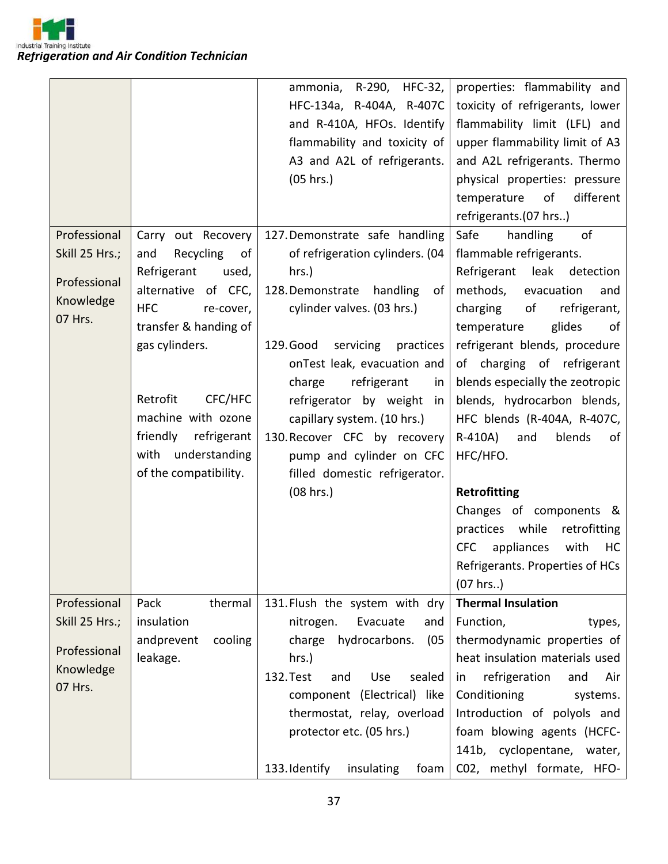

|                |                         | ammonia, R-290,<br><b>HFC-32,</b>   | properties: flammability and           |
|----------------|-------------------------|-------------------------------------|----------------------------------------|
|                |                         | HFC-134a, R-404A, R-407C            | toxicity of refrigerants, lower        |
|                |                         | and R-410A, HFOs. Identify          | flammability limit (LFL) and           |
|                |                         | flammability and toxicity of        | upper flammability limit of A3         |
|                |                         | A3 and A2L of refrigerants.         | and A2L refrigerants. Thermo           |
|                |                         | (05 hrs.)                           | physical properties: pressure          |
|                |                         |                                     | different<br>of<br>temperature         |
|                |                         |                                     | refrigerants.(07 hrs)                  |
| Professional   | Carry out Recovery      | 127. Demonstrate safe handling      | Safe<br>handling<br>of                 |
| Skill 25 Hrs.; | Recycling<br>and<br>of  | of refrigeration cylinders. (04     | flammable refrigerants.                |
|                | Refrigerant<br>used,    | hrs.)                               | Refrigerant<br>leak<br>detection       |
| Professional   | alternative<br>of CFC,  | 128. Demonstrate<br>handling<br>of  | methods,<br>evacuation<br>and          |
| Knowledge      | <b>HFC</b><br>re-cover, | cylinder valves. (03 hrs.)          | charging<br>of<br>refrigerant,         |
| 07 Hrs.        | transfer & handing of   |                                     | glides<br>temperature<br>of            |
|                | gas cylinders.          | 129. Good<br>servicing<br>practices | refrigerant blends, procedure          |
|                |                         | onTest leak, evacuation and         | of charging of refrigerant             |
|                |                         | refrigerant<br>charge<br>in         | blends especially the zeotropic        |
|                | Retrofit<br>CFC/HFC     | refrigerator by weight<br>in        | blends, hydrocarbon blends,            |
|                | machine with ozone      | capillary system. (10 hrs.)         | HFC blends (R-404A, R-407C,            |
|                | friendly<br>refrigerant | 130. Recover CFC by recovery        | blends<br>R-410A)<br>and<br>of         |
|                | understanding<br>with   | pump and cylinder on CFC            | HFC/HFO.                               |
|                | of the compatibility.   | filled domestic refrigerator.       |                                        |
|                |                         | (08 hrs.)                           | Retrofitting                           |
|                |                         |                                     | Changes of components &                |
|                |                         |                                     | practices while<br>retrofitting        |
|                |                         |                                     | appliances<br><b>CFC</b><br>with<br>HC |
|                |                         |                                     | Refrigerants. Properties of HCs        |
|                |                         |                                     | (07 hrs.)                              |
| Professional   | Pack<br>thermal         | 131. Flush the system with dry      | <b>Thermal Insulation</b>              |
| Skill 25 Hrs.; | insulation              | nitrogen.<br>Evacuate<br>and        | Function,<br>types,                    |
|                | andprevent<br>cooling   | charge hydrocarbons.<br>(05)        | thermodynamic properties of            |
| Professional   | leakage.                | hrs.)                               | heat insulation materials used         |
| Knowledge      |                         | 132. Test<br>sealed<br>Use<br>and   | refrigeration<br>and<br>Air<br>in      |
| 07 Hrs.        |                         | component (Electrical) like         | Conditioning<br>systems.               |
|                |                         | thermostat, relay, overload         | Introduction of polyols and            |
|                |                         | protector etc. (05 hrs.)            | foam blowing agents (HCFC-             |
|                |                         |                                     | 141b, cyclopentane, water,             |
|                |                         | 133. Identify<br>insulating<br>foam | C02, methyl formate, HFO-              |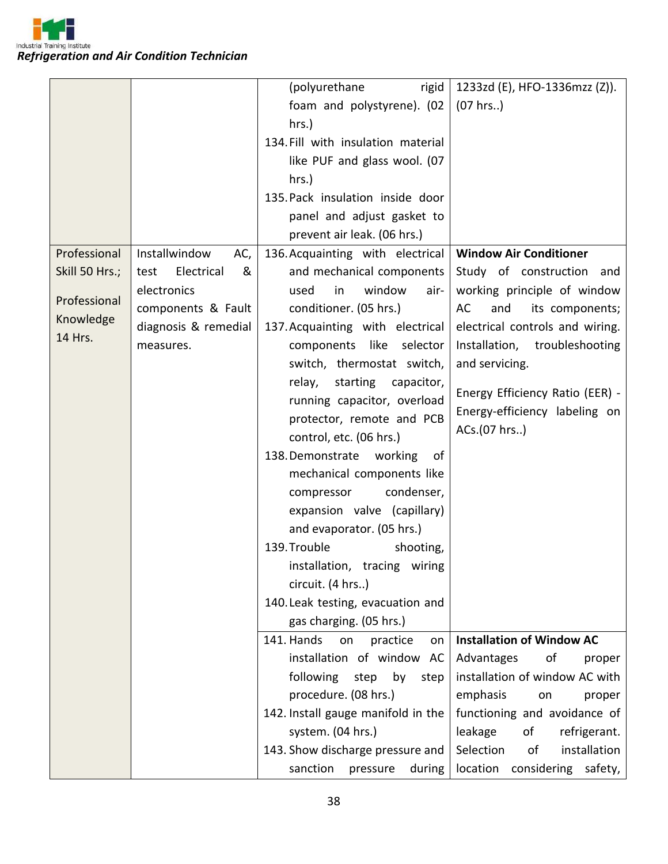

|                |                         | (polyurethane<br>rigid             | 1233zd (E), HFO-1336mzz (Z)).      |
|----------------|-------------------------|------------------------------------|------------------------------------|
|                |                         | foam and polystyrene). (02         | (07 hrs.)                          |
|                |                         | hrs.)                              |                                    |
|                |                         | 134. Fill with insulation material |                                    |
|                |                         | like PUF and glass wool. (07       |                                    |
|                |                         | hrs.)                              |                                    |
|                |                         | 135. Pack insulation inside door   |                                    |
|                |                         | panel and adjust gasket to         |                                    |
|                |                         | prevent air leak. (06 hrs.)        |                                    |
| Professional   | Installwindow<br>AC,    | 136. Acquainting with electrical   | <b>Window Air Conditioner</b>      |
| Skill 50 Hrs.; | Electrical<br>&<br>test | and mechanical components          | Study of construction and          |
|                | electronics             | window<br>used<br>in<br>air-       | working principle of window        |
| Professional   | components & Fault      | conditioner. (05 hrs.)             | its components;<br>AC<br>and       |
| Knowledge      | diagnosis & remedial    | 137. Acquainting with electrical   | electrical controls and wiring.    |
| 14 Hrs.        | measures.               | components like selector           | Installation, troubleshooting      |
|                |                         | switch, thermostat switch,         | and servicing.                     |
|                |                         |                                    |                                    |
|                |                         | starting<br>relay,<br>capacitor,   | Energy Efficiency Ratio (EER) -    |
|                |                         | running capacitor, overload        | Energy-efficiency labeling on      |
|                |                         | protector, remote and PCB          | ACs.(07 hrs)                       |
|                |                         | control, etc. (06 hrs.)            |                                    |
|                |                         | 138. Demonstrate working<br>of     |                                    |
|                |                         | mechanical components like         |                                    |
|                |                         | condenser,<br>compressor           |                                    |
|                |                         | expansion valve (capillary)        |                                    |
|                |                         | and evaporator. (05 hrs.)          |                                    |
|                |                         | 139. Trouble<br>shooting,          |                                    |
|                |                         | installation, tracing wiring       |                                    |
|                |                         | circuit. (4 hrs)                   |                                    |
|                |                         | 140. Leak testing, evacuation and  |                                    |
|                |                         | gas charging. (05 hrs.)            |                                    |
|                |                         | 141. Hands<br>practice<br>on<br>on | <b>Installation of Window AC</b>   |
|                |                         | installation of window AC          | Advantages<br>οf<br>proper         |
|                |                         | following<br>step<br>by<br>step    | installation of window AC with     |
|                |                         | procedure. (08 hrs.)               | emphasis<br>proper<br>on           |
|                |                         | 142. Install gauge manifold in the | functioning and avoidance of       |
|                |                         | system. (04 hrs.)                  | leakage<br>of<br>refrigerant.      |
|                |                         | 143. Show discharge pressure and   | Selection<br>of<br>installation    |
|                |                         | sanction<br>pressure<br>during     | location<br>considering<br>safety, |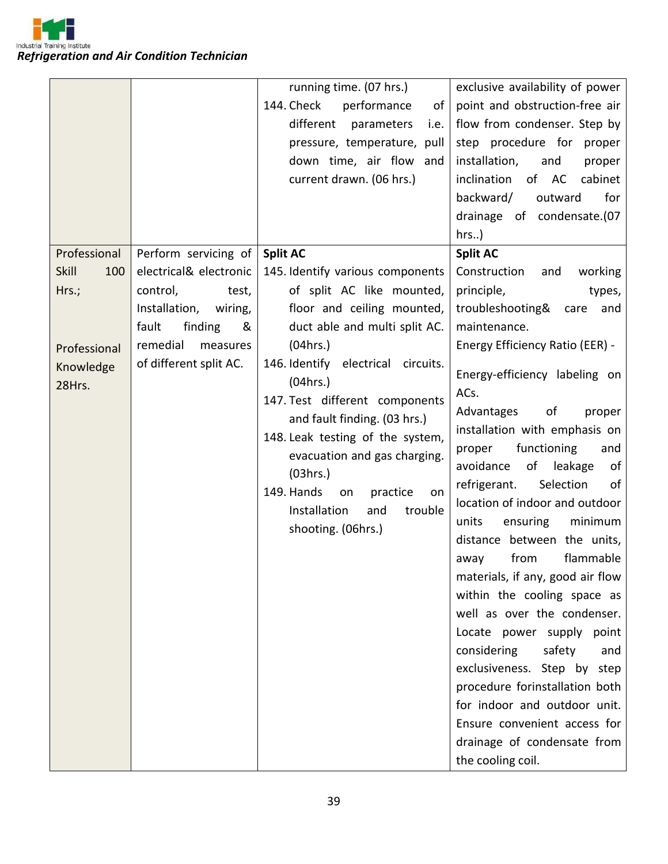

|                     |                          | running time. (07 hrs.)            | exclusive availability of power                             |
|---------------------|--------------------------|------------------------------------|-------------------------------------------------------------|
|                     |                          | 144. Check<br>performance<br>of    | point and obstruction-free air                              |
|                     |                          | different<br>parameters<br>i.e.    | flow from condenser. Step by                                |
|                     |                          | pressure, temperature, pull        | step procedure for proper                                   |
|                     |                          | down time, air flow and            | installation,<br>and<br>proper                              |
|                     |                          | current drawn. (06 hrs.)           | inclination<br>of AC<br>cabinet                             |
|                     |                          |                                    | for<br>backward/<br>outward                                 |
|                     |                          |                                    | drainage of condensate.(07                                  |
|                     |                          |                                    | $hrs.$ )                                                    |
| Professional        | Perform servicing of     | <b>Split AC</b>                    | <b>Split AC</b>                                             |
| <b>Skill</b><br>100 | electrical& electronic   | 145. Identify various components   | Construction<br>working<br>and                              |
| Hrs.;               | control,<br>test,        | of split AC like mounted,          | principle,<br>types,                                        |
|                     | Installation,<br>wiring, | floor and ceiling mounted,         | troubleshooting&<br>care<br>and                             |
|                     | fault<br>finding<br>&    | duct able and multi split AC.      | maintenance.                                                |
| Professional        | remedial<br>measures     | (04hrs.)                           | <b>Energy Efficiency Ratio (EER) -</b>                      |
| Knowledge           | of different split AC.   | 146. Identify electrical circuits. |                                                             |
| 28Hrs.              |                          | (04hrs.)                           | Energy-efficiency labeling on                               |
|                     |                          | 147. Test different components     | ACs.                                                        |
|                     |                          | and fault finding. (03 hrs.)       | Advantages<br>of<br>proper                                  |
|                     |                          | 148. Leak testing of the system,   | installation with emphasis on                               |
|                     |                          | evacuation and gas charging.       | functioning<br>proper<br>and                                |
|                     |                          | (03hrs.)                           | avoidance<br>of<br>leakage<br>of                            |
|                     |                          | 149. Hands<br>practice<br>on<br>on | Selection<br>refrigerant.<br>of                             |
|                     |                          | Installation<br>and<br>trouble     | location of indoor and outdoor                              |
|                     |                          | shooting. (06hrs.)                 | units<br>ensuring<br>minimum<br>distance between the units, |
|                     |                          |                                    | flammable<br>from<br>away                                   |
|                     |                          |                                    | materials, if any, good air flow                            |
|                     |                          |                                    | within the cooling space as                                 |
|                     |                          |                                    | well as over the condenser.                                 |
|                     |                          |                                    | Locate power supply point                                   |
|                     |                          |                                    | considering<br>safety<br>and                                |
|                     |                          |                                    | exclusiveness. Step by step                                 |
|                     |                          |                                    | procedure forinstallation both                              |
|                     |                          |                                    | for indoor and outdoor unit.                                |
|                     |                          |                                    | Ensure convenient access for                                |
|                     |                          |                                    | drainage of condensate from                                 |
|                     |                          |                                    | the cooling coil.                                           |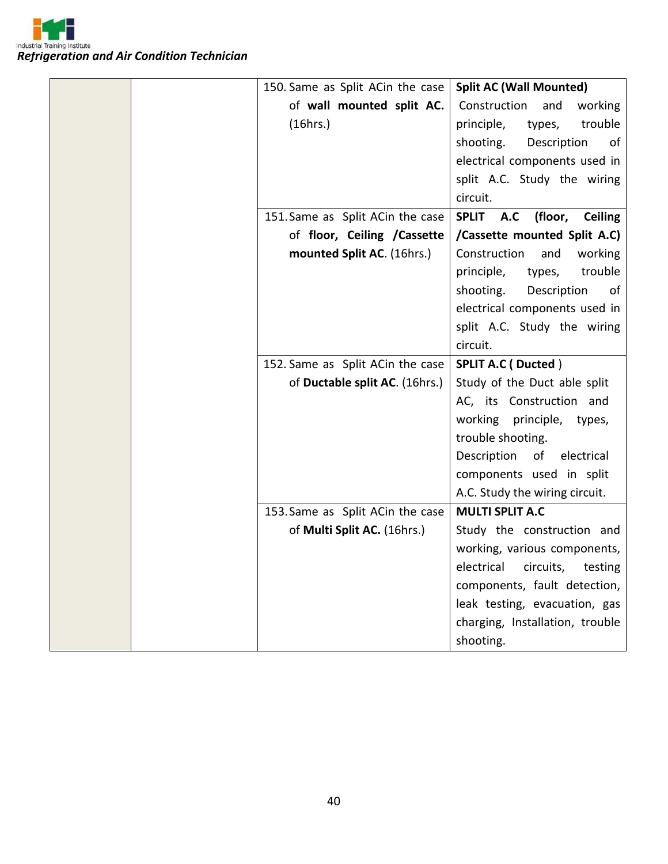

|  | 150. Same as Split ACin the case | <b>Split AC (Wall Mounted)</b>         |
|--|----------------------------------|----------------------------------------|
|  | of wall mounted split AC.        | Construction<br>and<br>working         |
|  | (16hrs.)                         | trouble<br>principle,<br>types,        |
|  |                                  | shooting.<br>Description<br>0f         |
|  |                                  | electrical components used in          |
|  |                                  | split A.C. Study the wiring            |
|  |                                  | circuit.                               |
|  | 151. Same as Split ACin the case | (floor,<br><b>Ceiling</b><br>SPLIT A.C |
|  | of floor, Ceiling / Cassette     | /Cassette mounted Split A.C)           |
|  | mounted Split AC. (16hrs.)       | Construction<br>and<br>working         |
|  |                                  | trouble<br>principle,<br>types,        |
|  |                                  | shooting.<br>Description<br>of         |
|  |                                  | electrical components used in          |
|  |                                  | split A.C. Study the wiring            |
|  |                                  | circuit.                               |
|  | 152. Same as Split ACin the case | <b>SPLIT A.C (Ducted)</b>              |
|  | of Ductable split AC. (16hrs.)   | Study of the Duct able split           |
|  |                                  | AC, its Construction and               |
|  |                                  | working<br>principle,<br>types,        |
|  |                                  | trouble shooting.                      |
|  |                                  | Description<br>of<br>electrical        |
|  |                                  | components used in split               |
|  |                                  | A.C. Study the wiring circuit.         |
|  | 153. Same as Split ACin the case | <b>MULTI SPLIT A.C</b>                 |
|  | of Multi Split AC. (16hrs.)      | Study the construction and             |
|  |                                  | working, various components,           |
|  |                                  | electrical circuits, testing           |
|  |                                  | components, fault detection,           |
|  |                                  | leak testing, evacuation, gas          |
|  |                                  | charging, Installation, trouble        |
|  |                                  | shooting.                              |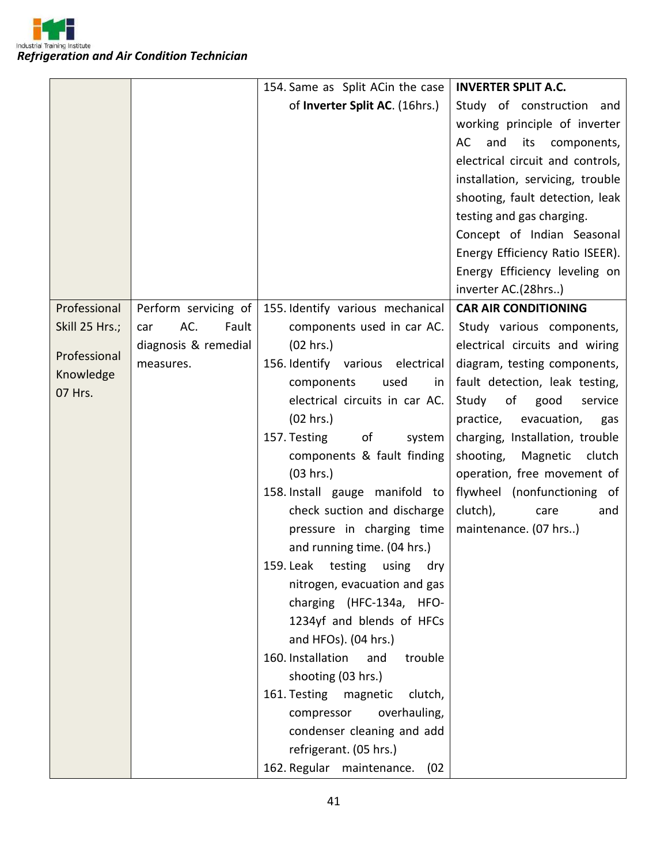

|                |                      | 154. Same as Split ACin the case    | <b>INVERTER SPLIT A.C.</b>                                                                                                                  |
|----------------|----------------------|-------------------------------------|---------------------------------------------------------------------------------------------------------------------------------------------|
|                |                      | of Inverter Split AC. (16hrs.)      | Study of construction and                                                                                                                   |
|                |                      |                                     | working principle of inverter                                                                                                               |
|                |                      |                                     | and<br>AC<br>its components,                                                                                                                |
|                |                      |                                     | electrical circuit and controls,                                                                                                            |
|                |                      |                                     | installation, servicing, trouble                                                                                                            |
|                |                      |                                     | shooting, fault detection, leak                                                                                                             |
|                |                      |                                     | testing and gas charging.                                                                                                                   |
|                |                      |                                     | Concept of Indian Seasonal                                                                                                                  |
|                |                      |                                     | Energy Efficiency Ratio ISEER).                                                                                                             |
|                |                      |                                     | Energy Efficiency leveling on                                                                                                               |
|                |                      |                                     | inverter AC.(28hrs)                                                                                                                         |
| Professional   | Perform servicing of | 155. Identify various mechanical    | <b>CAR AIR CONDITIONING</b>                                                                                                                 |
| Skill 25 Hrs.; | AC.<br>Fault<br>car  | components used in car AC.          | Study various components,                                                                                                                   |
|                | diagnosis & remedial | (02 hrs.)                           | electrical circuits and wiring                                                                                                              |
| Professional   | measures.            | 156. Identify various electrical    | diagram, testing components,                                                                                                                |
| Knowledge      |                      | components<br>used<br>in            | fault detection, leak testing,                                                                                                              |
| 07 Hrs.        |                      | electrical circuits in car AC.      | Study<br>of the contract of the contract of the contract of the contract of the contract of the contract of the contract<br>good<br>service |
|                |                      | (02 hrs.)                           | practice,<br>evacuation,<br>gas                                                                                                             |
|                |                      | of<br>157. Testing<br>system        | charging, Installation, trouble                                                                                                             |
|                |                      | components & fault finding          | shooting, Magnetic clutch                                                                                                                   |
|                |                      | (03 hrs.)                           | operation, free movement of                                                                                                                 |
|                |                      | 158. Install gauge manifold to      | flywheel (nonfunctioning of                                                                                                                 |
|                |                      | check suction and discharge         | clutch),<br>care<br>and                                                                                                                     |
|                |                      | pressure in charging time           | maintenance. (07 hrs)                                                                                                                       |
|                |                      | and running time. (04 hrs.)         |                                                                                                                                             |
|                |                      | 159. Leak testing using dry         |                                                                                                                                             |
|                |                      | nitrogen, evacuation and gas        |                                                                                                                                             |
|                |                      | charging (HFC-134a, HFO-            |                                                                                                                                             |
|                |                      | 1234yf and blends of HFCs           |                                                                                                                                             |
|                |                      | and HFOs). (04 hrs.)                |                                                                                                                                             |
|                |                      | 160. Installation<br>and<br>trouble |                                                                                                                                             |
|                |                      | shooting (03 hrs.)                  |                                                                                                                                             |
|                |                      | 161. Testing magnetic<br>clutch,    |                                                                                                                                             |
|                |                      | overhauling,<br>compressor          |                                                                                                                                             |
|                |                      | condenser cleaning and add          |                                                                                                                                             |
|                |                      | refrigerant. (05 hrs.)              |                                                                                                                                             |
|                |                      | 162. Regular maintenance.<br>(02)   |                                                                                                                                             |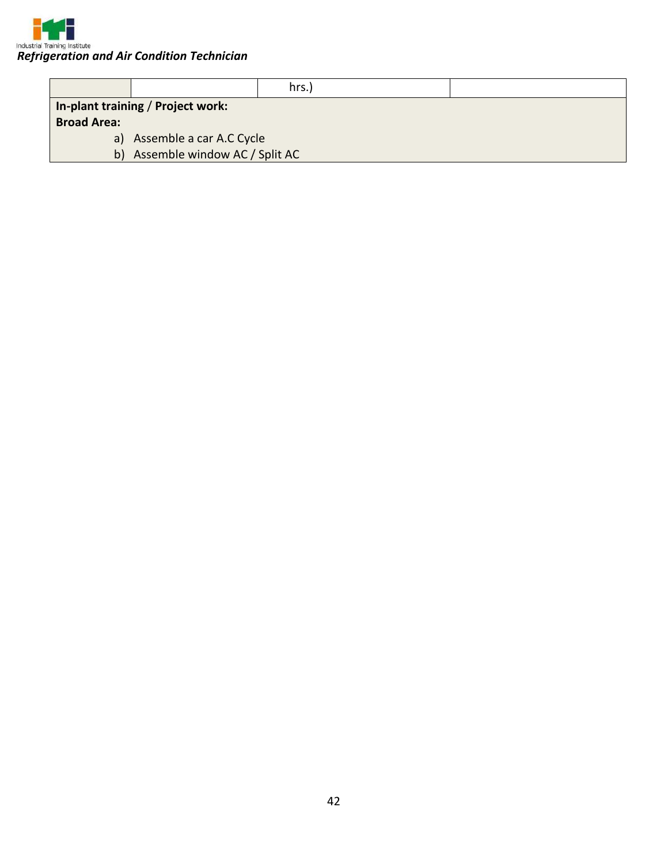

|                                   | hrs.)                            |  |  |  |
|-----------------------------------|----------------------------------|--|--|--|
| In-plant training / Project work: |                                  |  |  |  |
| <b>Broad Area:</b>                |                                  |  |  |  |
|                                   | a) Assemble a car A.C Cycle      |  |  |  |
|                                   | b) Assemble window AC / Split AC |  |  |  |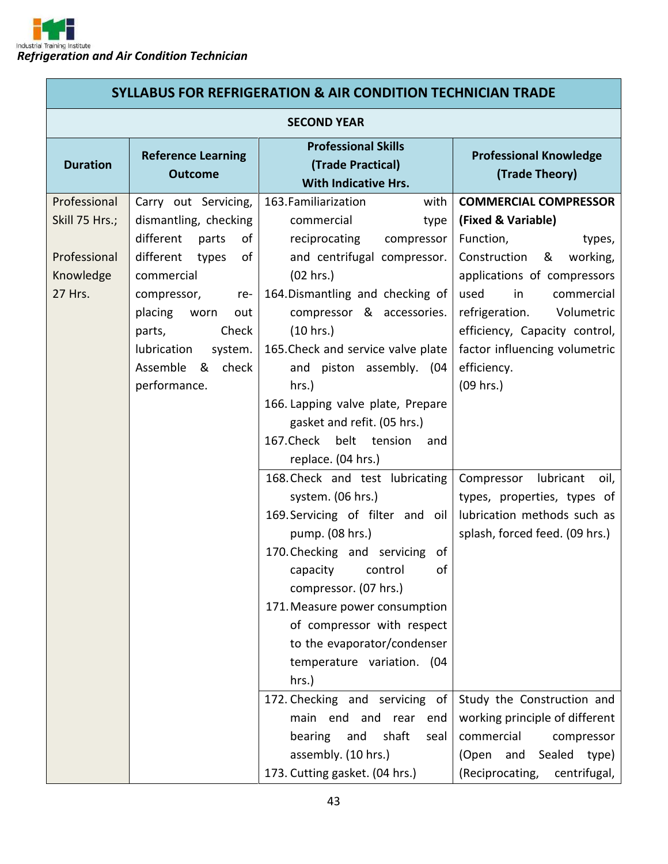| <b>SYLLABUS FOR REFRIGERATION &amp; AIR CONDITION TECHNICIAN TRADE</b> |                                                                                                                                                                                                                                                            |                                                                                                                                                                                                                                                                                                                                                                                                                                                                                                  |                                                                                                                                                                                                                                                                                                       |  |
|------------------------------------------------------------------------|------------------------------------------------------------------------------------------------------------------------------------------------------------------------------------------------------------------------------------------------------------|--------------------------------------------------------------------------------------------------------------------------------------------------------------------------------------------------------------------------------------------------------------------------------------------------------------------------------------------------------------------------------------------------------------------------------------------------------------------------------------------------|-------------------------------------------------------------------------------------------------------------------------------------------------------------------------------------------------------------------------------------------------------------------------------------------------------|--|
|                                                                        | <b>SECOND YEAR</b>                                                                                                                                                                                                                                         |                                                                                                                                                                                                                                                                                                                                                                                                                                                                                                  |                                                                                                                                                                                                                                                                                                       |  |
| <b>Duration</b>                                                        | <b>Reference Learning</b><br><b>Outcome</b>                                                                                                                                                                                                                | <b>Professional Skills</b><br>(Trade Practical)<br><b>With Indicative Hrs.</b>                                                                                                                                                                                                                                                                                                                                                                                                                   | <b>Professional Knowledge</b><br>(Trade Theory)                                                                                                                                                                                                                                                       |  |
| Professional<br>Skill 75 Hrs.;<br>Professional<br>Knowledge<br>27 Hrs. | Carry out Servicing,<br>dismantling, checking<br>different<br>parts<br>of<br>different<br>of<br>types<br>commercial<br>compressor,<br>re-<br>placing<br>worn<br>out<br>Check<br>parts,<br>lubrication<br>system.<br>check<br>Assemble<br>&<br>performance. | 163. Familiarization<br>with<br>commercial<br>type<br>reciprocating<br>compressor<br>and centrifugal compressor.<br>(02 hrs.)<br>164. Dismantling and checking of<br>compressor & accessories.<br>(10 hrs.)<br>165. Check and service valve plate<br>and<br>piston assembly. (04<br>hrs.)<br>166. Lapping valve plate, Prepare<br>gasket and refit. (05 hrs.)<br>167. Check belt tension<br>and<br>replace. (04 hrs.)                                                                            | <b>COMMERCIAL COMPRESSOR</b><br>(Fixed & Variable)<br>Function,<br>types,<br>Construction<br>working,<br>&<br>applications of compressors<br>in<br>used<br>commercial<br>refrigeration.<br>Volumetric<br>efficiency, Capacity control,<br>factor influencing volumetric<br>efficiency.<br>$(09$ hrs.) |  |
|                                                                        |                                                                                                                                                                                                                                                            | 168. Check and test lubricating<br>system. (06 hrs.)<br>169. Servicing of filter and oil<br>pump. (08 hrs.)<br>170. Checking and servicing of<br>capacity<br>control<br>οf<br>compressor. (07 hrs.)<br>171. Measure power consumption<br>of compressor with respect<br>to the evaporator/condenser<br>temperature variation. (04<br>hrs.)<br>172. Checking and servicing of<br>main end and rear<br>end<br>bearing and<br>shaft<br>seal<br>assembly. (10 hrs.)<br>173. Cutting gasket. (04 hrs.) | lubricant<br>Compressor<br>oil,<br>types, properties, types of<br>lubrication methods such as<br>splash, forced feed. (09 hrs.)<br>Study the Construction and<br>working principle of different<br>commercial<br>compressor<br>(Open<br>and Sealed type)<br>(Reciprocating,<br>centrifugal,           |  |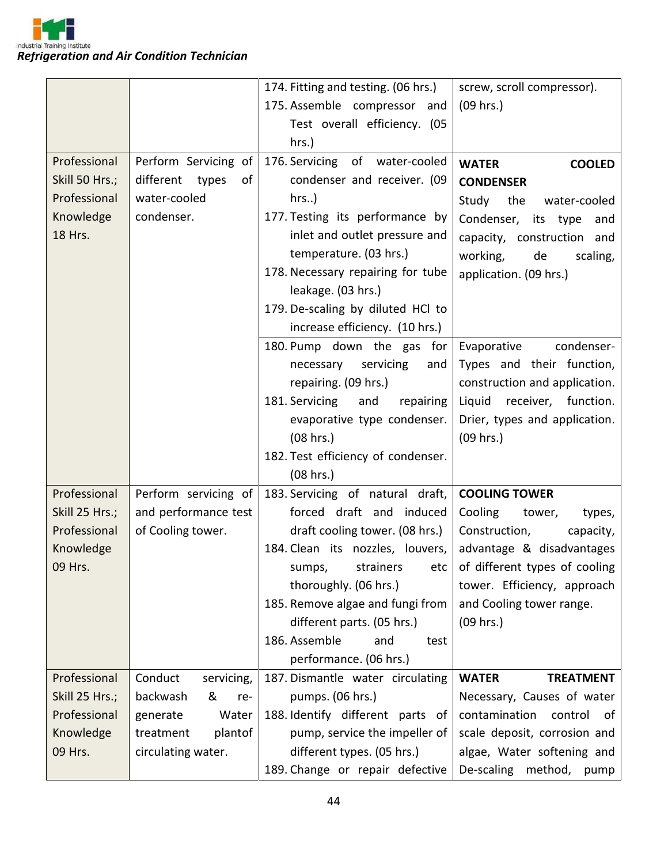

|                |                          | 174. Fitting and testing. (06 hrs.) | screw, scroll compressor).                         |
|----------------|--------------------------|-------------------------------------|----------------------------------------------------|
|                |                          | 175. Assemble compressor and        | (09 hrs.)                                          |
|                |                          | Test overall efficiency. (05        |                                                    |
|                |                          | hrs.)                               |                                                    |
| Professional   | Perform Servicing of     | 176. Servicing of water-cooled      | <b>WATER</b><br><b>COOLED</b>                      |
| Skill 50 Hrs.; | different<br>types<br>οf | condenser and receiver. (09         | <b>CONDENSER</b>                                   |
| Professional   | water-cooled             | $hrs.$ )                            | Study<br>the<br>water-cooled                       |
| Knowledge      | condenser.               | 177. Testing its performance by     | Condenser, its type<br>and                         |
| 18 Hrs.        |                          | inlet and outlet pressure and       | capacity, construction and                         |
|                |                          | temperature. (03 hrs.)              | working,<br>scaling,<br>de                         |
|                |                          | 178. Necessary repairing for tube   | application. (09 hrs.)                             |
|                |                          | leakage. (03 hrs.)                  |                                                    |
|                |                          | 179. De-scaling by diluted HCl to   |                                                    |
|                |                          | increase efficiency. (10 hrs.)      |                                                    |
|                |                          | 180. Pump down the gas for          | condenser-<br>Evaporative                          |
|                |                          | servicing<br>necessary<br>and       | Types and their function,                          |
|                |                          | repairing. (09 hrs.)                | construction and application.                      |
|                |                          | 181. Servicing<br>repairing<br>and  | receiver, function.<br>Liquid                      |
|                |                          | evaporative type condenser.         | Drier, types and application.                      |
|                |                          | (08 hrs.)                           | (09 hrs.)                                          |
|                |                          | 182. Test efficiency of condenser.  |                                                    |
|                |                          | (08 hrs.)                           |                                                    |
| Professional   | Perform servicing of     | 183. Servicing of natural draft,    | <b>COOLING TOWER</b>                               |
| Skill 25 Hrs.; | and performance test     | forced draft and induced            | Cooling<br>tower,<br>types,                        |
| Professional   | of Cooling tower.        | draft cooling tower. (08 hrs.)      | Construction,<br>capacity,                         |
| Knowledge      |                          | 184. Clean its nozzles, louvers,    | advantage & disadvantages                          |
| 09 Hrs.        |                          |                                     | sumps, strainers etc of different types of cooling |
|                |                          | thoroughly. (06 hrs.)               | tower. Efficiency, approach                        |
|                |                          | 185. Remove algae and fungi from    | and Cooling tower range.                           |
|                |                          | different parts. (05 hrs.)          | $(09$ hrs.)                                        |
|                |                          | 186. Assemble<br>and<br>test        |                                                    |
|                |                          | performance. (06 hrs.)              |                                                    |
| Professional   | Conduct<br>servicing,    | 187. Dismantle water circulating    | <b>WATER</b><br><b>TREATMENT</b>                   |
| Skill 25 Hrs.; | backwash<br>&<br>re-     | pumps. (06 hrs.)                    | Necessary, Causes of water                         |
| Professional   | generate<br>Water        | 188. Identify different parts of    | contamination<br>control<br>of                     |
| Knowledge      | treatment<br>plantof     | pump, service the impeller of       | scale deposit, corrosion and                       |
| 09 Hrs.        | circulating water.       | different types. (05 hrs.)          | algae, Water softening and                         |
|                |                          | 189. Change or repair defective     | De-scaling method,<br>pump                         |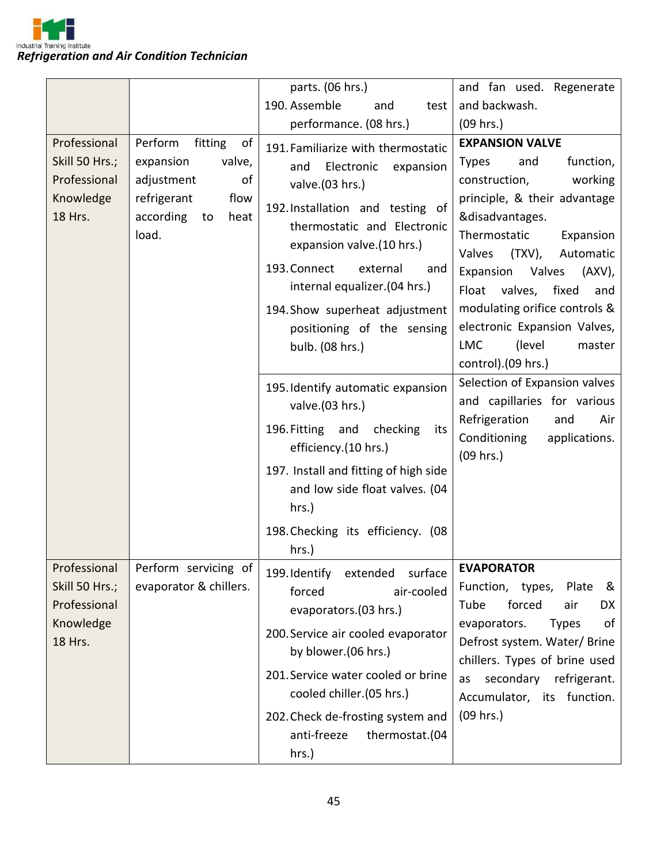

|                                                                        |                                                                                                                                | parts. (06 hrs.)                                                                                                                                                                                                                                                                                                                              | and fan used. Regenerate                                                                                                                                                                                                                                                                                                                                                                                 |
|------------------------------------------------------------------------|--------------------------------------------------------------------------------------------------------------------------------|-----------------------------------------------------------------------------------------------------------------------------------------------------------------------------------------------------------------------------------------------------------------------------------------------------------------------------------------------|----------------------------------------------------------------------------------------------------------------------------------------------------------------------------------------------------------------------------------------------------------------------------------------------------------------------------------------------------------------------------------------------------------|
|                                                                        |                                                                                                                                | 190. Assemble<br>and<br>test                                                                                                                                                                                                                                                                                                                  | and backwash.                                                                                                                                                                                                                                                                                                                                                                                            |
|                                                                        |                                                                                                                                | performance. (08 hrs.)                                                                                                                                                                                                                                                                                                                        | (09 hrs.)                                                                                                                                                                                                                                                                                                                                                                                                |
| Professional<br>Skill 50 Hrs.;<br>Professional<br>Knowledge<br>18 Hrs. | Perform<br>fitting<br>of<br>expansion<br>valve,<br>adjustment<br>of<br>refrigerant<br>flow<br>according<br>to<br>heat<br>load. | 191. Familiarize with thermostatic<br>and<br>Electronic<br>expansion<br>valve.(03 hrs.)<br>192. Installation and testing of<br>thermostatic and Electronic<br>expansion valve.(10 hrs.)<br>193. Connect<br>external<br>and<br>internal equalizer.(04 hrs.)<br>194. Show superheat adjustment<br>positioning of the sensing<br>bulb. (08 hrs.) | <b>EXPANSION VALVE</b><br><b>Types</b><br>function,<br>and<br>construction,<br>working<br>principle, & their advantage<br>&disadvantages.<br>Thermostatic<br>Expansion<br>Valves<br>(TXV),<br>Automatic<br>Expansion<br>Valves<br>$(AXV)$ ,<br>valves,<br>Float<br>fixed<br>and<br>modulating orifice controls &<br>electronic Expansion Valves,<br><b>LMC</b><br>(level<br>master<br>control).(09 hrs.) |
|                                                                        |                                                                                                                                | 195. Identify automatic expansion<br>valve.(03 hrs.)<br>196. Fitting and<br>checking<br>its<br>efficiency.(10 hrs.)<br>197. Install and fitting of high side<br>and low side float valves. (04<br>hrs.)<br>198. Checking its efficiency. (08<br>hrs.)                                                                                         | Selection of Expansion valves<br>and capillaries for various<br>Refrigeration<br>Air<br>and<br>Conditioning<br>applications.<br>(09 hrs.)                                                                                                                                                                                                                                                                |
| Professional<br>Skill 50 Hrs.;<br>Professional<br>Knowledge<br>18 Hrs. | Perform servicing of<br>evaporator & chillers.                                                                                 | 199. Identify<br>extended<br>surface<br>forced<br>air-cooled<br>evaporators.(03 hrs.)<br>200. Service air cooled evaporator<br>by blower.(06 hrs.)<br>201. Service water cooled or brine<br>cooled chiller.(05 hrs.)<br>202. Check de-frosting system and<br>anti-freeze<br>thermostat.(04<br>hrs.)                                           | <b>EVAPORATOR</b><br>Function, types,<br>&<br>Plate<br>Tube<br>forced<br>air<br>DX<br>of<br>evaporators.<br><b>Types</b><br>Defrost system. Water/Brine<br>chillers. Types of brine used<br>secondary refrigerant.<br>as<br>Accumulator, its function.<br>$(09$ hrs.)                                                                                                                                    |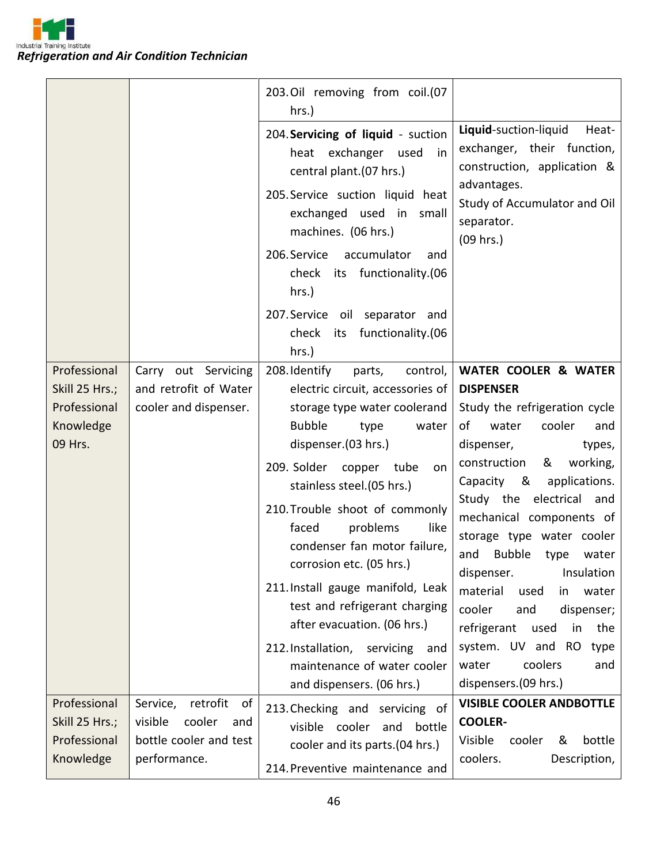

|                                                                        |                                                                                                  | 203.Oil removing from coil.(07<br>hrs.)                                                                                                                                                                                                                                                                                                                                                                                                                                                                                                                        |                                                                                                                                                                                                                                                                                                                                                                                                                                                                                                                                                       |
|------------------------------------------------------------------------|--------------------------------------------------------------------------------------------------|----------------------------------------------------------------------------------------------------------------------------------------------------------------------------------------------------------------------------------------------------------------------------------------------------------------------------------------------------------------------------------------------------------------------------------------------------------------------------------------------------------------------------------------------------------------|-------------------------------------------------------------------------------------------------------------------------------------------------------------------------------------------------------------------------------------------------------------------------------------------------------------------------------------------------------------------------------------------------------------------------------------------------------------------------------------------------------------------------------------------------------|
|                                                                        |                                                                                                  | 204. Servicing of liquid - suction<br>heat exchanger used<br>in<br>central plant.(07 hrs.)<br>205. Service suction liquid heat<br>exchanged used in<br>small<br>machines. (06 hrs.)<br>206. Service<br>accumulator<br>and<br>check its functionality.(06<br>hrs.)<br>207. Service oil separator and<br>functionality.(06<br>check its                                                                                                                                                                                                                          | Liquid-suction-liquid<br>Heat-<br>exchanger, their function,<br>construction, application &<br>advantages.<br>Study of Accumulator and Oil<br>separator.<br>(09 hrs.)                                                                                                                                                                                                                                                                                                                                                                                 |
|                                                                        |                                                                                                  | hrs.)                                                                                                                                                                                                                                                                                                                                                                                                                                                                                                                                                          |                                                                                                                                                                                                                                                                                                                                                                                                                                                                                                                                                       |
| Professional<br>Skill 25 Hrs.;<br>Professional<br>Knowledge<br>09 Hrs. | Carry out Servicing<br>and retrofit of Water<br>cooler and dispenser.                            | 208. Identify<br>parts,<br>control,<br>electric circuit, accessories of<br>storage type water coolerand<br><b>Bubble</b><br>type<br>water<br>dispenser.(03 hrs.)<br>209. Solder copper tube<br>on<br>stainless steel.(05 hrs.)<br>210. Trouble shoot of commonly<br>problems<br>faced<br>like<br>condenser fan motor failure,<br>corrosion etc. (05 hrs.)<br>211. Install gauge manifold, Leak<br>test and refrigerant charging<br>after evacuation. (06 hrs.)<br>212. Installation, servicing and<br>maintenance of water cooler<br>and dispensers. (06 hrs.) | <b>WATER COOLER &amp; WATER</b><br><b>DISPENSER</b><br>Study the refrigeration cycle<br>cooler<br>of<br>water<br>and<br>dispenser,<br>types,<br>construction<br>&<br>working,<br>Capacity &<br>applications.<br>Study the electrical and<br>mechanical components of<br>storage type water cooler<br>Bubble<br>type<br>and<br>water<br>dispenser.<br>Insulation<br>material<br>used<br>water<br>in<br>cooler<br>and<br>dispenser;<br>refrigerant<br>used<br>the<br>in<br>system. UV and RO<br>type<br>coolers<br>water<br>and<br>dispensers.(09 hrs.) |
| Professional<br>Skill 25 Hrs.;<br>Professional<br>Knowledge            | retrofit<br>of<br>Service,<br>cooler<br>visible<br>and<br>bottle cooler and test<br>performance. | 213. Checking and servicing of<br>cooler<br>bottle<br>visible<br>and<br>cooler and its parts.(04 hrs.)<br>214. Preventive maintenance and                                                                                                                                                                                                                                                                                                                                                                                                                      | <b>VISIBLE COOLER ANDBOTTLE</b><br><b>COOLER-</b><br>Visible<br>bottle<br>cooler<br>&<br>coolers.<br>Description,                                                                                                                                                                                                                                                                                                                                                                                                                                     |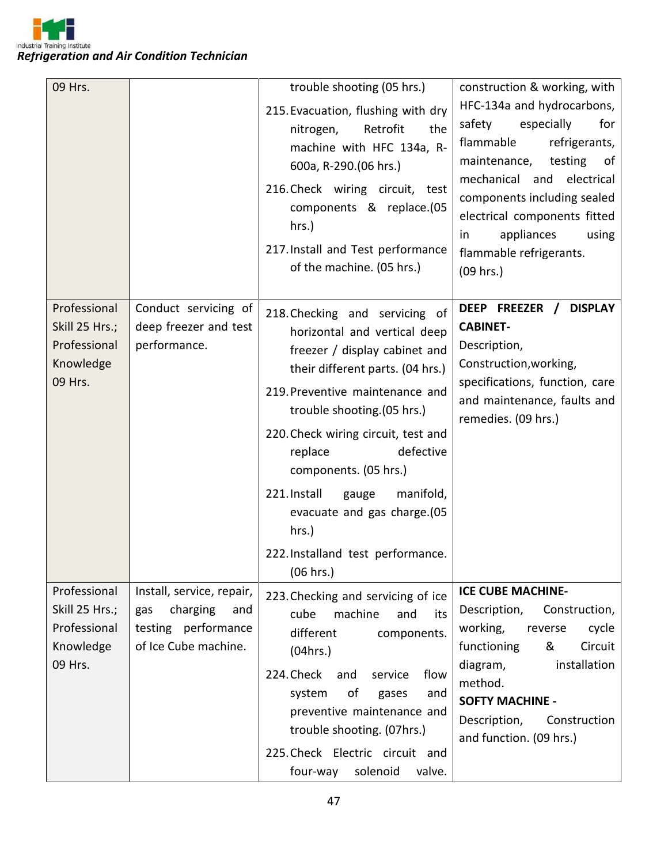Industrial Training Institute *Refrigeration and Air Condition Technician*

| 09 Hrs.                                                                |                                                                                                    | trouble shooting (05 hrs.)<br>215. Evacuation, flushing with dry<br>Retrofit<br>nitrogen,<br>the<br>machine with HFC 134a, R-<br>600a, R-290.(06 hrs.)<br>216. Check wiring circuit, test<br>components & replace.(05<br>hrs.)<br>217. Install and Test performance<br>of the machine. (05 hrs.)                                                                                                                              | construction & working, with<br>HFC-134a and hydrocarbons,<br>especially<br>safety<br>for<br>flammable<br>refrigerants,<br>testing<br>maintenance,<br>0f<br>mechanical and electrical<br>components including sealed<br>electrical components fitted<br>appliances<br>using<br>in<br>flammable refrigerants.<br>$(09$ hrs.) |
|------------------------------------------------------------------------|----------------------------------------------------------------------------------------------------|-------------------------------------------------------------------------------------------------------------------------------------------------------------------------------------------------------------------------------------------------------------------------------------------------------------------------------------------------------------------------------------------------------------------------------|-----------------------------------------------------------------------------------------------------------------------------------------------------------------------------------------------------------------------------------------------------------------------------------------------------------------------------|
| Professional<br>Skill 25 Hrs.;<br>Professional<br>Knowledge<br>09 Hrs. | Conduct servicing of<br>deep freezer and test<br>performance.                                      | 218. Checking and servicing of<br>horizontal and vertical deep<br>freezer / display cabinet and<br>their different parts. (04 hrs.)<br>219. Preventive maintenance and<br>trouble shooting. (05 hrs.)<br>220. Check wiring circuit, test and<br>defective<br>replace<br>components. (05 hrs.)<br>221. Install<br>manifold,<br>gauge<br>evacuate and gas charge.(05<br>hrs.)<br>222. Installand test performance.<br>(06 hrs.) | DEEP FREEZER /<br><b>DISPLAY</b><br><b>CABINET-</b><br>Description,<br>Construction, working,<br>specifications, function, care<br>and maintenance, faults and<br>remedies. (09 hrs.)                                                                                                                                       |
| Professional<br>Skill 25 Hrs.;<br>Professional<br>Knowledge<br>09 Hrs. | Install, service, repair,<br>charging<br>gas<br>and<br>testing performance<br>of Ice Cube machine. | 223. Checking and servicing of ice<br>cube<br>machine<br>and<br>its<br>different<br>components.<br>(04 hrs.)<br>224. Check<br>and<br>service<br>flow<br>οf<br>and<br>system<br>gases<br>preventive maintenance and<br>trouble shooting. (07hrs.)<br>225. Check Electric circuit and<br>solenoid<br>valve.<br>four-way                                                                                                         | <b>ICE CUBE MACHINE-</b><br>Description,<br>Construction,<br>working,<br>cycle<br>reverse<br>Circuit<br>functioning<br>&<br>installation<br>diagram,<br>method.<br><b>SOFTY MACHINE -</b><br>Description,<br>Construction<br>and function. (09 hrs.)                                                                        |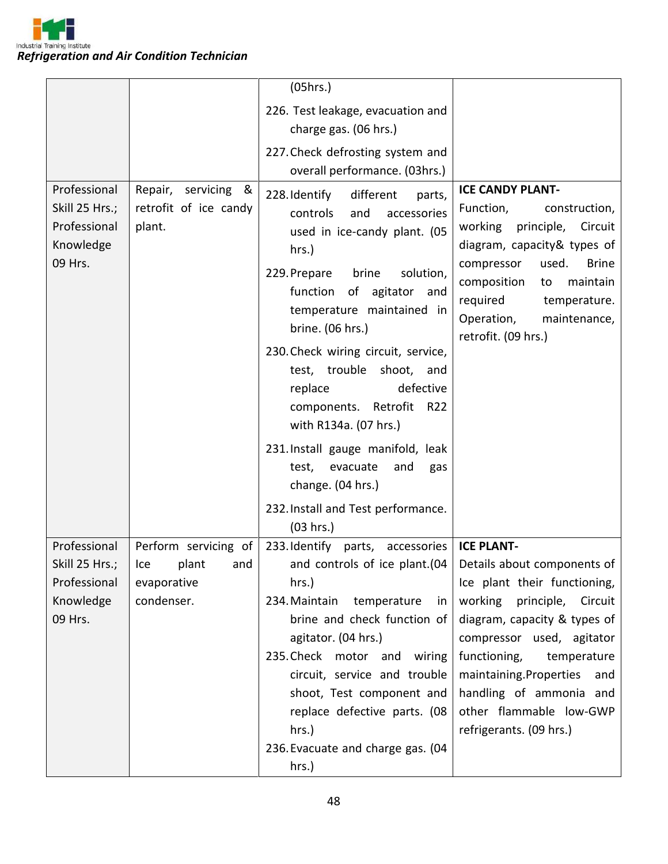

|                                                                                |                                                                | (05hrs.)                                                                                                                                                                                                                                                                                                                                                                              |                                                                                                                                                                                                                                                                                                                                                                  |
|--------------------------------------------------------------------------------|----------------------------------------------------------------|---------------------------------------------------------------------------------------------------------------------------------------------------------------------------------------------------------------------------------------------------------------------------------------------------------------------------------------------------------------------------------------|------------------------------------------------------------------------------------------------------------------------------------------------------------------------------------------------------------------------------------------------------------------------------------------------------------------------------------------------------------------|
|                                                                                |                                                                | 226. Test leakage, evacuation and                                                                                                                                                                                                                                                                                                                                                     |                                                                                                                                                                                                                                                                                                                                                                  |
|                                                                                |                                                                | charge gas. (06 hrs.)                                                                                                                                                                                                                                                                                                                                                                 |                                                                                                                                                                                                                                                                                                                                                                  |
|                                                                                |                                                                | 227. Check defrosting system and<br>overall performance. (03hrs.)                                                                                                                                                                                                                                                                                                                     |                                                                                                                                                                                                                                                                                                                                                                  |
| Professional<br>Skill 25 Hrs.;<br>Professional<br>Knowledge<br>09 Hrs.         | &<br>Repair, servicing<br>retrofit of ice candy<br>plant.      | 228. Identify<br>different<br>parts,<br>controls<br>and<br>accessories<br>used in ice-candy plant. (05<br>hrs.)<br>229. Prepare<br>brine<br>solution,<br>function of agitator and<br>temperature maintained in<br>brine. (06 hrs.)<br>230. Check wiring circuit, service,<br>test, trouble shoot, and<br>defective<br>replace<br>components. Retrofit<br>R22<br>with R134a. (07 hrs.) | <b>ICE CANDY PLANT-</b><br>Function,<br>construction,<br>working principle, Circuit<br>diagram, capacity& types of<br><b>Brine</b><br>compressor<br>used.<br>composition<br>maintain<br>to<br>required<br>temperature.<br>Operation,<br>maintenance,<br>retrofit. (09 hrs.)                                                                                      |
|                                                                                |                                                                | 231. Install gauge manifold, leak<br>test,<br>evacuate<br>and<br>gas<br>change. (04 hrs.)                                                                                                                                                                                                                                                                                             |                                                                                                                                                                                                                                                                                                                                                                  |
|                                                                                |                                                                | 232. Install and Test performance.<br>(03 hrs.)                                                                                                                                                                                                                                                                                                                                       |                                                                                                                                                                                                                                                                                                                                                                  |
| Professional<br>Skill 25 Hrs.; $ $ Ice<br>Professional<br>Knowledge<br>09 Hrs. | Perform servicing of<br>plant and<br>evaporative<br>condenser. | 233. Identify parts, accessories<br>hrs.)<br>234. Maintain<br>temperature<br>in<br>brine and check function of<br>agitator. (04 hrs.)<br>235. Check motor and wiring<br>circuit, service and trouble<br>shoot, Test component and<br>replace defective parts. (08<br>hrs.)<br>236. Evacuate and charge gas. (04<br>hrs.)                                                              | <b>ICE PLANT-</b><br>and controls of ice plant. (04   Details about components of<br>Ice plant their functioning,<br>working<br>principle, Circuit<br>diagram, capacity & types of<br>compressor used, agitator<br>functioning,<br>temperature<br>maintaining.Properties<br>and<br>handling of ammonia and<br>other flammable low-GWP<br>refrigerants. (09 hrs.) |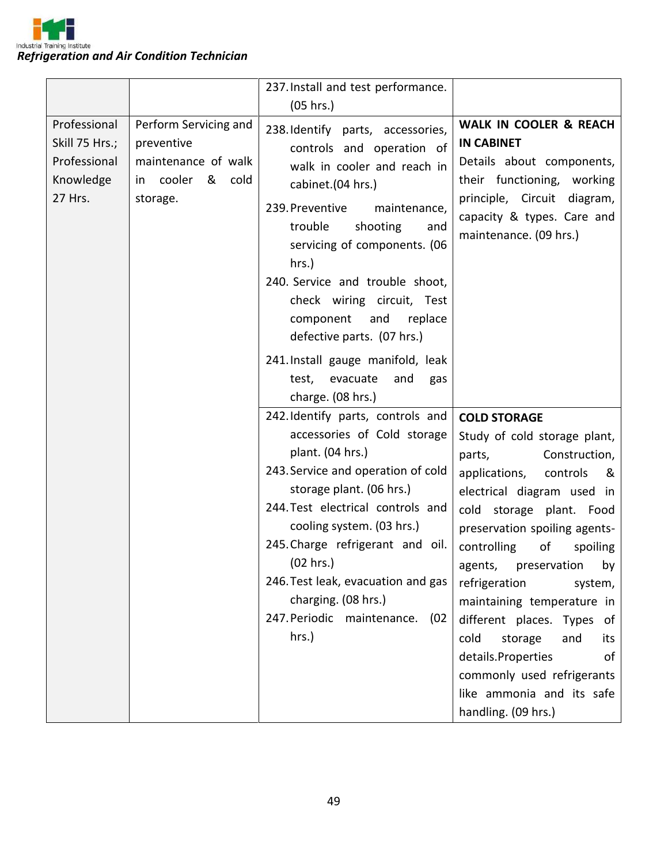

|                                                                        |                                                                                            | 237. Install and test performance.                                                                                                                                                                                                                                                                                                                                                                 |                                                                                                                                                                                                                                                                                                                                                                                                                                                                                                                |
|------------------------------------------------------------------------|--------------------------------------------------------------------------------------------|----------------------------------------------------------------------------------------------------------------------------------------------------------------------------------------------------------------------------------------------------------------------------------------------------------------------------------------------------------------------------------------------------|----------------------------------------------------------------------------------------------------------------------------------------------------------------------------------------------------------------------------------------------------------------------------------------------------------------------------------------------------------------------------------------------------------------------------------------------------------------------------------------------------------------|
|                                                                        |                                                                                            | (05 hrs.)                                                                                                                                                                                                                                                                                                                                                                                          |                                                                                                                                                                                                                                                                                                                                                                                                                                                                                                                |
| Professional<br>Skill 75 Hrs.;<br>Professional<br>Knowledge<br>27 Hrs. | Perform Servicing and<br>preventive<br>maintenance of walk<br>in cooler & cold<br>storage. | 238. Identify parts, accessories,<br>controls and operation of<br>walk in cooler and reach in<br>cabinet.(04 hrs.)<br>239. Preventive<br>maintenance,<br>trouble<br>shooting<br>and<br>servicing of components. (06<br>$hrs.$ )<br>240. Service and trouble shoot,<br>check wiring circuit, Test<br>component<br>and<br>replace<br>defective parts. (07 hrs.)<br>241. Install gauge manifold, leak | <b>WALK IN COOLER &amp; REACH</b><br><b>IN CABINET</b><br>Details about components,<br>their functioning, working<br>principle, Circuit diagram,<br>capacity & types. Care and<br>maintenance. (09 hrs.)                                                                                                                                                                                                                                                                                                       |
|                                                                        |                                                                                            | evacuate<br>test,<br>and<br>gas<br>charge. (08 hrs.)                                                                                                                                                                                                                                                                                                                                               |                                                                                                                                                                                                                                                                                                                                                                                                                                                                                                                |
|                                                                        |                                                                                            | 242. Identify parts, controls and<br>accessories of Cold storage<br>plant. (04 hrs.)<br>243. Service and operation of cold<br>storage plant. (06 hrs.)<br>244. Test electrical controls and<br>cooling system. (03 hrs.)<br>245. Charge refrigerant and oil.<br>(02 hrs.)<br>246. Test leak, evacuation and gas<br>charging. (08 hrs.)<br>247. Periodic maintenance. (02<br>hrs.)                  | <b>COLD STORAGE</b><br>Study of cold storage plant,<br>Construction,<br>parts,<br>applications,<br>controls<br>&<br>electrical diagram used in<br>cold storage plant. Food<br>preservation spoiling agents-<br>controlling<br>of<br>spoiling<br>agents, preservation by<br>refrigeration<br>system,<br>maintaining temperature in<br>different places. Types of<br>cold<br>storage<br>and<br>its<br>details.Properties<br>οf<br>commonly used refrigerants<br>like ammonia and its safe<br>handling. (09 hrs.) |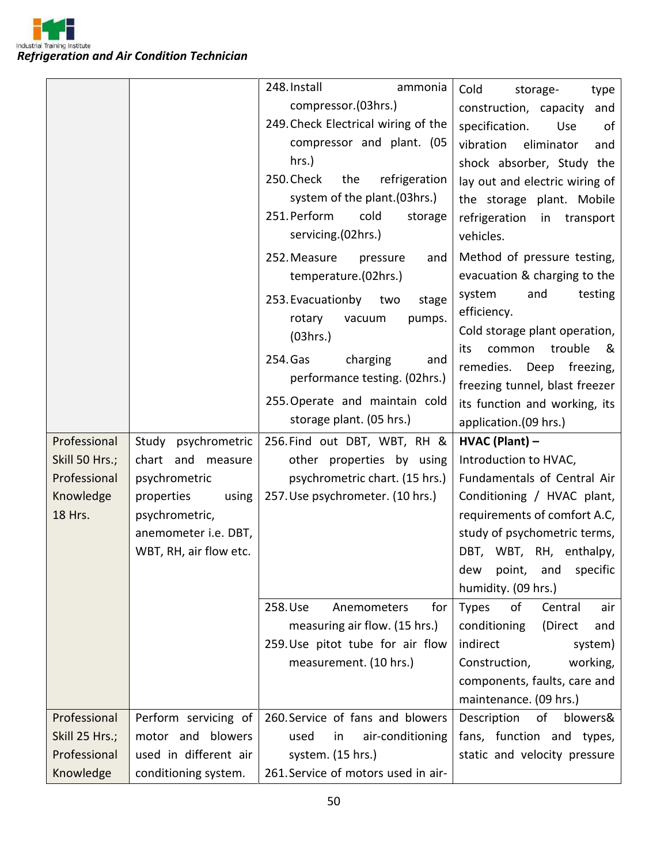Industrial Training Institute *Refrigeration and Air Condition Technician*

|                |                        | 248. Install<br>ammonia             | Cold<br>storage-<br>type                                        |
|----------------|------------------------|-------------------------------------|-----------------------------------------------------------------|
|                |                        | compressor.(03hrs.)                 | construction, capacity<br>and                                   |
|                |                        | 249. Check Electrical wiring of the | specification.<br>of<br>Use                                     |
|                |                        | compressor and plant. (05           | vibration<br>eliminator<br>and                                  |
|                |                        | hrs.)                               | shock absorber, Study the                                       |
|                |                        | 250. Check<br>refrigeration<br>the  | lay out and electric wiring of                                  |
|                |                        | system of the plant. (03hrs.)       | the storage plant. Mobile                                       |
|                |                        | 251. Perform<br>cold<br>storage     | refrigeration<br>in transport                                   |
|                |                        | servicing.(02hrs.)                  | vehicles.                                                       |
|                |                        | 252. Measure<br>pressure<br>and     | Method of pressure testing,                                     |
|                |                        | temperature.(02hrs.)                | evacuation & charging to the                                    |
|                |                        | 253. Evacuationby two<br>stage      | and<br>testing<br>system                                        |
|                |                        | pumps.<br>rotary<br>vacuum          | efficiency.                                                     |
|                |                        | (03hrs.)                            | Cold storage plant operation,                                   |
|                |                        | 254. Gas<br>charging<br>and         | trouble<br>common<br>its<br>୍ଷ                                  |
|                |                        | performance testing. (02hrs.)       | remedies.<br>Deep<br>freezing,                                  |
|                |                        | 255. Operate and maintain cold      | freezing tunnel, blast freezer<br>its function and working, its |
|                |                        | storage plant. (05 hrs.)            | application.(09 hrs.)                                           |
|                |                        |                                     |                                                                 |
|                |                        |                                     |                                                                 |
| Professional   | Study psychrometric    | 256. Find out DBT, WBT, RH &        | HVAC (Plant) -                                                  |
| Skill 50 Hrs.; | chart and measure      | other properties by using           | Introduction to HVAC,                                           |
| Professional   | psychrometric          | psychrometric chart. (15 hrs.)      | Fundamentals of Central Air                                     |
| Knowledge      | properties<br>using    | 257. Use psychrometer. (10 hrs.)    | Conditioning / HVAC plant,                                      |
| 18 Hrs.        | psychrometric,         |                                     | requirements of comfort A.C,                                    |
|                | anemometer i.e. DBT,   |                                     | study of psychometric terms,                                    |
|                | WBT, RH, air flow etc. |                                     | DBT, WBT, RH, enthalpy,                                         |
|                |                        |                                     | point, and<br>specific<br>dew                                   |
|                |                        | for<br>258.Use<br>Anemometers       | humidity. (09 hrs.)<br>of<br>Central<br>air                     |
|                |                        | measuring air flow. (15 hrs.)       | <b>Types</b><br>conditioning<br>(Direct<br>and                  |
|                |                        | 259. Use pitot tube for air flow    | indirect<br>system)                                             |
|                |                        | measurement. (10 hrs.)              | Construction,<br>working,                                       |
|                |                        |                                     | components, faults, care and                                    |
|                |                        |                                     | maintenance. (09 hrs.)                                          |
| Professional   | Perform servicing of   | 260. Service of fans and blowers    | Description<br>of<br>blowers&                                   |
| Skill 25 Hrs.; | motor and blowers      | used<br>air-conditioning<br>in      | fans, function and types,                                       |
| Professional   | used in different air  | system. (15 hrs.)                   | static and velocity pressure                                    |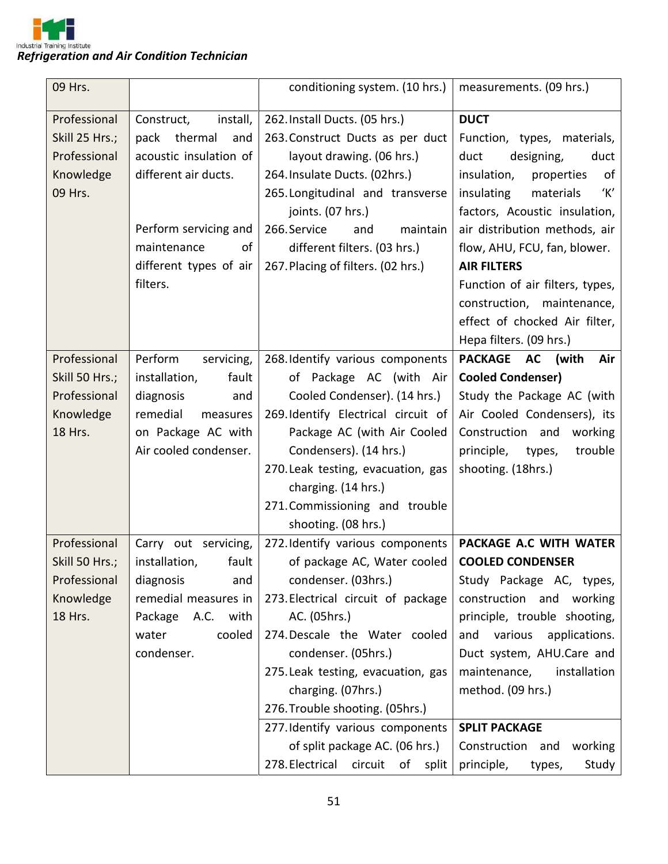

| 09 Hrs.        |                        | conditioning system. (10 hrs.)      | measurements. (09 hrs.)         |
|----------------|------------------------|-------------------------------------|---------------------------------|
| Professional   | Construct,<br>install, | 262. Install Ducts. (05 hrs.)       | <b>DUCT</b>                     |
| Skill 25 Hrs.; | pack<br>thermal<br>and | 263. Construct Ducts as per duct    | Function, types, materials,     |
| Professional   | acoustic insulation of | layout drawing. (06 hrs.)           | designing,<br>duct<br>duct      |
| Knowledge      | different air ducts.   | 264. Insulate Ducts. (02hrs.)       | insulation,<br>properties<br>of |
| 09 Hrs.        |                        | 265. Longitudinal and transverse    | 'Κ'<br>insulating<br>materials  |
|                |                        | joints. (07 hrs.)                   | factors, Acoustic insulation,   |
|                | Perform servicing and  | 266.Service<br>maintain<br>and      | air distribution methods, air   |
|                | maintenance<br>of      | different filters. (03 hrs.)        | flow, AHU, FCU, fan, blower.    |
|                | different types of air | 267. Placing of filters. (02 hrs.)  | <b>AIR FILTERS</b>              |
|                | filters.               |                                     | Function of air filters, types, |
|                |                        |                                     | construction, maintenance,      |
|                |                        |                                     | effect of chocked Air filter,   |
|                |                        |                                     | Hepa filters. (09 hrs.)         |
| Professional   | Perform<br>servicing,  | 268. Identify various components    | PACKAGE AC<br>(with<br>Air      |
| Skill 50 Hrs.; | installation,<br>fault | of Package AC (with Air             | <b>Cooled Condenser)</b>        |
| Professional   | diagnosis<br>and       | Cooled Condenser). (14 hrs.)        | Study the Package AC (with      |
| Knowledge      | remedial<br>measures   | 269. Identify Electrical circuit of | Air Cooled Condensers), its     |
| 18 Hrs.        | on Package AC with     | Package AC (with Air Cooled         | Construction and<br>working     |
|                | Air cooled condenser.  | Condensers). (14 hrs.)              | principle, types,<br>trouble    |
|                |                        | 270. Leak testing, evacuation, gas  | shooting. (18hrs.)              |
|                |                        | charging. (14 hrs.)                 |                                 |
|                |                        | 271. Commissioning and trouble      |                                 |
|                |                        | shooting. (08 hrs.)                 |                                 |
| Professional   | Carry out servicing,   | 272. Identify various components    | PACKAGE A.C WITH WATER          |
| Skill 50 Hrs.; | installation,<br>fault | of package AC, Water cooled         | <b>COOLED CONDENSER</b>         |
| Professional   | diagnosis<br>and       | condenser. (03hrs.)                 | Study Package AC, types,        |
| Knowledge      | remedial measures in   | 273. Electrical circuit of package  | construction and working        |
| 18 Hrs.        | Package A.C. with      | AC. (05hrs.)                        | principle, trouble shooting,    |
|                | cooled<br>water        | 274. Descale the Water cooled       | and various<br>applications.    |
|                | condenser.             | condenser. (05hrs.)                 | Duct system, AHU.Care and       |
|                |                        | 275. Leak testing, evacuation, gas  | maintenance,<br>installation    |
|                |                        | charging. (07hrs.)                  | method. (09 hrs.)               |
|                |                        | 276. Trouble shooting. (05hrs.)     |                                 |
|                |                        | 277. Identify various components    | <b>SPLIT PACKAGE</b>            |
|                |                        | of split package AC. (06 hrs.)      | Construction and<br>working     |
|                |                        | 278. Electrical<br>circuit of split | principle,<br>Study<br>types,   |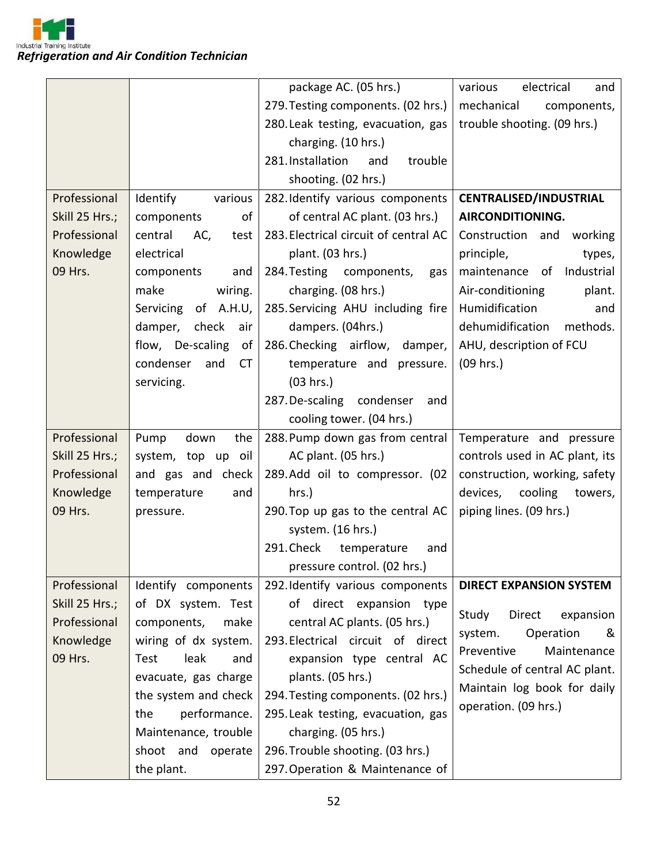

|                |                               | package AC. (05 hrs.)                 | various<br>electrical<br>and   |
|----------------|-------------------------------|---------------------------------------|--------------------------------|
|                |                               | 279. Testing components. (02 hrs.)    | mechanical<br>components,      |
|                |                               | 280. Leak testing, evacuation, gas    | trouble shooting. (09 hrs.)    |
|                |                               | charging. (10 hrs.)                   |                                |
|                |                               | 281. Installation<br>trouble<br>and   |                                |
|                |                               | shooting. (02 hrs.)                   |                                |
| Professional   | Identify<br>various           | 282. Identify various components      | <b>CENTRALISED/INDUSTRIAL</b>  |
| Skill 25 Hrs.; | of<br>components              | of central AC plant. (03 hrs.)        | AIRCONDITIONING.               |
| Professional   | central<br>AC,<br>test        | 283. Electrical circuit of central AC | Construction and<br>working    |
| Knowledge      | electrical                    | plant. (03 hrs.)                      | principle,<br>types,           |
| 09 Hrs.        | components<br>and             | 284. Testing components,<br>gas       | Industrial<br>maintenance of   |
|                | wiring.<br>make               | charging. (08 hrs.)                   | Air-conditioning<br>plant.     |
|                | of A.H.U,<br>Servicing        | 285. Servicing AHU including fire     | Humidification<br>and          |
|                | check<br>damper,<br>air       | dampers. (04hrs.)                     | dehumidification<br>methods.   |
|                | flow, De-scaling<br>of        | 286. Checking airflow, damper,        | AHU, description of FCU        |
|                | and<br>condenser<br><b>CT</b> | temperature and pressure.             | (09 hrs.)                      |
|                | servicing.                    | (03 hrs.)                             |                                |
|                |                               | 287. De-scaling condenser<br>and      |                                |
|                |                               | cooling tower. (04 hrs.)              |                                |
| Professional   | Pump<br>down<br>the           | 288. Pump down gas from central       | Temperature and pressure       |
| Skill 25 Hrs.; | system, top up oil            | AC plant. (05 hrs.)                   | controls used in AC plant, its |
| Professional   | and gas and check             | 289.Add oil to compressor. (02        | construction, working, safety  |
| Knowledge      | temperature<br>and            | hrs.)                                 | devices,<br>cooling<br>towers, |
| 09 Hrs.        | pressure.                     | 290. Top up gas to the central AC     | piping lines. (09 hrs.)        |
|                |                               | system. (16 hrs.)                     |                                |
|                |                               | 291. Check temperature<br>and         |                                |
|                |                               | pressure control. (02 hrs.)           |                                |
| Professional   | Identify components           | 292. Identify various components      | <b>DIRECT EXPANSION SYSTEM</b> |
| Skill 25 Hrs.; | of DX system. Test            | direct expansion type<br>of           | Direct<br>Study<br>expansion   |
| Professional   | make<br>components,           | central AC plants. (05 hrs.)          | Operation<br>&<br>system.      |
| Knowledge      | wiring of dx system.          | 293. Electrical circuit of direct     | Maintenance<br>Preventive      |
| 09 Hrs.        | leak<br>Test<br>and           | expansion type central AC             | Schedule of central AC plant.  |
|                | evacuate, gas charge          | plants. (05 hrs.)                     | Maintain log book for daily    |
|                | the system and check          | 294. Testing components. (02 hrs.)    | operation. (09 hrs.)           |
|                | performance.<br>the           | 295. Leak testing, evacuation, gas    |                                |
|                | Maintenance, trouble          | charging. (05 hrs.)                   |                                |
|                | shoot and operate             | 296. Trouble shooting. (03 hrs.)      |                                |
|                | the plant.                    | 297. Operation & Maintenance of       |                                |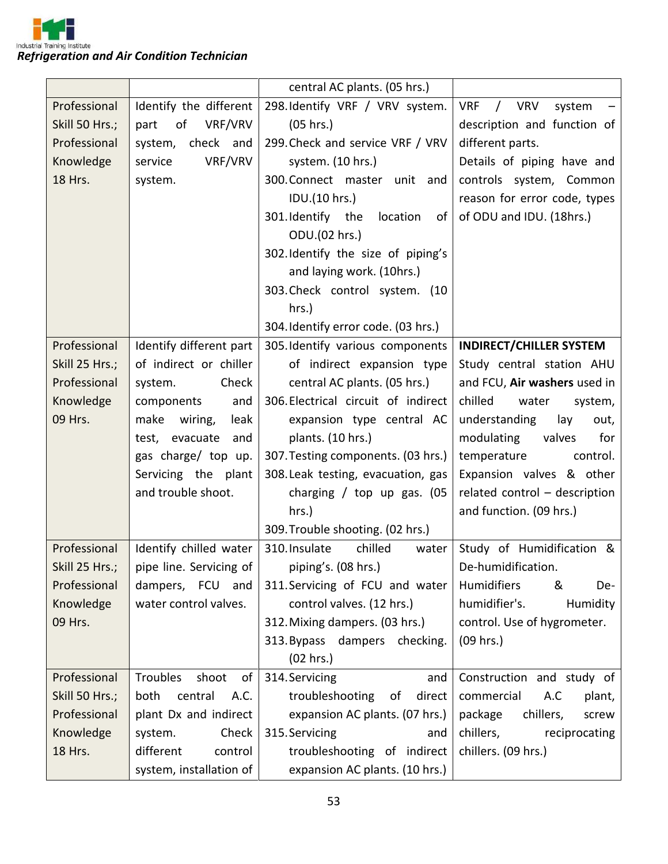

|                |                                | central AC plants. (05 hrs.)                                   |                                                  |
|----------------|--------------------------------|----------------------------------------------------------------|--------------------------------------------------|
| Professional   | Identify the different         | 298. Identify VRF / VRV system.                                | <b>VRF</b><br>$\sqrt{2}$<br><b>VRV</b><br>system |
| Skill 50 Hrs.; | VRF/VRV<br>of<br>part          | (05 hrs.)                                                      | description and function of                      |
| Professional   | system, check and              | 299. Check and service VRF / VRV                               | different parts.                                 |
| Knowledge      | VRF/VRV<br>service             | system. (10 hrs.)                                              | Details of piping have and                       |
| 18 Hrs.        | system.                        | 300. Connect master unit and                                   | controls system, Common                          |
|                |                                | IDU.(10 hrs.)                                                  | reason for error code, types                     |
|                |                                | 301. Identify the location<br>of                               | of ODU and IDU. (18hrs.)                         |
|                |                                | ODU.(02 hrs.)                                                  |                                                  |
|                |                                | 302. Identify the size of piping's                             |                                                  |
|                |                                | and laying work. (10hrs.)                                      |                                                  |
|                |                                | 303. Check control system. (10                                 |                                                  |
|                |                                | hrs.)                                                          |                                                  |
|                |                                | 304. Identify error code. (03 hrs.)                            |                                                  |
| Professional   | Identify different part        | 305. Identify various components                               | <b>INDIRECT/CHILLER SYSTEM</b>                   |
| Skill 25 Hrs.; | of indirect or chiller         | of indirect expansion type                                     | Study central station AHU                        |
| Professional   | Check<br>system.               | central AC plants. (05 hrs.)                                   | and FCU, Air washers used in                     |
| Knowledge      | components<br>and              | 306. Electrical circuit of indirect                            | chilled<br>water<br>system,                      |
| 09 Hrs.        | make<br>wiring,<br>leak        | expansion type central AC                                      | understanding<br>lay<br>out,                     |
|                | and<br>test, evacuate          | plants. (10 hrs.)                                              | modulating<br>for<br>valves                      |
|                | gas charge/ top up.            | 307. Testing components. (03 hrs.)                             | temperature<br>control.                          |
|                | Servicing the plant            | 308. Leak testing, evacuation, gas                             | Expansion valves & other                         |
|                | and trouble shoot.             | charging / top up gas. $(05)$                                  | related control - description                    |
|                |                                | $hrs.$ )                                                       | and function. (09 hrs.)                          |
|                |                                | 309. Trouble shooting. (02 hrs.)                               |                                                  |
| Professional   | Identify chilled water         | 310. Insulate<br>chilled<br>water                              | Study of Humidification &                        |
|                |                                | Skill 25 Hrs.;   pipe line. Servicing of   piping's. (08 hrs.) | De-humidification.                               |
| Professional   | dampers, FCU and               | 311. Servicing of FCU and water                                | <b>Humidifiers</b><br>&<br>De-                   |
| Knowledge      | water control valves.          | control valves. (12 hrs.)                                      | humidifier's.<br>Humidity                        |
| 09 Hrs.        |                                | 312. Mixing dampers. (03 hrs.)                                 | control. Use of hygrometer.                      |
|                |                                | 313. Bypass dampers checking.                                  | $(09$ hrs.)                                      |
|                |                                | (02 hrs.)                                                      |                                                  |
| Professional   | <b>Troubles</b><br>shoot<br>of | 314. Servicing<br>and                                          | Construction and study of                        |
| Skill 50 Hrs.; | both<br>central<br>A.C.        | troubleshooting<br>direct<br>of                                | commercial<br>A.C<br>plant,                      |
| Professional   | plant Dx and indirect          | expansion AC plants. (07 hrs.)                                 | package<br>chillers,<br>screw                    |
| Knowledge      | Check<br>system.               | 315. Servicing<br>and                                          | chillers,<br>reciprocating                       |
| 18 Hrs.        | different<br>control           | troubleshooting of indirect                                    | chillers. (09 hrs.)                              |
|                | system, installation of        | expansion AC plants. (10 hrs.)                                 |                                                  |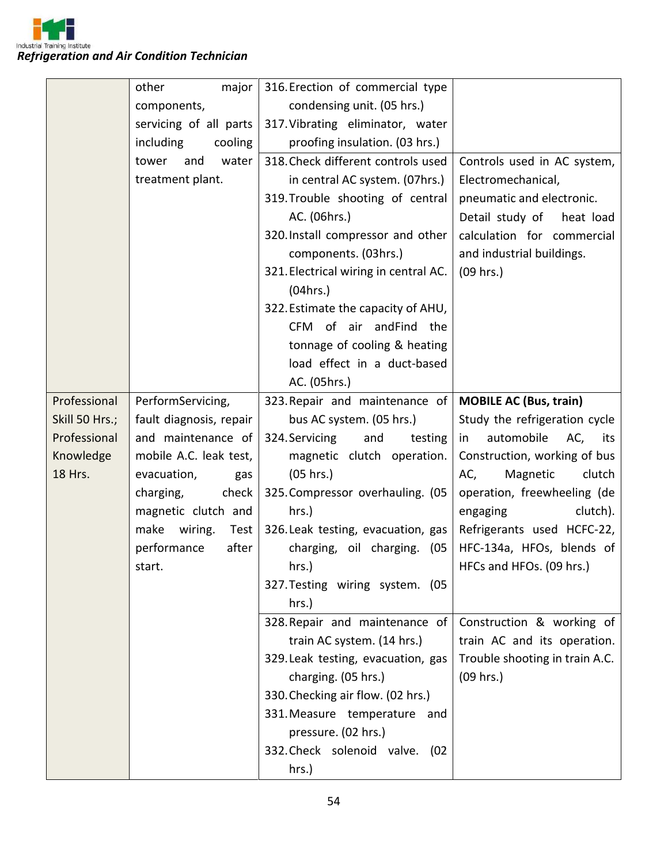

|                | major<br>other          | 316. Erection of commercial type      |                                |
|----------------|-------------------------|---------------------------------------|--------------------------------|
|                | components,             | condensing unit. (05 hrs.)            |                                |
|                | servicing of all parts  | 317. Vibrating eliminator, water      |                                |
|                | including<br>cooling    | proofing insulation. (03 hrs.)        |                                |
|                | water<br>tower<br>and   | 318. Check different controls used    | Controls used in AC system,    |
|                | treatment plant.        | in central AC system. (07hrs.)        | Electromechanical,             |
|                |                         | 319. Trouble shooting of central      | pneumatic and electronic.      |
|                |                         | AC. (06hrs.)                          | Detail study of<br>heat load   |
|                |                         | 320. Install compressor and other     | calculation for commercial     |
|                |                         | components. (03hrs.)                  | and industrial buildings.      |
|                |                         | 321. Electrical wiring in central AC. | $(09$ hrs.)                    |
|                |                         | (04 hrs.)                             |                                |
|                |                         | 322. Estimate the capacity of AHU,    |                                |
|                |                         | CFM of air andFind<br>the             |                                |
|                |                         | tonnage of cooling & heating          |                                |
|                |                         | load effect in a duct-based           |                                |
|                |                         | AC. (05hrs.)                          |                                |
| Professional   | PerformServicing,       | 323. Repair and maintenance of        | <b>MOBILE AC (Bus, train)</b>  |
| Skill 50 Hrs.; | fault diagnosis, repair | bus AC system. (05 hrs.)              | Study the refrigeration cycle  |
| Professional   | and maintenance of      | 324. Servicing<br>and<br>testing      | automobile<br>AC,<br>in<br>its |
| Knowledge      | mobile A.C. leak test,  | magnetic clutch operation.            | Construction, working of bus   |
| 18 Hrs.        | evacuation,<br>gas      | (05 hrs.)                             | Magnetic<br>clutch<br>AC,      |
|                | charging,<br>check      | 325. Compressor overhauling. (05      | operation, freewheeling (de    |
|                | magnetic clutch and     | hrs.)                                 | clutch).<br>engaging           |
|                | make<br>wiring.<br>Test | 326. Leak testing, evacuation, gas    | Refrigerants used HCFC-22,     |
|                | performance<br>after    | charging, oil charging. (05           | HFC-134a, HFOs, blends of      |
|                | start.                  | hrs.)                                 | HFCs and HFOs. (09 hrs.)       |
|                |                         | 327. Testing wiring system. (05       |                                |
|                |                         | hrs.)                                 |                                |
|                |                         | 328. Repair and maintenance of        | Construction & working of      |
|                |                         | train AC system. (14 hrs.)            | train AC and its operation.    |
|                |                         | 329. Leak testing, evacuation, gas    | Trouble shooting in train A.C. |
|                |                         | charging. (05 hrs.)                   | (09 hrs.)                      |
|                |                         | 330. Checking air flow. (02 hrs.)     |                                |
|                |                         | 331. Measure temperature and          |                                |
|                |                         | pressure. (02 hrs.)                   |                                |
|                |                         | 332. Check solenoid valve. (02        |                                |
|                |                         | hrs.)                                 |                                |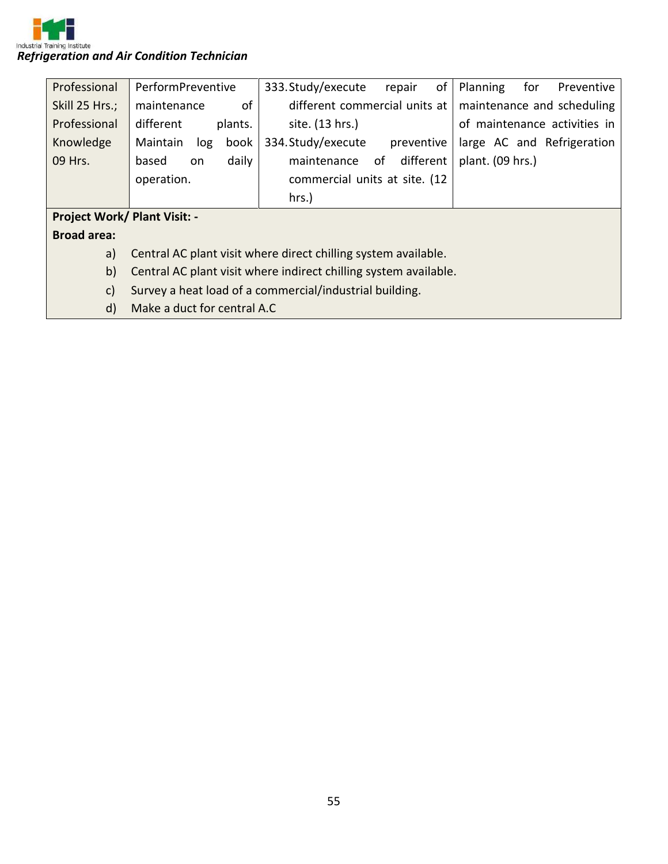

| Professional                        | PerformPreventive           | 333. Study/execute<br>οf<br>repair                               | for<br>Planning<br>Preventive |
|-------------------------------------|-----------------------------|------------------------------------------------------------------|-------------------------------|
| Skill 25 Hrs.;                      | of<br>maintenance           | different commercial units at                                    | maintenance and scheduling    |
| Professional                        | different<br>plants.        | site. (13 hrs.)                                                  | of maintenance activities in  |
| Knowledge                           | Maintain<br>book<br>log     | 334. Study/execute<br>preventive                                 | large AC and Refrigeration    |
| 09 Hrs.                             | daily<br>based<br><b>on</b> | different<br>maintenance<br>of                                   | plant. (09 hrs.)              |
|                                     | operation.                  | commercial units at site. (12                                    |                               |
|                                     |                             | hrs.)                                                            |                               |
| <b>Project Work/ Plant Visit: -</b> |                             |                                                                  |                               |
| <b>Broad area:</b>                  |                             |                                                                  |                               |
| a)                                  |                             | Central AC plant visit where direct chilling system available.   |                               |
| b)                                  |                             | Central AC plant visit where indirect chilling system available. |                               |
| $\mathsf{c}$                        |                             | Survey a heat load of a commercial/industrial building.          |                               |
| d)                                  | Make a duct for central A.C |                                                                  |                               |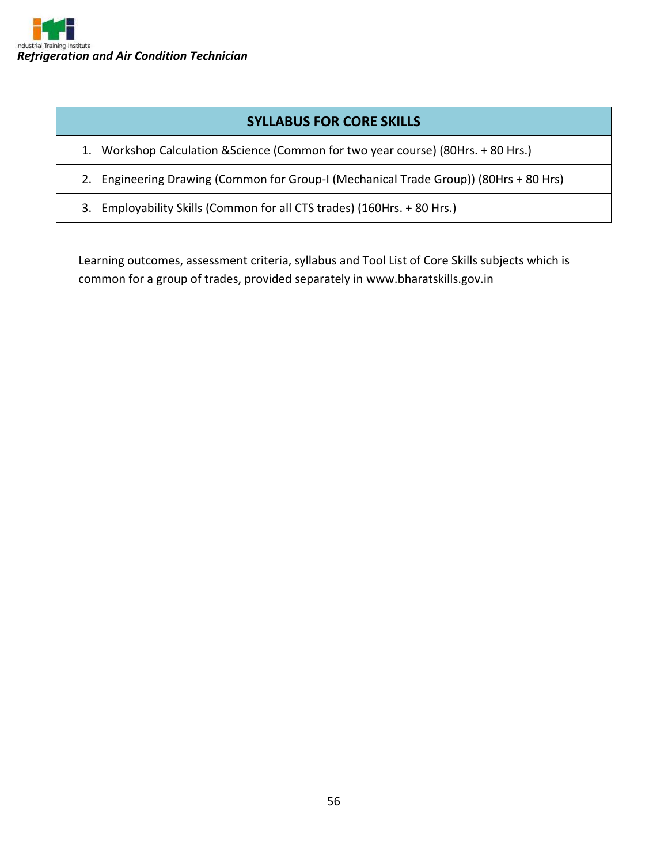

## **SYLLABUS FOR CORE SKILLS**

- 1. Workshop Calculation &Science (Common for two year course) (80Hrs. + 80 Hrs.)
- 2. Engineering Drawing (Common for Group-I (Mechanical Trade Group)) (80Hrs + 80 Hrs)
- 3. Employability Skills (Common for all CTS trades) (160Hrs. + 80 Hrs.)

Learning outcomes, assessment criteria, syllabus and Tool List of Core Skills subjects which is common for a group of trades, provided separately in www.bharatskills.gov.in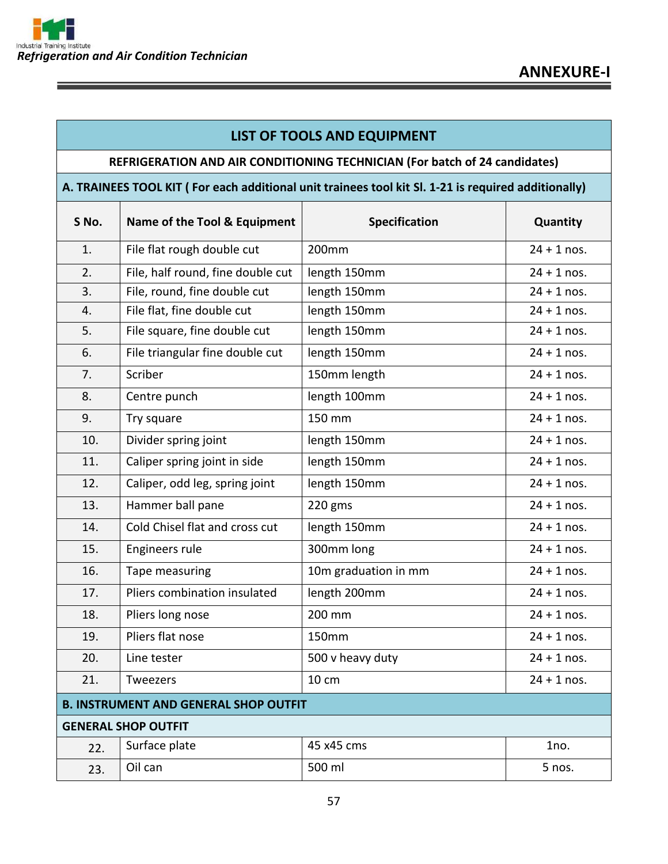### **LIST OF TOOLS AND EQUIPMENT**

#### **REFRIGERATION AND AIR CONDITIONING TECHNICIAN (For batch of 24 candidates)**

#### **A. TRAINEES TOOL KIT ( For each additional unit trainees tool kit Sl. 1-21 is required additionally)**

| S No. | Name of the Tool & Equipment                 | Specification        | Quantity      |
|-------|----------------------------------------------|----------------------|---------------|
| 1.    | File flat rough double cut                   | 200mm                | $24 + 1$ nos. |
| 2.    | File, half round, fine double cut            | length 150mm         | $24 + 1$ nos. |
| 3.    | File, round, fine double cut                 | length 150mm         | $24 + 1$ nos. |
| 4.    | File flat, fine double cut                   | length 150mm         | $24 + 1$ nos. |
| 5.    | File square, fine double cut                 | length 150mm         | $24 + 1$ nos. |
| 6.    | File triangular fine double cut              | length 150mm         | $24 + 1$ nos. |
| 7.    | Scriber                                      | 150mm length         | $24 + 1$ nos. |
| 8.    | Centre punch                                 | length 100mm         | $24 + 1$ nos. |
| 9.    | Try square                                   | 150 mm               | $24 + 1$ nos. |
| 10.   | Divider spring joint                         | length 150mm         | $24 + 1$ nos. |
| 11.   | Caliper spring joint in side                 | length 150mm         | $24 + 1$ nos. |
| 12.   | Caliper, odd leg, spring joint               | length 150mm         | $24 + 1$ nos. |
| 13.   | Hammer ball pane                             | 220 gms              | $24 + 1$ nos. |
| 14.   | Cold Chisel flat and cross cut               | length 150mm         | $24 + 1$ nos. |
| 15.   | Engineers rule                               | 300mm long           | $24 + 1$ nos. |
| 16.   | Tape measuring                               | 10m graduation in mm | $24 + 1$ nos. |
| 17.   | Pliers combination insulated                 | length 200mm         | $24 + 1$ nos. |
| 18.   | Pliers long nose                             | 200 mm               | $24 + 1$ nos. |
| 19.   | Pliers flat nose                             | 150mm                | $24 + 1$ nos. |
| 20.   | Line tester                                  | 500 v heavy duty     | $24 + 1$ nos. |
| 21.   | <b>Tweezers</b>                              | 10 cm                | $24 + 1$ nos. |
|       | <b>B. INSTRUMENT AND GENERAL SHOP OUTFIT</b> |                      |               |
|       | <b>GENERAL SHOP OUTFIT</b>                   |                      |               |
| 22.   | Surface plate                                | 45 x45 cms           | 1no.          |
| 23.   | Oil can                                      | 500 ml               | 5 nos.        |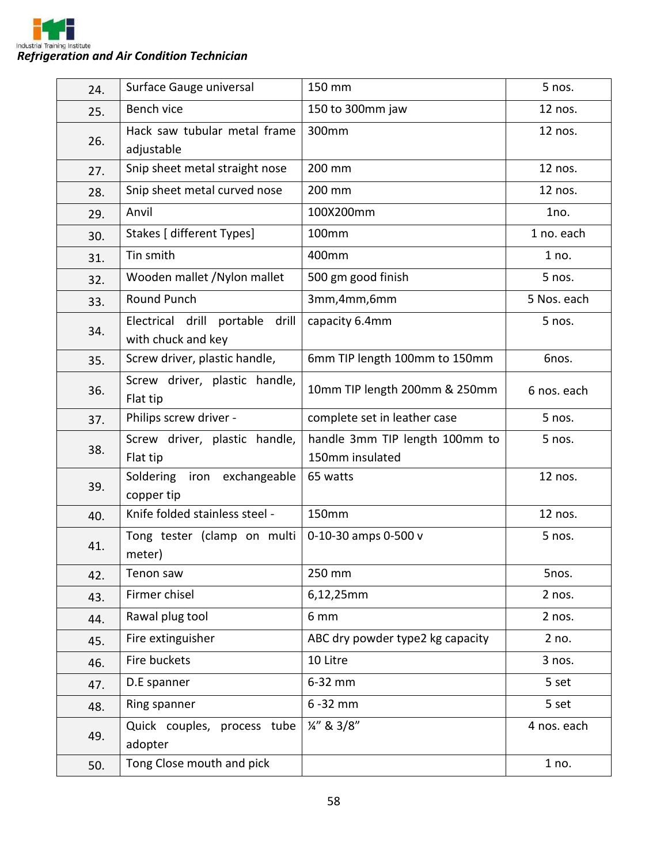

| 24. | Surface Gauge universal                                  | 150 mm                                            | 5 nos.      |
|-----|----------------------------------------------------------|---------------------------------------------------|-------------|
| 25. | Bench vice                                               | 150 to 300mm jaw                                  | 12 nos.     |
| 26. | Hack saw tubular metal frame<br>adjustable               | 300mm                                             | 12 nos.     |
| 27. | Snip sheet metal straight nose                           | 200 mm                                            | 12 nos.     |
| 28. | Snip sheet metal curved nose                             | 200 mm                                            | 12 nos.     |
| 29. | Anvil                                                    | 100X200mm                                         | 1no.        |
| 30. | Stakes [ different Types]                                | 100mm                                             | 1 no. each  |
| 31. | Tin smith                                                | 400mm                                             | 1 no.       |
| 32. | Wooden mallet /Nylon mallet                              | 500 gm good finish                                | 5 nos.      |
| 33. | Round Punch                                              | 3mm, 4mm, 6mm                                     | 5 Nos. each |
| 34. | Electrical drill portable<br>drill<br>with chuck and key | capacity 6.4mm                                    | 5 nos.      |
| 35. | Screw driver, plastic handle,                            | 6mm TIP length 100mm to 150mm                     | Gnos.       |
| 36. | Screw driver, plastic handle,<br>Flat tip                | 10mm TIP length 200mm & 250mm                     | 6 nos. each |
| 37. | Philips screw driver -                                   | complete set in leather case                      | 5 nos.      |
| 38. | Screw driver, plastic handle,<br>Flat tip                | handle 3mm TIP length 100mm to<br>150mm insulated | 5 nos.      |
| 39. | Soldering<br>iron exchangeable<br>copper tip             | 65 watts                                          | 12 nos.     |
| 40. | Knife folded stainless steel -                           | 150mm                                             | 12 nos.     |
| 41. | Tong tester (clamp on multi<br>meter)                    | 0-10-30 amps 0-500 v                              | 5 nos.      |
| 42. | Tenon saw                                                | 250 mm                                            | 5nos.       |
| 43. | Firmer chisel                                            | 6,12,25mm                                         | 2 nos.      |
| 44. | Rawal plug tool                                          | 6 mm                                              | 2 nos.      |
| 45. | Fire extinguisher                                        | ABC dry powder type2 kg capacity                  | 2 no.       |
| 46. | Fire buckets                                             | 10 Litre                                          | 3 nos.      |
| 47. | D.E spanner                                              | 6-32 mm                                           | 5 set       |
| 48. | Ring spanner                                             | $6 - 32$ mm                                       | 5 set       |
| 49. | Quick couples, process tube<br>adopter                   | $\frac{1}{4}$ " & 3/8"                            | 4 nos. each |
| 50. | Tong Close mouth and pick                                |                                                   | 1 no.       |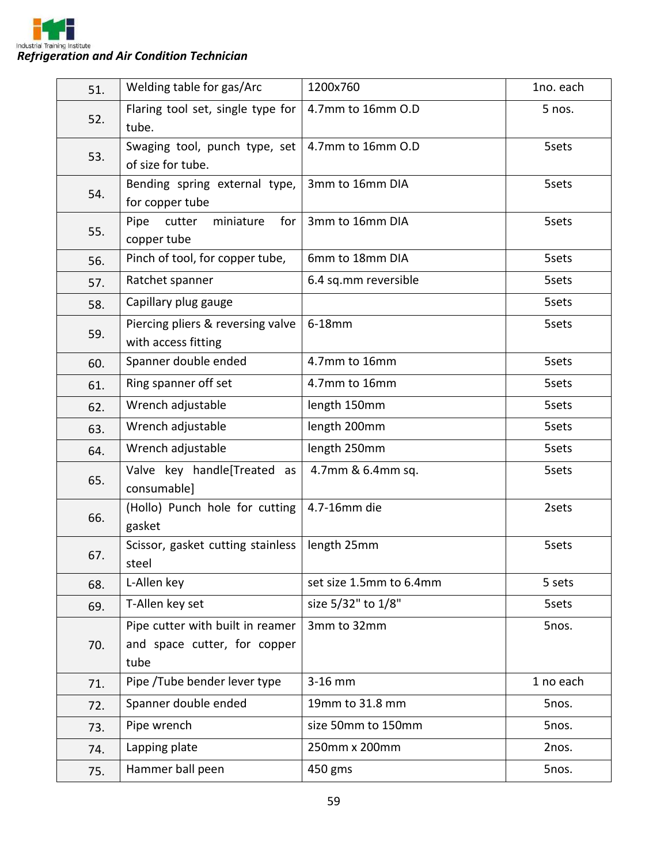

| 51. | Welding table for gas/Arc                                                | 1200x760                | 1no. each |
|-----|--------------------------------------------------------------------------|-------------------------|-----------|
| 52. | Flaring tool set, single type for<br>tube.                               | 4.7mm to 16mm O.D       | 5 nos.    |
| 53. | Swaging tool, punch type, set<br>of size for tube.                       | 4.7mm to 16mm O.D       | 5sets     |
| 54. | Bending spring external type,<br>for copper tube                         | 3mm to 16mm DIA         | 5sets     |
| 55. | Pipe<br>cutter<br>miniature<br>for<br>copper tube                        | 3mm to 16mm DIA         | 5sets     |
| 56. | Pinch of tool, for copper tube,                                          | 6mm to 18mm DIA         | 5sets     |
| 57. | Ratchet spanner                                                          | 6.4 sq.mm reversible    | 5sets     |
| 58. | Capillary plug gauge                                                     |                         | 5sets     |
| 59. | Piercing pliers & reversing valve<br>with access fitting                 | 6-18mm                  | 5sets     |
| 60. | Spanner double ended                                                     | 4.7mm to 16mm           | 5sets     |
| 61. | Ring spanner off set                                                     | 4.7mm to 16mm           | 5sets     |
| 62. | Wrench adjustable                                                        | length 150mm            | 5sets     |
| 63. | Wrench adjustable                                                        | length 200mm            | 5sets     |
| 64. | Wrench adjustable                                                        | length 250mm            | 5sets     |
| 65. | Valve key handle[Treated as<br>consumable]                               | 4.7mm & 6.4mm sq.       | 5sets     |
| 66. | (Hollo) Punch hole for cutting<br>gasket                                 | 4.7-16mm die            | 2sets     |
| 67. | Scissor, gasket cutting stainless<br>steel                               | length 25mm             | 5sets     |
| 68. | L-Allen key                                                              | set size 1.5mm to 6.4mm | 5 sets    |
| 69. | T-Allen key set                                                          | size 5/32" to 1/8"      | 5sets     |
| 70. | Pipe cutter with built in reamer<br>and space cutter, for copper<br>tube | 3mm to 32mm             | 5nos.     |
| 71. | Pipe /Tube bender lever type                                             | 3-16 mm                 | 1 no each |
| 72. | Spanner double ended                                                     | 19mm to 31.8 mm         | 5nos.     |
| 73. | Pipe wrench                                                              | size 50mm to 150mm      | 5nos.     |
| 74. | Lapping plate                                                            | 250mm x 200mm           | 2nos.     |
| 75. | Hammer ball peen                                                         | 450 gms                 | 5nos.     |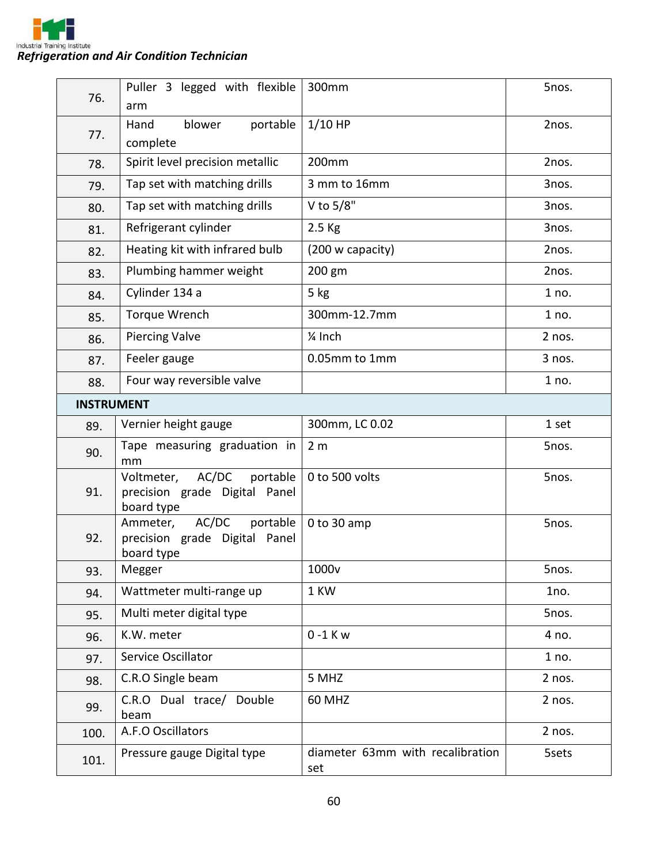

| 76.  | Puller 3 legged with flexible<br>arm                                           | 300mm                                   | 5nos.  |  |
|------|--------------------------------------------------------------------------------|-----------------------------------------|--------|--|
| 77.  | blower<br>portable<br>Hand<br>complete                                         | $1/10$ HP                               | 2nos.  |  |
| 78.  | Spirit level precision metallic                                                | 200mm                                   | 2nos.  |  |
| 79.  | Tap set with matching drills                                                   | 3 mm to 16mm                            | 3nos.  |  |
| 80.  | Tap set with matching drills                                                   | V to 5/8"                               | 3nos.  |  |
| 81.  | Refrigerant cylinder                                                           | 2.5 Kg                                  | 3nos.  |  |
| 82.  | Heating kit with infrared bulb                                                 | (200 w capacity)                        | 2nos.  |  |
| 83.  | Plumbing hammer weight                                                         | 200 gm                                  | 2nos.  |  |
| 84.  | Cylinder 134 a                                                                 | $5$ kg                                  | 1 no.  |  |
| 85.  | <b>Torque Wrench</b>                                                           | 300mm-12.7mm                            | 1 no.  |  |
| 86.  | <b>Piercing Valve</b>                                                          | 1/ <sub>4</sub> Inch                    | 2 nos. |  |
| 87.  | Feeler gauge                                                                   | 0.05mm to 1mm                           | 3 nos. |  |
| 88.  | Four way reversible valve                                                      |                                         | 1 no.  |  |
|      | <b>INSTRUMENT</b>                                                              |                                         |        |  |
| 89.  | Vernier height gauge                                                           | 300mm, LC 0.02                          | 1 set  |  |
| 90.  | Tape measuring graduation in<br>mm                                             | 2 <sub>m</sub>                          | 5nos.  |  |
| 91.  | AC/DC<br>portable<br>Voltmeter,<br>precision grade Digital Panel<br>board type | 0 to 500 volts                          | 5nos.  |  |
| 92.  | AC/DC<br>portable<br>Ammeter,<br>precision grade Digital Panel<br>board type   | 0 to 30 amp                             | 5nos.  |  |
| 93.  | Megger                                                                         | 1000 <sub>v</sub>                       | 5nos.  |  |
| 94.  | Wattmeter multi-range up                                                       | 1 KW                                    | 1no.   |  |
| 95.  | Multi meter digital type                                                       |                                         | 5nos.  |  |
| 96.  | K.W. meter                                                                     | $0 - 1$ K w                             | 4 no.  |  |
| 97.  | Service Oscillator                                                             |                                         | 1 no.  |  |
| 98.  | C.R.O Single beam                                                              | 5 MHZ                                   | 2 nos. |  |
| 99.  | C.R.O Dual trace/ Double<br>beam                                               | <b>60 MHZ</b>                           | 2 nos. |  |
| 100. | A.F.O Oscillators                                                              |                                         | 2 nos. |  |
| 101. | Pressure gauge Digital type                                                    | diameter 63mm with recalibration<br>set | 5sets  |  |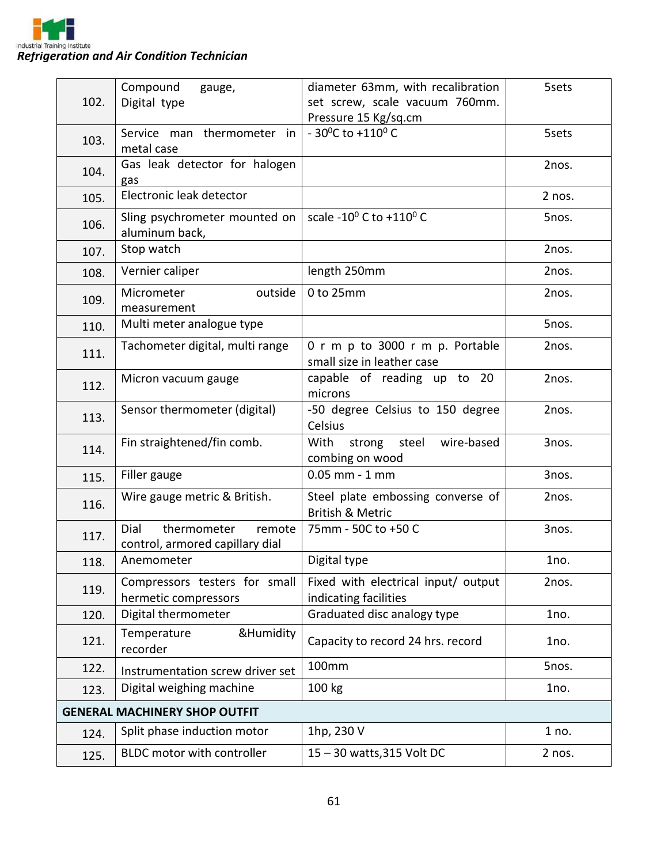

| Pressure 15 Kg/sq.cm<br>- 30 <sup>o</sup> C to +110 <sup>o</sup> C<br>Service man thermometer<br>5sets<br>.in<br>103.<br>metal case<br>Gas leak detector for halogen<br>2nos.<br>104.<br>gas<br>Electronic leak detector<br>2 nos.<br>105.<br>scale -10 $^{0}$ C to +110 $^{0}$ C<br>Sling psychrometer mounted on<br>5nos.<br>106.<br>aluminum back,<br>Stop watch<br>2nos.<br>107.<br>length 250mm<br>Vernier caliper<br>2nos.<br>108.<br>Micrometer<br>outside<br>0 to 25mm<br>2nos.<br>109.<br>measurement<br>Multi meter analogue type<br>5nos.<br>110.<br>Tachometer digital, multi range<br>0 r m p to 3000 r m p. Portable<br>2nos.<br>111.<br>small size in leather case<br>capable of reading up to 20<br>2nos.<br>Micron vacuum gauge<br>112.<br>microns<br>Sensor thermometer (digital)<br>-50 degree Celsius to 150 degree<br>2nos.<br>113.<br>Celsius<br>Fin straightened/fin comb.<br>steel<br>wire-based<br>With<br>strong<br>3nos.<br>114.<br>combing on wood<br>$0.05$ mm $-1$ mm<br>Filler gauge<br>3nos.<br>115.<br>Steel plate embossing converse of<br>Wire gauge metric & British.<br>2nos.<br>116.<br><b>British &amp; Metric</b><br>Dial<br>thermometer<br>75mm - 50C to +50 C<br>remote<br>3nos.<br>117.<br>control, armored capillary dial<br>Digital type<br>Anemometer<br>1no.<br>118.<br>Fixed with electrical input/ output<br>2nos.<br>Compressors testers for small<br>119.<br>hermetic compressors<br>indicating facilities<br>Graduated disc analogy type<br>Digital thermometer<br>1no.<br>120.<br>&Humidity<br>Temperature<br>Capacity to record 24 hrs. record<br>121.<br>1no.<br>recorder<br>100mm<br>5nos.<br>122.<br>Instrumentation screw driver set<br>Digital weighing machine<br>100 kg<br>1no.<br>123.<br><b>GENERAL MACHINERY SHOP OUTFIT</b><br>1hp, 230 V<br>Split phase induction motor<br>1 no.<br>124.<br>BLDC motor with controller<br>15-30 watts, 315 Volt DC<br>2 nos.<br>125. | 102. | Compound<br>gauge, | diameter 63mm, with recalibration | 5sets |
|----------------------------------------------------------------------------------------------------------------------------------------------------------------------------------------------------------------------------------------------------------------------------------------------------------------------------------------------------------------------------------------------------------------------------------------------------------------------------------------------------------------------------------------------------------------------------------------------------------------------------------------------------------------------------------------------------------------------------------------------------------------------------------------------------------------------------------------------------------------------------------------------------------------------------------------------------------------------------------------------------------------------------------------------------------------------------------------------------------------------------------------------------------------------------------------------------------------------------------------------------------------------------------------------------------------------------------------------------------------------------------------------------------------------------------------------------------------------------------------------------------------------------------------------------------------------------------------------------------------------------------------------------------------------------------------------------------------------------------------------------------------------------------------------------------------------------------------------------------------------------------------------------------------------------------------|------|--------------------|-----------------------------------|-------|
|                                                                                                                                                                                                                                                                                                                                                                                                                                                                                                                                                                                                                                                                                                                                                                                                                                                                                                                                                                                                                                                                                                                                                                                                                                                                                                                                                                                                                                                                                                                                                                                                                                                                                                                                                                                                                                                                                                                                        |      | Digital type       | set screw, scale vacuum 760mm.    |       |
|                                                                                                                                                                                                                                                                                                                                                                                                                                                                                                                                                                                                                                                                                                                                                                                                                                                                                                                                                                                                                                                                                                                                                                                                                                                                                                                                                                                                                                                                                                                                                                                                                                                                                                                                                                                                                                                                                                                                        |      |                    |                                   |       |
|                                                                                                                                                                                                                                                                                                                                                                                                                                                                                                                                                                                                                                                                                                                                                                                                                                                                                                                                                                                                                                                                                                                                                                                                                                                                                                                                                                                                                                                                                                                                                                                                                                                                                                                                                                                                                                                                                                                                        |      |                    |                                   |       |
|                                                                                                                                                                                                                                                                                                                                                                                                                                                                                                                                                                                                                                                                                                                                                                                                                                                                                                                                                                                                                                                                                                                                                                                                                                                                                                                                                                                                                                                                                                                                                                                                                                                                                                                                                                                                                                                                                                                                        |      |                    |                                   |       |
|                                                                                                                                                                                                                                                                                                                                                                                                                                                                                                                                                                                                                                                                                                                                                                                                                                                                                                                                                                                                                                                                                                                                                                                                                                                                                                                                                                                                                                                                                                                                                                                                                                                                                                                                                                                                                                                                                                                                        |      |                    |                                   |       |
|                                                                                                                                                                                                                                                                                                                                                                                                                                                                                                                                                                                                                                                                                                                                                                                                                                                                                                                                                                                                                                                                                                                                                                                                                                                                                                                                                                                                                                                                                                                                                                                                                                                                                                                                                                                                                                                                                                                                        |      |                    |                                   |       |
|                                                                                                                                                                                                                                                                                                                                                                                                                                                                                                                                                                                                                                                                                                                                                                                                                                                                                                                                                                                                                                                                                                                                                                                                                                                                                                                                                                                                                                                                                                                                                                                                                                                                                                                                                                                                                                                                                                                                        |      |                    |                                   |       |
|                                                                                                                                                                                                                                                                                                                                                                                                                                                                                                                                                                                                                                                                                                                                                                                                                                                                                                                                                                                                                                                                                                                                                                                                                                                                                                                                                                                                                                                                                                                                                                                                                                                                                                                                                                                                                                                                                                                                        |      |                    |                                   |       |
|                                                                                                                                                                                                                                                                                                                                                                                                                                                                                                                                                                                                                                                                                                                                                                                                                                                                                                                                                                                                                                                                                                                                                                                                                                                                                                                                                                                                                                                                                                                                                                                                                                                                                                                                                                                                                                                                                                                                        |      |                    |                                   |       |
|                                                                                                                                                                                                                                                                                                                                                                                                                                                                                                                                                                                                                                                                                                                                                                                                                                                                                                                                                                                                                                                                                                                                                                                                                                                                                                                                                                                                                                                                                                                                                                                                                                                                                                                                                                                                                                                                                                                                        |      |                    |                                   |       |
|                                                                                                                                                                                                                                                                                                                                                                                                                                                                                                                                                                                                                                                                                                                                                                                                                                                                                                                                                                                                                                                                                                                                                                                                                                                                                                                                                                                                                                                                                                                                                                                                                                                                                                                                                                                                                                                                                                                                        |      |                    |                                   |       |
|                                                                                                                                                                                                                                                                                                                                                                                                                                                                                                                                                                                                                                                                                                                                                                                                                                                                                                                                                                                                                                                                                                                                                                                                                                                                                                                                                                                                                                                                                                                                                                                                                                                                                                                                                                                                                                                                                                                                        |      |                    |                                   |       |
|                                                                                                                                                                                                                                                                                                                                                                                                                                                                                                                                                                                                                                                                                                                                                                                                                                                                                                                                                                                                                                                                                                                                                                                                                                                                                                                                                                                                                                                                                                                                                                                                                                                                                                                                                                                                                                                                                                                                        |      |                    |                                   |       |
|                                                                                                                                                                                                                                                                                                                                                                                                                                                                                                                                                                                                                                                                                                                                                                                                                                                                                                                                                                                                                                                                                                                                                                                                                                                                                                                                                                                                                                                                                                                                                                                                                                                                                                                                                                                                                                                                                                                                        |      |                    |                                   |       |
|                                                                                                                                                                                                                                                                                                                                                                                                                                                                                                                                                                                                                                                                                                                                                                                                                                                                                                                                                                                                                                                                                                                                                                                                                                                                                                                                                                                                                                                                                                                                                                                                                                                                                                                                                                                                                                                                                                                                        |      |                    |                                   |       |
|                                                                                                                                                                                                                                                                                                                                                                                                                                                                                                                                                                                                                                                                                                                                                                                                                                                                                                                                                                                                                                                                                                                                                                                                                                                                                                                                                                                                                                                                                                                                                                                                                                                                                                                                                                                                                                                                                                                                        |      |                    |                                   |       |
|                                                                                                                                                                                                                                                                                                                                                                                                                                                                                                                                                                                                                                                                                                                                                                                                                                                                                                                                                                                                                                                                                                                                                                                                                                                                                                                                                                                                                                                                                                                                                                                                                                                                                                                                                                                                                                                                                                                                        |      |                    |                                   |       |
|                                                                                                                                                                                                                                                                                                                                                                                                                                                                                                                                                                                                                                                                                                                                                                                                                                                                                                                                                                                                                                                                                                                                                                                                                                                                                                                                                                                                                                                                                                                                                                                                                                                                                                                                                                                                                                                                                                                                        |      |                    |                                   |       |
|                                                                                                                                                                                                                                                                                                                                                                                                                                                                                                                                                                                                                                                                                                                                                                                                                                                                                                                                                                                                                                                                                                                                                                                                                                                                                                                                                                                                                                                                                                                                                                                                                                                                                                                                                                                                                                                                                                                                        |      |                    |                                   |       |
|                                                                                                                                                                                                                                                                                                                                                                                                                                                                                                                                                                                                                                                                                                                                                                                                                                                                                                                                                                                                                                                                                                                                                                                                                                                                                                                                                                                                                                                                                                                                                                                                                                                                                                                                                                                                                                                                                                                                        |      |                    |                                   |       |
|                                                                                                                                                                                                                                                                                                                                                                                                                                                                                                                                                                                                                                                                                                                                                                                                                                                                                                                                                                                                                                                                                                                                                                                                                                                                                                                                                                                                                                                                                                                                                                                                                                                                                                                                                                                                                                                                                                                                        |      |                    |                                   |       |
|                                                                                                                                                                                                                                                                                                                                                                                                                                                                                                                                                                                                                                                                                                                                                                                                                                                                                                                                                                                                                                                                                                                                                                                                                                                                                                                                                                                                                                                                                                                                                                                                                                                                                                                                                                                                                                                                                                                                        |      |                    |                                   |       |
|                                                                                                                                                                                                                                                                                                                                                                                                                                                                                                                                                                                                                                                                                                                                                                                                                                                                                                                                                                                                                                                                                                                                                                                                                                                                                                                                                                                                                                                                                                                                                                                                                                                                                                                                                                                                                                                                                                                                        |      |                    |                                   |       |
|                                                                                                                                                                                                                                                                                                                                                                                                                                                                                                                                                                                                                                                                                                                                                                                                                                                                                                                                                                                                                                                                                                                                                                                                                                                                                                                                                                                                                                                                                                                                                                                                                                                                                                                                                                                                                                                                                                                                        |      |                    |                                   |       |
|                                                                                                                                                                                                                                                                                                                                                                                                                                                                                                                                                                                                                                                                                                                                                                                                                                                                                                                                                                                                                                                                                                                                                                                                                                                                                                                                                                                                                                                                                                                                                                                                                                                                                                                                                                                                                                                                                                                                        |      |                    |                                   |       |
|                                                                                                                                                                                                                                                                                                                                                                                                                                                                                                                                                                                                                                                                                                                                                                                                                                                                                                                                                                                                                                                                                                                                                                                                                                                                                                                                                                                                                                                                                                                                                                                                                                                                                                                                                                                                                                                                                                                                        |      |                    |                                   |       |
|                                                                                                                                                                                                                                                                                                                                                                                                                                                                                                                                                                                                                                                                                                                                                                                                                                                                                                                                                                                                                                                                                                                                                                                                                                                                                                                                                                                                                                                                                                                                                                                                                                                                                                                                                                                                                                                                                                                                        |      |                    |                                   |       |
|                                                                                                                                                                                                                                                                                                                                                                                                                                                                                                                                                                                                                                                                                                                                                                                                                                                                                                                                                                                                                                                                                                                                                                                                                                                                                                                                                                                                                                                                                                                                                                                                                                                                                                                                                                                                                                                                                                                                        |      |                    |                                   |       |
|                                                                                                                                                                                                                                                                                                                                                                                                                                                                                                                                                                                                                                                                                                                                                                                                                                                                                                                                                                                                                                                                                                                                                                                                                                                                                                                                                                                                                                                                                                                                                                                                                                                                                                                                                                                                                                                                                                                                        |      |                    |                                   |       |
|                                                                                                                                                                                                                                                                                                                                                                                                                                                                                                                                                                                                                                                                                                                                                                                                                                                                                                                                                                                                                                                                                                                                                                                                                                                                                                                                                                                                                                                                                                                                                                                                                                                                                                                                                                                                                                                                                                                                        |      |                    |                                   |       |
|                                                                                                                                                                                                                                                                                                                                                                                                                                                                                                                                                                                                                                                                                                                                                                                                                                                                                                                                                                                                                                                                                                                                                                                                                                                                                                                                                                                                                                                                                                                                                                                                                                                                                                                                                                                                                                                                                                                                        |      |                    |                                   |       |
|                                                                                                                                                                                                                                                                                                                                                                                                                                                                                                                                                                                                                                                                                                                                                                                                                                                                                                                                                                                                                                                                                                                                                                                                                                                                                                                                                                                                                                                                                                                                                                                                                                                                                                                                                                                                                                                                                                                                        |      |                    |                                   |       |
|                                                                                                                                                                                                                                                                                                                                                                                                                                                                                                                                                                                                                                                                                                                                                                                                                                                                                                                                                                                                                                                                                                                                                                                                                                                                                                                                                                                                                                                                                                                                                                                                                                                                                                                                                                                                                                                                                                                                        |      |                    |                                   |       |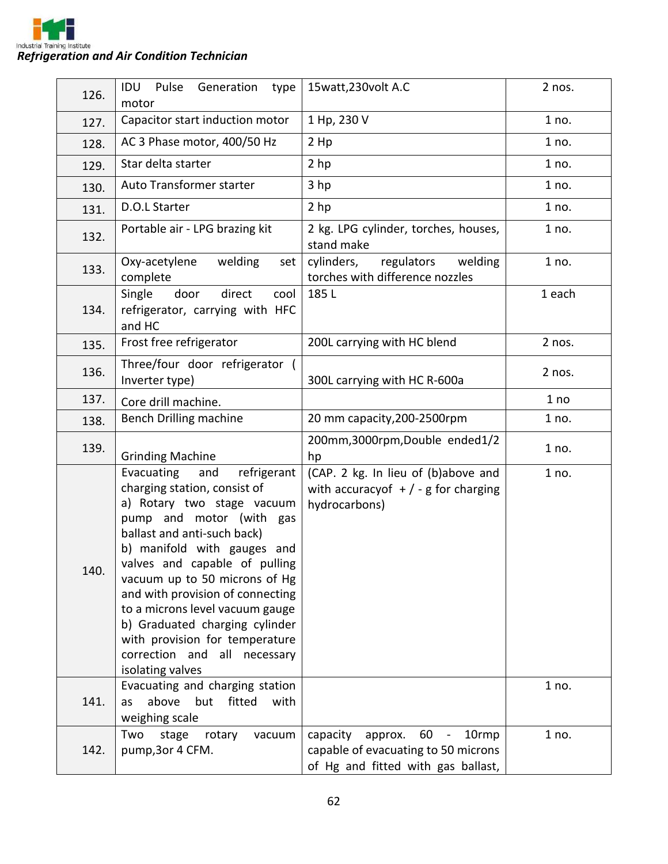

| 126. | Pulse Generation<br><b>IDU</b><br>type<br>motor                                                                                                                                                                                                                                                                                                                                                                                                           | 15watt, 230volt A.C                                                                                             | 2 nos. |
|------|-----------------------------------------------------------------------------------------------------------------------------------------------------------------------------------------------------------------------------------------------------------------------------------------------------------------------------------------------------------------------------------------------------------------------------------------------------------|-----------------------------------------------------------------------------------------------------------------|--------|
| 127. | Capacitor start induction motor                                                                                                                                                                                                                                                                                                                                                                                                                           | 1 Hp, 230 V                                                                                                     | 1 no.  |
| 128. | AC 3 Phase motor, 400/50 Hz                                                                                                                                                                                                                                                                                                                                                                                                                               | 2 Hp                                                                                                            | 1 no.  |
| 129. | Star delta starter                                                                                                                                                                                                                                                                                                                                                                                                                                        | 2 hp                                                                                                            | 1 no.  |
| 130. | Auto Transformer starter                                                                                                                                                                                                                                                                                                                                                                                                                                  | 3 <sub>hp</sub>                                                                                                 | 1 no.  |
| 131. | D.O.L Starter                                                                                                                                                                                                                                                                                                                                                                                                                                             | 2 hp                                                                                                            | 1 no.  |
| 132. | Portable air - LPG brazing kit                                                                                                                                                                                                                                                                                                                                                                                                                            | 2 kg. LPG cylinder, torches, houses,<br>stand make                                                              | 1 no.  |
| 133. | Oxy-acetylene<br>welding<br>set<br>complete                                                                                                                                                                                                                                                                                                                                                                                                               | cylinders,<br>regulators<br>welding<br>torches with difference nozzles                                          | 1 no.  |
| 134. | Single<br>door<br>direct<br>cool<br>refrigerator, carrying with HFC<br>and HC                                                                                                                                                                                                                                                                                                                                                                             | 185L                                                                                                            | 1 each |
| 135. | Frost free refrigerator                                                                                                                                                                                                                                                                                                                                                                                                                                   | 200L carrying with HC blend                                                                                     | 2 nos. |
| 136. | Three/four door refrigerator (<br>Inverter type)                                                                                                                                                                                                                                                                                                                                                                                                          | 300L carrying with HC R-600a                                                                                    | 2 nos. |
| 137. | Core drill machine.                                                                                                                                                                                                                                                                                                                                                                                                                                       |                                                                                                                 | 1 no   |
| 138. | Bench Drilling machine                                                                                                                                                                                                                                                                                                                                                                                                                                    | 20 mm capacity, 200-2500rpm                                                                                     | 1 no.  |
| 139. | <b>Grinding Machine</b>                                                                                                                                                                                                                                                                                                                                                                                                                                   | 200mm,3000rpm,Double ended1/2<br>hp                                                                             | 1 no.  |
| 140. | Evacuating<br>and<br>refrigerant<br>charging station, consist of<br>a) Rotary two stage vacuum<br>pump and motor (with gas<br>ballast and anti-such back)<br>b) manifold with gauges and<br>valves and capable of pulling<br>vacuum up to 50 microns of Hg<br>and with provision of connecting<br>to a microns level vacuum gauge<br>b) Graduated charging cylinder<br>with provision for temperature<br>correction and all necessary<br>isolating valves | (CAP. 2 kg. In lieu of (b)above and<br>with accuracy of $+$ / - g for charging<br>hydrocarbons)                 | 1 no.  |
| 141. | Evacuating and charging station<br>above<br>fitted<br>but<br>with<br>as<br>weighing scale                                                                                                                                                                                                                                                                                                                                                                 |                                                                                                                 | 1 no.  |
| 142. | Two<br>stage<br>rotary<br>vacuum<br>pump, 3or 4 CFM.                                                                                                                                                                                                                                                                                                                                                                                                      | capacity<br>60<br>10rmp<br>approx.<br>capable of evacuating to 50 microns<br>of Hg and fitted with gas ballast, | 1 no.  |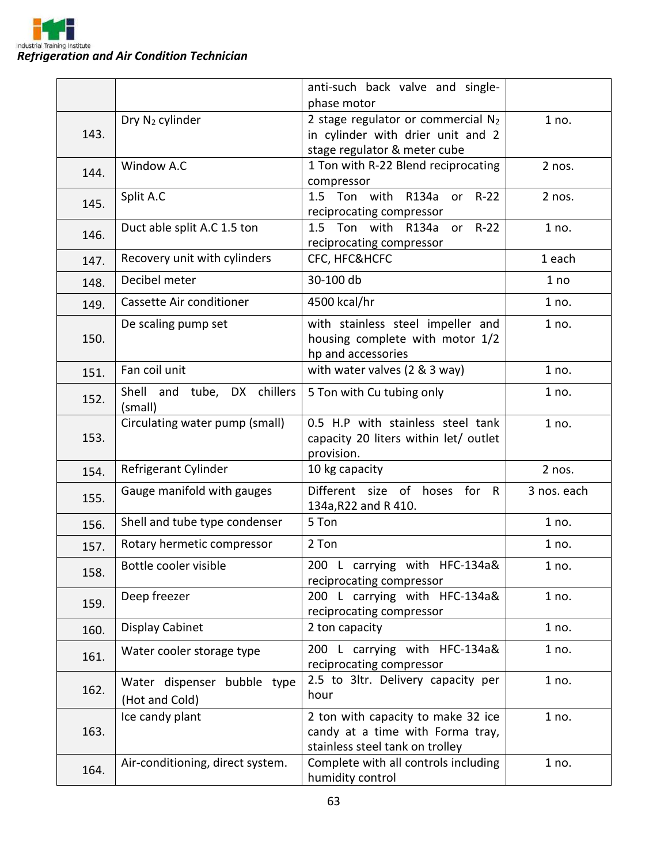

|      |                                        | anti-such back valve and single-                                           |             |
|------|----------------------------------------|----------------------------------------------------------------------------|-------------|
|      |                                        | phase motor                                                                |             |
| 143. | Dry N <sub>2</sub> cylinder            | 2 stage regulator or commercial $N_2$<br>in cylinder with drier unit and 2 | 1 no.       |
|      |                                        | stage regulator & meter cube                                               |             |
|      | Window A.C                             | 1 Ton with R-22 Blend reciprocating                                        | 2 nos.      |
| 144. |                                        | compressor                                                                 |             |
| 145. | Split A.C                              | $R-22$<br>1.5 Ton with<br>R134a<br>or                                      | 2 nos.      |
|      |                                        | reciprocating compressor                                                   |             |
| 146. | Duct able split A.C 1.5 ton            | $R-22$<br>1.5 Ton with<br>R134a<br>or                                      | 1 no.       |
|      |                                        | reciprocating compressor<br>CFC, HFC&HCFC                                  | 1 each      |
| 147. | Recovery unit with cylinders           |                                                                            |             |
| 148. | Decibel meter                          | 30-100 db                                                                  | 1 no        |
| 149. | Cassette Air conditioner               | 4500 kcal/hr                                                               | 1 no.       |
|      | De scaling pump set                    | with stainless steel impeller and                                          | 1 no.       |
| 150. |                                        | housing complete with motor 1/2                                            |             |
|      |                                        | hp and accessories                                                         |             |
| 151. | Fan coil unit                          | with water valves (2 & 3 way)                                              | 1 no.       |
| 152. | Shell and tube, DX chillers<br>(small) | 5 Ton with Cu tubing only                                                  | 1 no.       |
|      | Circulating water pump (small)         | 0.5 H.P with stainless steel tank                                          | 1 no.       |
| 153. |                                        | capacity 20 liters within let/ outlet                                      |             |
|      |                                        | provision.                                                                 |             |
| 154. | Refrigerant Cylinder                   | 10 kg capacity                                                             | 2 nos.      |
| 155. | Gauge manifold with gauges             | Different size of hoses for R                                              | 3 nos. each |
|      | Shell and tube type condenser          | 134a, R22 and R 410.<br>5 Ton                                              | 1 no.       |
| 156. |                                        |                                                                            |             |
| 157. | Rotary hermetic compressor             | 2 Ton                                                                      | 1 no.       |
| 158. | Bottle cooler visible                  | 200 L carrying with HFC-134a&<br>reciprocating compressor                  | 1 no.       |
|      | Deep freezer                           | 200 L carrying with HFC-134a&                                              | 1 no.       |
| 159. |                                        | reciprocating compressor                                                   |             |
| 160. | Display Cabinet                        | 2 ton capacity                                                             | 1 no.       |
|      | Water cooler storage type              | 200 L carrying with HFC-134a&                                              | 1 no.       |
| 161. |                                        | reciprocating compressor                                                   |             |
|      | Water dispenser bubble type            | 2.5 to 3ltr. Delivery capacity per                                         | 1 no.       |
| 162. | (Hot and Cold)                         | hour                                                                       |             |
|      | Ice candy plant                        | 2 ton with capacity to make 32 ice                                         | 1 no.       |
| 163. |                                        | candy at a time with Forma tray,                                           |             |
|      |                                        | stainless steel tank on trolley                                            |             |
| 164. | Air-conditioning, direct system.       | Complete with all controls including                                       | 1 no.       |
|      |                                        | humidity control                                                           |             |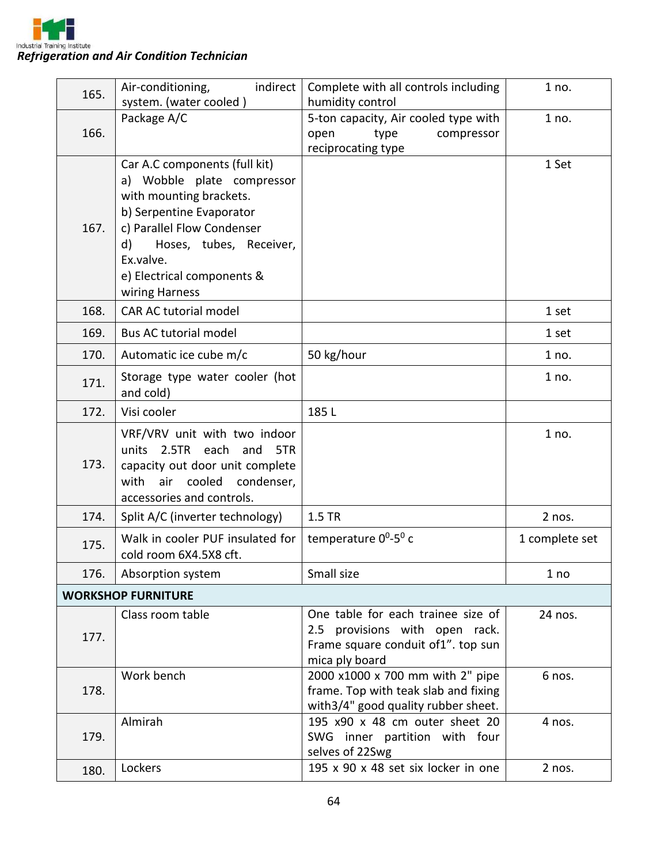

| 165. | indirect<br>Air-conditioning,<br>system. (water cooled)                                                                                                                                                                                        | Complete with all controls including<br>humidity control                                                                     | 1 no.          |
|------|------------------------------------------------------------------------------------------------------------------------------------------------------------------------------------------------------------------------------------------------|------------------------------------------------------------------------------------------------------------------------------|----------------|
| 166. | Package A/C                                                                                                                                                                                                                                    | 5-ton capacity, Air cooled type with<br>open<br>type<br>compressor<br>reciprocating type                                     | 1 no.          |
| 167. | Car A.C components (full kit)<br>a) Wobble plate compressor<br>with mounting brackets.<br>b) Serpentine Evaporator<br>c) Parallel Flow Condenser<br>Hoses, tubes, Receiver,<br>d)<br>Ex.valve.<br>e) Electrical components &<br>wiring Harness |                                                                                                                              | 1 Set          |
| 168. | CAR AC tutorial model                                                                                                                                                                                                                          |                                                                                                                              | 1 set          |
| 169. | Bus AC tutorial model                                                                                                                                                                                                                          |                                                                                                                              | 1 set          |
| 170. | Automatic ice cube m/c                                                                                                                                                                                                                         | 50 kg/hour                                                                                                                   | 1 no.          |
| 171. | Storage type water cooler (hot<br>and cold)                                                                                                                                                                                                    |                                                                                                                              | 1 no.          |
| 172. | Visi cooler                                                                                                                                                                                                                                    | 185L                                                                                                                         |                |
| 173. | VRF/VRV unit with two indoor<br>units 2.5TR each and<br>5TR<br>capacity out door unit complete<br>cooled<br>with<br>air<br>condenser,<br>accessories and controls.                                                                             |                                                                                                                              | 1 no.          |
| 174. | Split A/C (inverter technology)                                                                                                                                                                                                                | 1.5 TR                                                                                                                       | 2 nos.         |
| 175. | Walk in cooler PUF insulated for<br>cold room 6X4.5X8 cft.                                                                                                                                                                                     | temperature 0 <sup>0</sup> -5 <sup>0</sup> c                                                                                 | 1 complete set |
| 176. | Absorption system                                                                                                                                                                                                                              | Small size                                                                                                                   | 1 no           |
|      | <b>WORKSHOP FURNITURE</b>                                                                                                                                                                                                                      |                                                                                                                              |                |
| 177. | Class room table                                                                                                                                                                                                                               | One table for each trainee size of<br>2.5 provisions with open rack.<br>Frame square conduit of1". top sun<br>mica ply board | 24 nos.        |
| 178. | Work bench                                                                                                                                                                                                                                     | 2000 x1000 x 700 mm with 2" pipe<br>frame. Top with teak slab and fixing<br>with 3/4" good quality rubber sheet.             | 6 nos.         |
| 179. | Almirah                                                                                                                                                                                                                                        | 195 x90 x 48 cm outer sheet 20<br>SWG inner partition with four<br>selves of 22Swg                                           | 4 nos.         |
| 180. | Lockers                                                                                                                                                                                                                                        | 195 x 90 x 48 set six locker in one                                                                                          | 2 nos.         |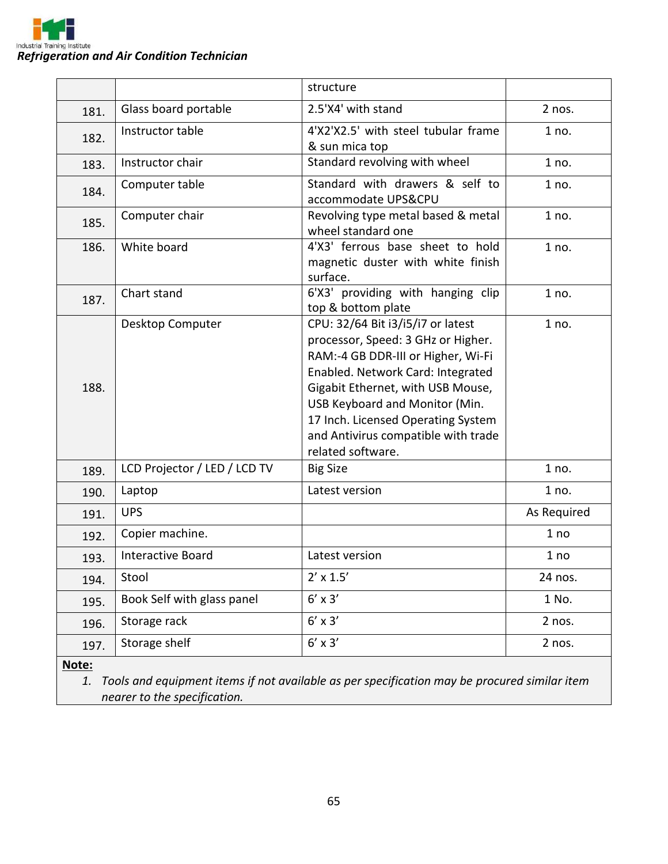

|      |                              | structure                                                                                                                                                                                                                                                                                                                   |             |
|------|------------------------------|-----------------------------------------------------------------------------------------------------------------------------------------------------------------------------------------------------------------------------------------------------------------------------------------------------------------------------|-------------|
| 181. | Glass board portable         | 2.5'X4' with stand                                                                                                                                                                                                                                                                                                          | $2$ nos.    |
| 182. | Instructor table             | 4'X2'X2.5' with steel tubular frame<br>& sun mica top                                                                                                                                                                                                                                                                       | 1 no.       |
| 183. | Instructor chair             | Standard revolving with wheel                                                                                                                                                                                                                                                                                               | 1 no.       |
| 184. | Computer table               | Standard with drawers & self to<br>accommodate UPS&CPU                                                                                                                                                                                                                                                                      | 1 no.       |
| 185. | Computer chair               | Revolving type metal based & metal<br>wheel standard one                                                                                                                                                                                                                                                                    | 1 no.       |
| 186. | White board                  | 4'X3' ferrous base sheet to hold<br>magnetic duster with white finish<br>surface.                                                                                                                                                                                                                                           | 1 no.       |
| 187. | Chart stand                  | 6'X3' providing with hanging clip<br>top & bottom plate                                                                                                                                                                                                                                                                     | 1 no.       |
| 188. | Desktop Computer             | CPU: 32/64 Bit i3/i5/i7 or latest<br>processor, Speed: 3 GHz or Higher.<br>RAM:-4 GB DDR-III or Higher, Wi-Fi<br>Enabled. Network Card: Integrated<br>Gigabit Ethernet, with USB Mouse,<br>USB Keyboard and Monitor (Min.<br>17 Inch. Licensed Operating System<br>and Antivirus compatible with trade<br>related software. | 1 no.       |
| 189. | LCD Projector / LED / LCD TV | <b>Big Size</b>                                                                                                                                                                                                                                                                                                             | 1 no.       |
| 190. | Laptop                       | Latest version                                                                                                                                                                                                                                                                                                              | 1 no.       |
| 191. | <b>UPS</b>                   |                                                                                                                                                                                                                                                                                                                             | As Required |
| 192. | Copier machine.              |                                                                                                                                                                                                                                                                                                                             | 1 no        |
| 193. | <b>Interactive Board</b>     | Latest version                                                                                                                                                                                                                                                                                                              | 1 no        |
| 194. | Stool                        | $2' \times 1.5'$                                                                                                                                                                                                                                                                                                            | 24 nos.     |
| 195. | Book Self with glass panel   | $6' \times 3'$                                                                                                                                                                                                                                                                                                              | 1 No.       |
| 196. | Storage rack                 | $6' \times 3'$                                                                                                                                                                                                                                                                                                              | 2 nos.      |
| 197. | Storage shelf                | $6' \times 3'$                                                                                                                                                                                                                                                                                                              | 2 nos.      |

**Note:**

*1. Tools and equipment items if not available as per specification may be procured similar item nearer to the specification.*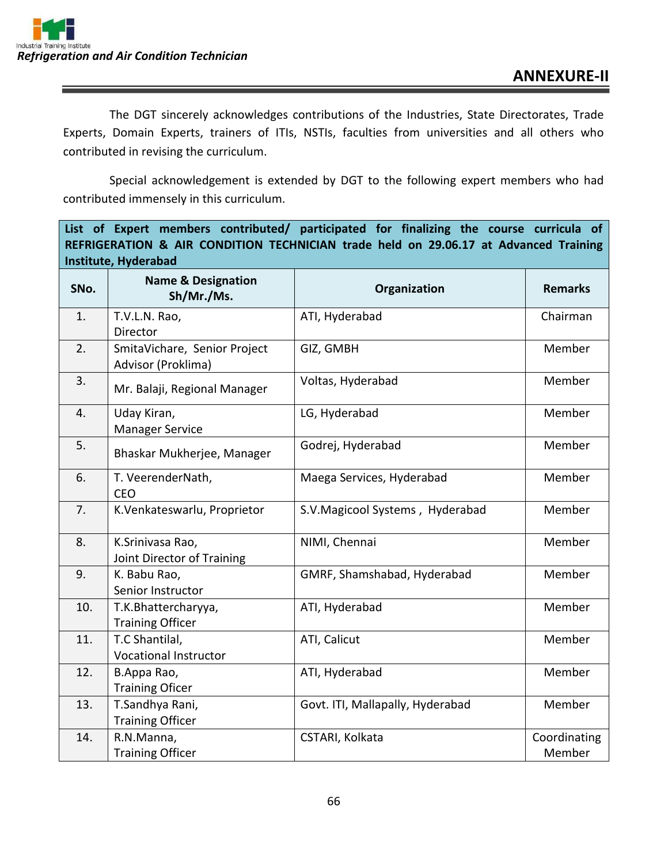The DGT sincerely acknowledges contributions of the Industries, State Directorates, Trade Experts, Domain Experts, trainers of ITIs, NSTIs, faculties from universities and all others who contributed in revising the curriculum.

Special acknowledgement is extended by DGT to the following expert members who had contributed immensely in this curriculum.

**List of Expert members contributed/ participated for finalizing the course curricula of REFRIGERATION & AIR CONDITION TECHNICIAN trade held on 29.06.17 at Advanced Training Institute, Hyderabad**

| SNo. | <b>Name &amp; Designation</b><br>Sh/Mr./Ms.        | Organization                     | <b>Remarks</b>         |
|------|----------------------------------------------------|----------------------------------|------------------------|
| 1.   | T.V.L.N. Rao,<br>Director                          | ATI, Hyderabad                   | Chairman               |
| 2.   | SmitaVichare, Senior Project<br>Advisor (Proklima) | GIZ, GMBH                        | Member                 |
| 3.   | Mr. Balaji, Regional Manager                       | Voltas, Hyderabad                | Member                 |
| 4.   | Uday Kiran,<br><b>Manager Service</b>              | LG, Hyderabad                    | Member                 |
| 5.   | Bhaskar Mukherjee, Manager                         | Godrej, Hyderabad                | Member                 |
| 6.   | T. VeerenderNath,<br><b>CEO</b>                    | Maega Services, Hyderabad        | Member                 |
| 7.   | K.Venkateswarlu, Proprietor                        | S.V.Magicool Systems, Hyderabad  | Member                 |
| 8.   | K.Srinivasa Rao,<br>Joint Director of Training     | NIMI, Chennai                    | Member                 |
| 9.   | K. Babu Rao,<br>Senior Instructor                  | GMRF, Shamshabad, Hyderabad      | Member                 |
| 10.  | T.K.Bhattercharyya,<br><b>Training Officer</b>     | ATI, Hyderabad                   | Member                 |
| 11.  | T.C Shantilal,<br><b>Vocational Instructor</b>     | ATI, Calicut                     | Member                 |
| 12.  | B.Appa Rao,<br><b>Training Oficer</b>              | ATI, Hyderabad                   | Member                 |
| 13.  | T.Sandhya Rani,<br><b>Training Officer</b>         | Govt. ITI, Mallapally, Hyderabad | Member                 |
| 14.  | R.N.Manna,<br><b>Training Officer</b>              | CSTARI, Kolkata                  | Coordinating<br>Member |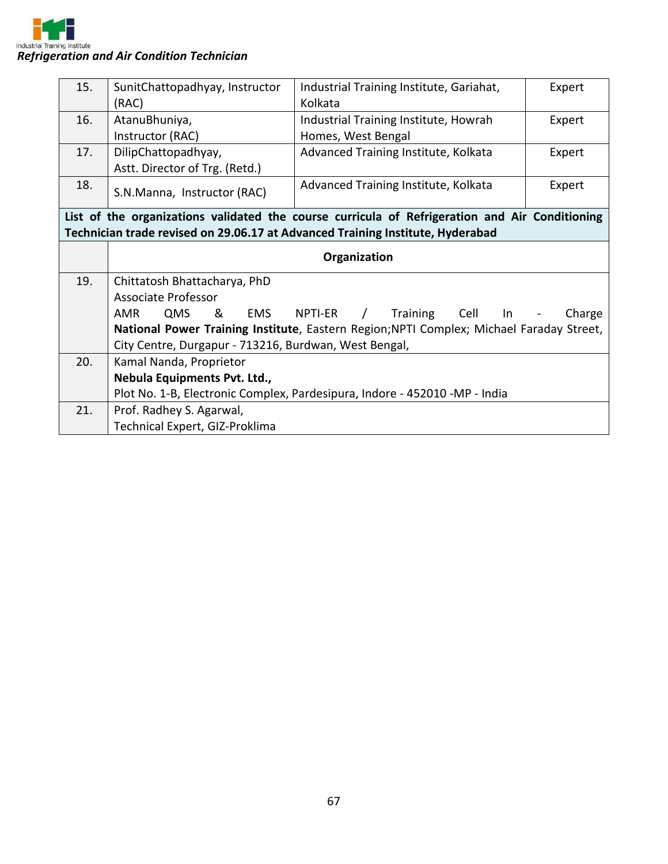

| 15. | SunitChattopadhyay, Instructor                        | Industrial Training Institute, Gariahat,                                                       | Expert |
|-----|-------------------------------------------------------|------------------------------------------------------------------------------------------------|--------|
|     | (RAC)                                                 | Kolkata                                                                                        |        |
| 16. | AtanuBhuniya,                                         | Industrial Training Institute, Howrah                                                          | Expert |
|     | Instructor (RAC)                                      | Homes, West Bengal                                                                             |        |
| 17. | DilipChattopadhyay,                                   | Advanced Training Institute, Kolkata                                                           | Expert |
|     | Astt. Director of Trg. (Retd.)                        |                                                                                                |        |
| 18. | S.N.Manna, Instructor (RAC)                           | Advanced Training Institute, Kolkata                                                           | Expert |
|     |                                                       | List of the organizations validated the course curricula of Refrigeration and Air Conditioning |        |
|     |                                                       | Technician trade revised on 29.06.17 at Advanced Training Institute, Hyderabad                 |        |
|     |                                                       | Organization                                                                                   |        |
| 19. | Chittatosh Bhattacharya, PhD                          |                                                                                                |        |
|     | <b>Associate Professor</b>                            |                                                                                                |        |
|     | <b>AMR</b><br>QMS<br>&<br>EMS                         | Cell<br>NPTI-ER<br>$\sqrt{2}$<br>Training<br>In                                                | Charge |
|     |                                                       | National Power Training Institute, Eastern Region; NPTI Complex; Michael Faraday Street,       |        |
|     | City Centre, Durgapur - 713216, Burdwan, West Bengal, |                                                                                                |        |
| 20. | Kamal Nanda, Proprietor                               |                                                                                                |        |
|     | Nebula Equipments Pvt. Ltd.,                          |                                                                                                |        |
|     |                                                       | Plot No. 1-B, Electronic Complex, Pardesipura, Indore - 452010 -MP - India                     |        |
| 21. | Prof. Radhey S. Agarwal,                              |                                                                                                |        |
|     | Technical Expert, GIZ-Proklima                        |                                                                                                |        |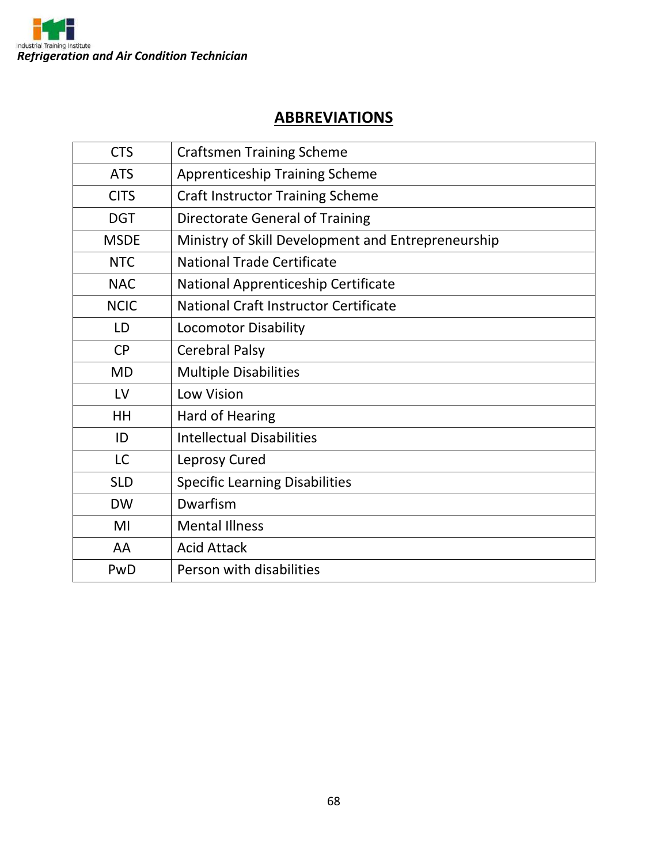

# **ABBREVIATIONS**

| <b>CTS</b>  | <b>Craftsmen Training Scheme</b>                   |  |
|-------------|----------------------------------------------------|--|
| <b>ATS</b>  | <b>Apprenticeship Training Scheme</b>              |  |
| <b>CITS</b> | <b>Craft Instructor Training Scheme</b>            |  |
| <b>DGT</b>  | <b>Directorate General of Training</b>             |  |
| <b>MSDE</b> | Ministry of Skill Development and Entrepreneurship |  |
| <b>NTC</b>  | <b>National Trade Certificate</b>                  |  |
| <b>NAC</b>  | National Apprenticeship Certificate                |  |
| <b>NCIC</b> | National Craft Instructor Certificate              |  |
| LD          | <b>Locomotor Disability</b>                        |  |
| <b>CP</b>   | <b>Cerebral Palsy</b>                              |  |
| <b>MD</b>   | <b>Multiple Disabilities</b>                       |  |
| LV          | Low Vision                                         |  |
| HH          | <b>Hard of Hearing</b>                             |  |
| ID          | <b>Intellectual Disabilities</b>                   |  |
| LC          | Leprosy Cured                                      |  |
| <b>SLD</b>  | <b>Specific Learning Disabilities</b>              |  |
| <b>DW</b>   | Dwarfism                                           |  |
| MI          | <b>Mental Illness</b>                              |  |
| AA          | <b>Acid Attack</b>                                 |  |
| PwD         | Person with disabilities                           |  |